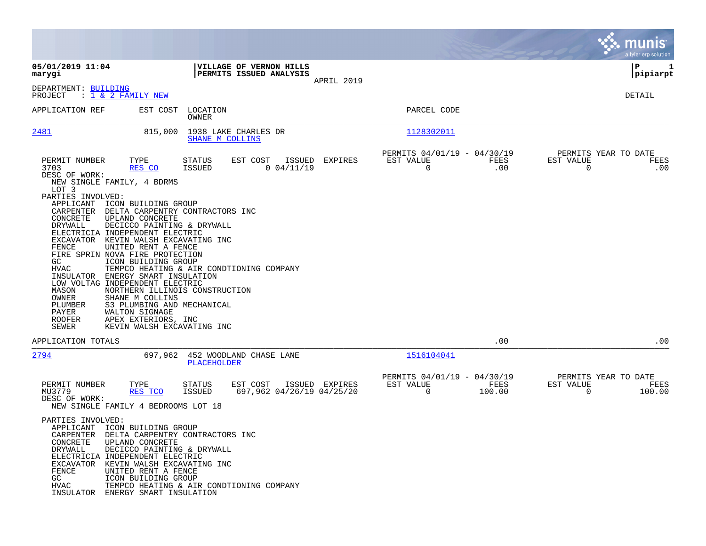|                                                                                                                                                                                                                                                                                                                                                                                                          |                                                                                                                                                                                                                                                                                                                                                              |                                |                                                                              |                |                                               |                |                                                  | munis<br>a tyler erp solution |
|----------------------------------------------------------------------------------------------------------------------------------------------------------------------------------------------------------------------------------------------------------------------------------------------------------------------------------------------------------------------------------------------------------|--------------------------------------------------------------------------------------------------------------------------------------------------------------------------------------------------------------------------------------------------------------------------------------------------------------------------------------------------------------|--------------------------------|------------------------------------------------------------------------------|----------------|-----------------------------------------------|----------------|--------------------------------------------------|-------------------------------|
| 05/01/2019 11:04<br>marygi                                                                                                                                                                                                                                                                                                                                                                               |                                                                                                                                                                                                                                                                                                                                                              |                                | VILLAGE OF VERNON HILLS<br>PERMITS ISSUED ANALYSIS                           | APRIL 2019     |                                               |                |                                                  | P<br>1<br> pipiarpt           |
| DEPARTMENT: BUILDING<br>PROJECT                                                                                                                                                                                                                                                                                                                                                                          | : <u>1 &amp; 2 FAMILY NEW</u>                                                                                                                                                                                                                                                                                                                                |                                |                                                                              |                |                                               |                |                                                  | <b>DETAIL</b>                 |
| APPLICATION REF                                                                                                                                                                                                                                                                                                                                                                                          | EST COST                                                                                                                                                                                                                                                                                                                                                     | LOCATION<br>OWNER              |                                                                              |                | PARCEL CODE                                   |                |                                                  |                               |
| <u> 2481</u>                                                                                                                                                                                                                                                                                                                                                                                             | 815,000                                                                                                                                                                                                                                                                                                                                                      | SHANE M COLLINS                | 1938 LAKE CHARLES DR                                                         |                | <u> 1128302011</u>                            |                |                                                  |                               |
| PERMIT NUMBER<br>3703<br>DESC OF WORK:<br>NEW SINGLE FAMILY, 4 BDRMS<br>LOT 3<br>PARTIES INVOLVED:<br>APPLICANT<br>CARPENTER<br>CONCRETE<br>DRYWALL<br>ELECTRICIA INDEPENDENT ELECTRIC<br>EXCAVATOR KEVIN WALSH EXCAVATING INC<br>FENCE<br>FIRE SPRIN NOVA FIRE PROTECTION<br>GC<br>HVAC<br>INSULATOR<br>LOW VOLTAG INDEPENDENT ELECTRIC<br>MASON<br>OWNER<br>PLUMBER<br>PAYER<br><b>ROOFER</b><br>SEWER | TYPE<br>RES CO<br>ICON BUILDING GROUP<br>DELTA CARPENTRY CONTRACTORS INC<br>UPLAND CONCRETE<br>DECICCO PAINTING & DRYWALL<br>UNITED RENT A FENCE<br>ICON BUILDING GROUP<br>ENERGY SMART INSULATION<br>NORTHERN ILLINOIS CONSTRUCTION<br>SHANE M COLLINS<br>S3 PLUMBING AND MECHANICAL<br>WALTON SIGNAGE<br>APEX EXTERIORS, INC<br>KEVIN WALSH EXCAVATING INC | <b>STATUS</b><br>ISSUED        | EST COST<br>ISSUED<br>0.04/11/19<br>TEMPCO HEATING & AIR CONDTIONING COMPANY | EXPIRES        | PERMITS 04/01/19 - 04/30/19<br>EST VALUE<br>0 | FEES<br>.00    | PERMITS YEAR TO DATE<br>EST VALUE<br>$\mathbf 0$ | FEES<br>.00                   |
| APPLICATION TOTALS                                                                                                                                                                                                                                                                                                                                                                                       |                                                                                                                                                                                                                                                                                                                                                              |                                |                                                                              |                |                                               | .00            |                                                  | .00                           |
| <u> 2794</u>                                                                                                                                                                                                                                                                                                                                                                                             |                                                                                                                                                                                                                                                                                                                                                              | PLACEHOLDER                    | 697,962 452 WOODLAND CHASE LANE                                              |                | 1516104041                                    |                |                                                  |                               |
| PERMIT NUMBER<br>MU3779<br>DESC OF WORK:<br>NEW SINGLE FAMILY 4 BEDROOMS LOT 18<br>PARTIES INVOLVED:                                                                                                                                                                                                                                                                                                     | TYPE<br>RES TCO                                                                                                                                                                                                                                                                                                                                              | <b>STATUS</b><br><b>ISSUED</b> | EST COST<br>697,962 04/26/19 04/25/20                                        | ISSUED EXPIRES | PERMITS 04/01/19 - 04/30/19<br>EST VALUE<br>0 | FEES<br>100.00 | PERMITS YEAR TO DATE<br>EST VALUE<br>$\Omega$    | FEES<br>100.00                |
| APPLICANT<br>CARPENTER<br>CONCRETE<br>DRYWALL<br>ELECTRICIA INDEPENDENT ELECTRIC<br>EXCAVATOR<br>FENCE<br>GC.<br><b>HVAC</b><br>INSULATOR ENERGY SMART INSULATION                                                                                                                                                                                                                                        | ICON BUILDING GROUP<br>DELTA CARPENTRY CONTRACTORS INC<br>UPLAND CONCRETE<br>DECICCO PAINTING & DRYWALL<br>KEVIN WALSH EXCAVATING INC<br>UNITED RENT A FENCE<br>ICON BUILDING GROUP                                                                                                                                                                          |                                | TEMPCO HEATING & AIR CONDTIONING COMPANY                                     |                |                                               |                |                                                  |                               |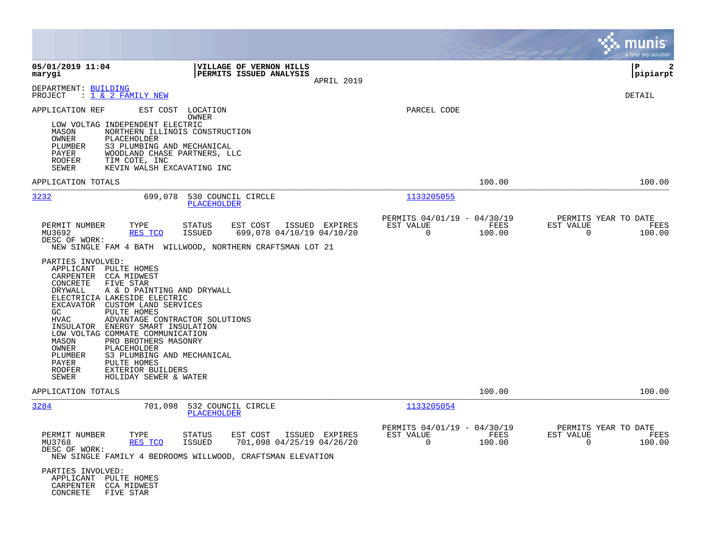|                                                                                                                                                                                                                                                                                                                                 |                                                                                                                                                         |                                                                           | munis<br>a tyler erp solution                                         |
|---------------------------------------------------------------------------------------------------------------------------------------------------------------------------------------------------------------------------------------------------------------------------------------------------------------------------------|---------------------------------------------------------------------------------------------------------------------------------------------------------|---------------------------------------------------------------------------|-----------------------------------------------------------------------|
| 05/01/2019 11:04<br>marygi                                                                                                                                                                                                                                                                                                      | VILLAGE OF VERNON HILLS<br>PERMITS ISSUED ANALYSIS<br>APRIL 2019                                                                                        |                                                                           | l P<br>$\overline{a}$<br> pipiarpt                                    |
| DEPARTMENT: BUILDING<br>$\therefore$ 1 & 2 FAMILY NEW<br>PROJECT                                                                                                                                                                                                                                                                |                                                                                                                                                         |                                                                           | <b>DETAIL</b>                                                         |
| EST COST<br>APPLICATION REF<br>LOW VOLTAG INDEPENDENT ELECTRIC<br>MASON<br>OWNER<br>PLACEHOLDER<br>S3 PLUMBING AND MECHANICAL<br>PLUMBER<br>WOODLAND CHASE PARTNERS, LLC<br>PAYER<br><b>ROOFER</b><br>TIM COTE, INC<br>KEVIN WALSH EXCAVATING INC<br>SEWER                                                                      | LOCATION<br>OWNER<br>NORTHERN ILLINOIS CONSTRUCTION                                                                                                     | PARCEL CODE                                                               |                                                                       |
| APPLICATION TOTALS                                                                                                                                                                                                                                                                                                              |                                                                                                                                                         | 100.00                                                                    | 100.00                                                                |
| 3232<br>699,078                                                                                                                                                                                                                                                                                                                 | 530 COUNCIL CIRCLE<br><b>PLACEHOLDER</b>                                                                                                                | 1133205055                                                                |                                                                       |
| PERMIT NUMBER<br>TYPE<br>RES TCO<br>MU3692<br>DESC OF WORK:<br>PARTIES INVOLVED:<br>APPLICANT PULTE HOMES<br>CARPENTER CCA MIDWEST<br>FIVE STAR<br>CONCRETE<br>DRYWALL<br>A & D PAINTING AND DRYWALL<br>ELECTRICIA LAKESIDE ELECTRIC                                                                                            | STATUS<br>EST COST<br>ISSUED EXPIRES<br><b>ISSUED</b><br>699,078 04/10/19 04/10/20<br>NEW SINGLE FAM 4 BATH WILLWOOD, NORTHERN CRAFTSMAN LOT 21         | PERMITS 04/01/19 - 04/30/19<br>EST VALUE<br>FEES<br>0<br>100.00           | PERMITS YEAR TO DATE<br>EST VALUE<br>FEES<br>$\overline{0}$<br>100.00 |
| EXCAVATOR CUSTOM LAND SERVICES<br>GC<br>PULTE HOMES<br>HVAC<br>INSULATOR ENERGY SMART INSULATION<br>LOW VOLTAG COMMATE COMMUNICATION<br>MASON<br>PRO BROTHERS MASONRY<br>OWNER<br>PLACEHOLDER<br>PLUMBER<br>S3 PLUMBING AND MECHANICAL<br>PAYER<br>PULTE HOMES<br>EXTERIOR BUILDERS<br>ROOFER<br>SEWER<br>HOLIDAY SEWER & WATER | ADVANTAGE CONTRACTOR SOLUTIONS                                                                                                                          |                                                                           |                                                                       |
| APPLICATION TOTALS                                                                                                                                                                                                                                                                                                              |                                                                                                                                                         | 100.00                                                                    | 100.00                                                                |
| 3284<br>701,098                                                                                                                                                                                                                                                                                                                 | 532 COUNCIL CIRCLE<br>PLACEHOLDER                                                                                                                       | 1133205054                                                                |                                                                       |
| PERMIT NUMBER<br>TYPE<br>MU3768<br>RES TCO<br>DESC OF WORK:<br>PARTIES INVOLVED:                                                                                                                                                                                                                                                | EST COST<br><b>STATUS</b><br>ISSUED EXPIRES<br><b>ISSUED</b><br>701,098 04/25/19 04/26/20<br>NEW SINGLE FAMILY 4 BEDROOMS WILLWOOD, CRAFTSMAN ELEVATION | PERMITS 04/01/19 - 04/30/19<br>EST VALUE<br>FEES<br>$\mathbf 0$<br>100.00 | PERMITS YEAR TO DATE<br>EST VALUE<br>FEES<br>$\Omega$<br>100.00       |
| APPLICANT<br>PULTE HOMES<br>CARPENTER<br>CCA MIDWEST<br>CONCRETE<br>FIVE STAR                                                                                                                                                                                                                                                   |                                                                                                                                                         |                                                                           |                                                                       |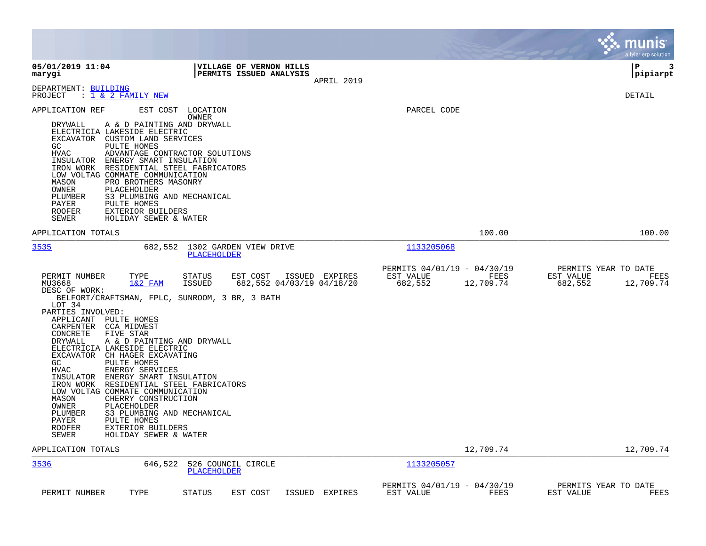|                                                                                                                                                                                                                                                                                                                                                                                                                                                                                                                                                                                                                                                                                         |                                                                                                              |                                                  | <b>munis</b><br>a tyler erp solution      |
|-----------------------------------------------------------------------------------------------------------------------------------------------------------------------------------------------------------------------------------------------------------------------------------------------------------------------------------------------------------------------------------------------------------------------------------------------------------------------------------------------------------------------------------------------------------------------------------------------------------------------------------------------------------------------------------------|--------------------------------------------------------------------------------------------------------------|--------------------------------------------------|-------------------------------------------|
| 05/01/2019 11:04<br>marygi                                                                                                                                                                                                                                                                                                                                                                                                                                                                                                                                                                                                                                                              | VILLAGE OF VERNON HILLS<br>PERMITS ISSUED ANALYSIS<br>APRIL 2019                                             |                                                  | l P<br>3<br> pipiarpt                     |
| DEPARTMENT: BUILDING<br>PROJECT<br>: <u>1 &amp; 2 FAMILY NEW</u>                                                                                                                                                                                                                                                                                                                                                                                                                                                                                                                                                                                                                        |                                                                                                              |                                                  | <b>DETAIL</b>                             |
| APPLICATION REF<br>EST COST<br>DRYWALL<br>A & D PAINTING AND DRYWALL<br>ELECTRICIA LAKESIDE ELECTRIC<br>EXCAVATOR CUSTOM LAND SERVICES<br>GC<br>PULTE HOMES<br><b>HVAC</b><br>INSULATOR<br>ENERGY SMART INSULATION<br>IRON WORK<br>LOW VOLTAG COMMATE COMMUNICATION<br>MASON<br>PRO BROTHERS MASONRY<br>OWNER<br>PLACEHOLDER<br>PLUMBER<br>S3 PLUMBING AND MECHANICAL<br>PAYER<br>PULTE HOMES<br><b>ROOFER</b><br>EXTERIOR BUILDERS<br>SEWER<br>HOLIDAY SEWER & WATER                                                                                                                                                                                                                   | LOCATION<br>OWNER<br>ADVANTAGE CONTRACTOR SOLUTIONS<br>RESIDENTIAL STEEL FABRICATORS                         | PARCEL CODE                                      |                                           |
| APPLICATION TOTALS                                                                                                                                                                                                                                                                                                                                                                                                                                                                                                                                                                                                                                                                      |                                                                                                              | 100.00                                           | 100.00                                    |
| 3535<br>682,552                                                                                                                                                                                                                                                                                                                                                                                                                                                                                                                                                                                                                                                                         | 1302 GARDEN VIEW DRIVE<br>PLACEHOLDER                                                                        | 1133205068<br>PERMITS 04/01/19 - 04/30/19        | PERMITS YEAR TO DATE                      |
| PERMIT NUMBER<br>TYPE<br>MU3668<br>$1&2$ FAM<br>DESC OF WORK:<br>BELFORT/CRAFTSMAN, FPLC, SUNROOM, 3 BR, 3 BATH<br>LOT 34<br>PARTIES INVOLVED:<br>APPLICANT PULTE HOMES<br>CCA MIDWEST<br>CARPENTER<br>CONCRETE<br>FIVE STAR<br>DRYWALL<br>A & D PAINTING AND DRYWALL<br>ELECTRICIA LAKESIDE ELECTRIC<br>EXCAVATOR CH HAGER EXCAVATING<br>GC<br>PULTE HOMES<br><b>HVAC</b><br>ENERGY SERVICES<br>INSULATOR<br>ENERGY SMART INSULATION<br>IRON WORK<br>LOW VOLTAG COMMATE COMMUNICATION<br>MASON<br>CHERRY CONSTRUCTION<br>OWNER<br>PLACEHOLDER<br>PLUMBER<br>S3 PLUMBING AND MECHANICAL<br>PAYER<br>PULTE HOMES<br><b>ROOFER</b><br>EXTERIOR BUILDERS<br>SEWER<br>HOLIDAY SEWER & WATER | STATUS<br>EST COST<br>ISSUED EXPIRES<br>ISSUED<br>682,552 04/03/19 04/18/20<br>RESIDENTIAL STEEL FABRICATORS | EST VALUE<br>FEES<br>682,552<br>12,709.74        | EST VALUE<br>FEES<br>682,552<br>12,709.74 |
| APPLICATION TOTALS                                                                                                                                                                                                                                                                                                                                                                                                                                                                                                                                                                                                                                                                      |                                                                                                              | 12,709.74                                        | 12,709.74                                 |
| 3536<br>646,522                                                                                                                                                                                                                                                                                                                                                                                                                                                                                                                                                                                                                                                                         | 526 COUNCIL CIRCLE<br>PLACEHOLDER                                                                            | 1133205057                                       |                                           |
| TYPE<br>PERMIT NUMBER                                                                                                                                                                                                                                                                                                                                                                                                                                                                                                                                                                                                                                                                   | <b>STATUS</b><br>EST COST<br>ISSUED<br>EXPIRES                                                               | PERMITS 04/01/19 - 04/30/19<br>FEES<br>EST VALUE | PERMITS YEAR TO DATE<br>EST VALUE<br>FEES |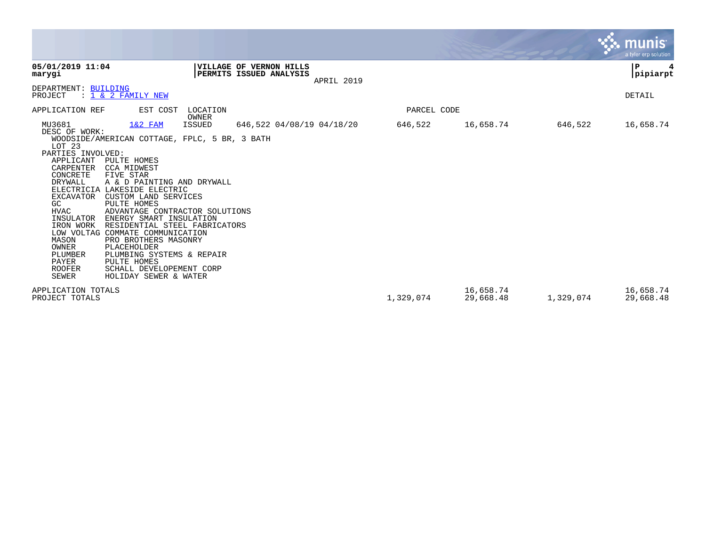|                                                                                                                                                                                                                                                                                                                                                                                                                                                                                                                                                                                                                                                                                                                          |             |                        |           | munis<br>a tyler erp solution  |
|--------------------------------------------------------------------------------------------------------------------------------------------------------------------------------------------------------------------------------------------------------------------------------------------------------------------------------------------------------------------------------------------------------------------------------------------------------------------------------------------------------------------------------------------------------------------------------------------------------------------------------------------------------------------------------------------------------------------------|-------------|------------------------|-----------|--------------------------------|
| 05/01/2019 11:04<br>VILLAGE OF VERNON HILLS<br>PERMITS ISSUED ANALYSIS<br>marygi<br>APRIL 2019                                                                                                                                                                                                                                                                                                                                                                                                                                                                                                                                                                                                                           |             |                        |           | $\mathbf{P}$<br>4<br> pipiarpt |
| DEPARTMENT: BUILDING<br>: 1 & 2 FAMILY NEW<br>PROJECT                                                                                                                                                                                                                                                                                                                                                                                                                                                                                                                                                                                                                                                                    |             |                        |           | DETAIL                         |
| APPLICATION REF<br>EST COST<br>LOCATION                                                                                                                                                                                                                                                                                                                                                                                                                                                                                                                                                                                                                                                                                  | PARCEL CODE |                        |           |                                |
| OWNER<br>MU3681<br><b>ISSUED</b><br>$1&2$ FAM<br>646,522 04/08/19 04/18/20<br>DESC OF WORK:<br>WOODSIDE/AMERICAN COTTAGE, FPLC, 5 BR, 3 BATH<br>LOT 23<br>PARTIES INVOLVED:<br>APPLICANT<br>PULTE HOMES<br>CARPENTER<br><b>CCA MIDWEST</b><br>CONCRETE<br>FIVE STAR<br><b>DRYWALL</b><br>A & D PAINTING AND DRYWALL<br>ELECTRICIA LAKESIDE ELECTRIC<br>CUSTOM LAND SERVICES<br><b>EXCAVATOR</b><br>PULTE HOMES<br>GC<br><b>HVAC</b><br>ADVANTAGE CONTRACTOR SOLUTIONS<br>INSULATOR<br>ENERGY SMART INSULATION<br>IRON WORK<br>RESIDENTIAL STEEL FABRICATORS<br>LOW VOLTAG COMMATE COMMUNICATION<br>MASON<br>PRO BROTHERS MASONRY<br>OWNER<br>PLACEHOLDER<br>PLUMBER<br>PLUMBING SYSTEMS & REPAIR<br>PAYER<br>PULTE HOMES | 646,522     | 16,658.74              | 646,522   | 16,658.74                      |
| <b>ROOFER</b><br>SCHALL DEVELOPEMENT CORP<br>SEWER<br>HOLIDAY SEWER & WATER<br>APPLICATION TOTALS<br>PROJECT TOTALS                                                                                                                                                                                                                                                                                                                                                                                                                                                                                                                                                                                                      | 1,329,074   | 16,658.74<br>29,668.48 | 1,329,074 | 16,658.74<br>29,668.48         |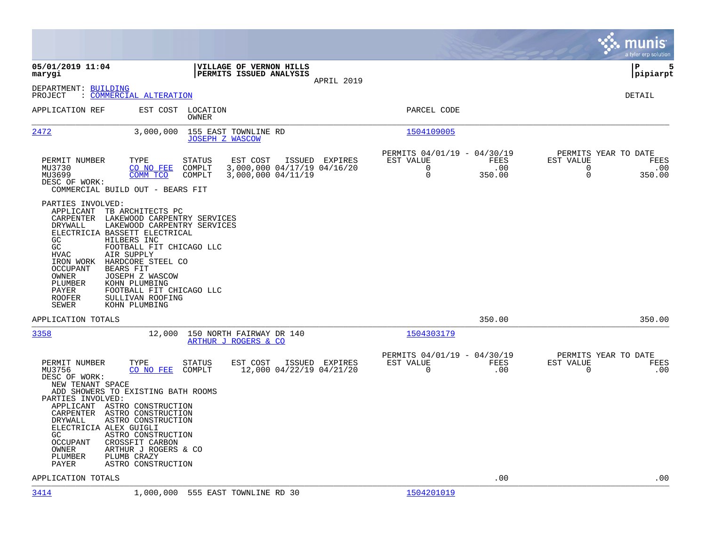|                                                                                                                                                             |                                                                                                                                                                                                                                                                                                                           |                                                |                                                               |                |                                                         |                       |                                                  | munis<br>a tyler erp solution |
|-------------------------------------------------------------------------------------------------------------------------------------------------------------|---------------------------------------------------------------------------------------------------------------------------------------------------------------------------------------------------------------------------------------------------------------------------------------------------------------------------|------------------------------------------------|---------------------------------------------------------------|----------------|---------------------------------------------------------|-----------------------|--------------------------------------------------|-------------------------------|
| 05/01/2019 11:04<br>marygi                                                                                                                                  |                                                                                                                                                                                                                                                                                                                           |                                                | VILLAGE OF VERNON HILLS<br>PERMITS ISSUED ANALYSIS            | APRIL 2019     |                                                         |                       |                                                  | P<br>5<br> pipiarpt           |
| DEPARTMENT: BUILDING<br>PROJECT                                                                                                                             | <u>: COMMERCIAL ALTERATION</u>                                                                                                                                                                                                                                                                                            |                                                |                                                               |                |                                                         |                       |                                                  | <b>DETAIL</b>                 |
| APPLICATION REF                                                                                                                                             |                                                                                                                                                                                                                                                                                                                           | EST COST LOCATION<br>OWNER                     |                                                               |                | PARCEL CODE                                             |                       |                                                  |                               |
| 2472                                                                                                                                                        | 3,000,000                                                                                                                                                                                                                                                                                                                 | 155 EAST TOWNLINE RD<br><b>JOSEPH Z WASCOW</b> |                                                               |                | 1504109005                                              |                       |                                                  |                               |
| PERMIT NUMBER<br>MU3730<br>MU3699<br>DESC OF WORK:                                                                                                          | TYPE<br>CO NO FEE<br>COMM TCO<br>COMMERCIAL BUILD OUT - BEARS FIT                                                                                                                                                                                                                                                         | <b>STATUS</b><br>COMPLT<br>COMPLT              | EST COST<br>3,000,000 04/17/19 04/16/20<br>3,000,000 04/11/19 | ISSUED EXPIRES | PERMITS 04/01/19 - 04/30/19<br>EST VALUE<br>0<br>0      | FEES<br>.00<br>350.00 | PERMITS YEAR TO DATE<br>EST VALUE<br>0<br>0      | FEES<br>.00<br>350.00         |
| PARTIES INVOLVED:<br>CARPENTER<br>DRYWALL<br>GC<br>GC<br><b>HVAC</b><br>IRON WORK<br><b>OCCUPANT</b><br>OWNER<br>PLUMBER<br>PAYER<br><b>ROOFER</b><br>SEWER | APPLICANT TB ARCHITECTS PC<br>LAKEWOOD CARPENTRY SERVICES<br>LAKEWOOD CARPENTRY SERVICES<br>ELECTRICIA BASSETT ELECTRICAL<br>HILBERS INC<br>FOOTBALL FIT CHICAGO LLC<br>AIR SUPPLY<br>HARDCORE STEEL CO<br>BEARS FIT<br>JOSEPH Z WASCOW<br>KOHN PLUMBING<br>FOOTBALL FIT CHICAGO LLC<br>SULLIVAN ROOFING<br>KOHN PLUMBING |                                                |                                                               |                |                                                         |                       |                                                  |                               |
| APPLICATION TOTALS                                                                                                                                          |                                                                                                                                                                                                                                                                                                                           |                                                |                                                               |                |                                                         | 350.00                |                                                  | 350.00                        |
| 3358                                                                                                                                                        | 12,000                                                                                                                                                                                                                                                                                                                    |                                                | 150 NORTH FAIRWAY DR 140<br>ARTHUR J ROGERS & CO              |                | 1504303179                                              |                       |                                                  |                               |
| PERMIT NUMBER<br>MU3756<br>DESC OF WORK:<br>NEW TENANT SPACE<br>PARTIES INVOLVED:<br>DRYWALL<br>GC.<br><b>OCCUPANT</b><br>OWNER<br>PLUMBER<br>PAYER         | TYPE<br>CO NO FEE<br>ADD SHOWERS TO EXISTING BATH ROOMS<br>APPLICANT ASTRO CONSTRUCTION<br>CARPENTER ASTRO CONSTRUCTION<br>ASTRO CONSTRUCTION<br>ELECTRICIA ALEX GUIGLI<br>ASTRO CONSTRUCTION<br>CROSSFIT CARBON<br>ARTHUR J ROGERS & CO<br>PLUMB CRAZY<br>ASTRO CONSTRUCTION                                             | <b>STATUS</b><br>COMPLT                        | EST COST<br>12,000 04/22/19 04/21/20                          | ISSUED EXPIRES | PERMITS 04/01/19 - 04/30/19<br>EST VALUE<br>$\mathbf 0$ | FEES<br>.00           | PERMITS YEAR TO DATE<br>EST VALUE<br>$\mathbf 0$ | FEES<br>.00                   |
| APPLICATION TOTALS                                                                                                                                          |                                                                                                                                                                                                                                                                                                                           |                                                |                                                               |                |                                                         | .00                   |                                                  | .00                           |
| 3414                                                                                                                                                        | 1,000,000                                                                                                                                                                                                                                                                                                                 |                                                | 555 EAST TOWNLINE RD 30                                       |                | 1504201019                                              |                       |                                                  |                               |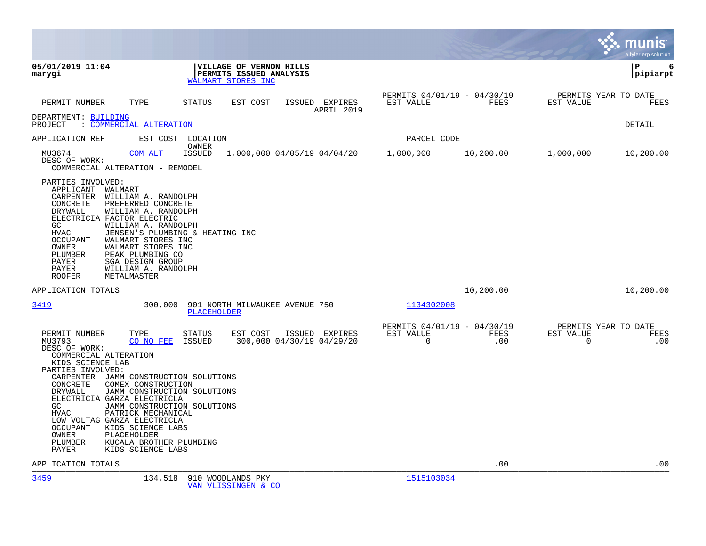|                                                                                                                                                                                                                                                                                                                                                                                                                                                                                                                               |                                                                                           |                                                        |             |                                               | munis<br>a tyler erp solution |
|-------------------------------------------------------------------------------------------------------------------------------------------------------------------------------------------------------------------------------------------------------------------------------------------------------------------------------------------------------------------------------------------------------------------------------------------------------------------------------------------------------------------------------|-------------------------------------------------------------------------------------------|--------------------------------------------------------|-------------|-----------------------------------------------|-------------------------------|
| 05/01/2019 11:04<br>marygi                                                                                                                                                                                                                                                                                                                                                                                                                                                                                                    | VILLAGE OF VERNON HILLS<br>PERMITS ISSUED ANALYSIS<br>WALMART STORES INC                  |                                                        |             |                                               | l P<br>6<br> pipiarpt         |
| TYPE<br>PERMIT NUMBER                                                                                                                                                                                                                                                                                                                                                                                                                                                                                                         | ISSUED EXPIRES<br><b>STATUS</b><br>EST COST                                               | PERMITS 04/01/19 - 04/30/19<br>EST VALUE<br>APRIL 2019 | FEES        | PERMITS YEAR TO DATE<br>EST VALUE             | FEES                          |
| DEPARTMENT: BUILDING<br>: COMMERCIAL ALTERATION<br>PROJECT                                                                                                                                                                                                                                                                                                                                                                                                                                                                    |                                                                                           |                                                        |             |                                               | DETAIL                        |
| APPLICATION REF                                                                                                                                                                                                                                                                                                                                                                                                                                                                                                               | EST COST LOCATION<br>OWNER                                                                | PARCEL CODE                                            |             |                                               |                               |
| MU3674<br>COM ALT<br>DESC OF WORK:<br>COMMERCIAL ALTERATION - REMODEL                                                                                                                                                                                                                                                                                                                                                                                                                                                         | 1,000,000 04/05/19 04/04/20<br>ISSUED                                                     | 1,000,000                                              | 10,200.00   | 1,000,000                                     | 10,200.00                     |
| PARTIES INVOLVED:<br>APPLICANT<br>WALMART<br>CARPENTER<br>WILLIAM A. RANDOLPH<br>CONCRETE<br>PREFERRED CONCRETE<br>DRYWALL<br>WILLIAM A. RANDOLPH<br>ELECTRICIA FACTOR ELECTRIC<br>GC.<br>WILLIAM A. RANDOLPH<br>HVAC<br>WALMART STORES INC<br><b>OCCUPANT</b><br>OWNER<br>WALMART STORES INC<br>PEAK PLUMBING CO<br>PLUMBER<br><b>PAYER</b><br>SGA DESIGN GROUP<br>PAYER<br>WILLIAM A. RANDOLPH<br><b>ROOFER</b><br>METALMASTER                                                                                              | JENSEN'S PLUMBING & HEATING INC                                                           |                                                        |             |                                               |                               |
| APPLICATION TOTALS                                                                                                                                                                                                                                                                                                                                                                                                                                                                                                            |                                                                                           |                                                        | 10,200.00   |                                               | 10,200.00                     |
| 3419<br>300,000                                                                                                                                                                                                                                                                                                                                                                                                                                                                                                               | 901 NORTH MILWAUKEE AVENUE 750<br><b>PLACEHOLDER</b>                                      | 1134302008                                             |             |                                               |                               |
| PERMIT NUMBER<br>TYPE<br>MU3793<br>CO NO FEE<br>DESC OF WORK:<br>COMMERCIAL ALTERATION<br>KIDS SCIENCE LAB<br>PARTIES INVOLVED:<br>CARPENTER<br>JAMM CONSTRUCTION SOLUTIONS<br>CONCRETE<br>COMEX CONSTRUCTION<br>DRYWALL<br>JAMM CONSTRUCTION SOLUTIONS<br>ELECTRICIA GARZA ELECTRICLA<br>JAMM CONSTRUCTION SOLUTIONS<br>GC.<br>PATRICK MECHANICAL<br><b>HVAC</b><br>LOW VOLTAG GARZA ELECTRICLA<br>OCCUPANT<br>KIDS SCIENCE LABS<br>OWNER<br>PLACEHOLDER<br>PLUMBER<br>KUCALA BROTHER PLUMBING<br>PAYER<br>KIDS SCIENCE LABS | <b>STATUS</b><br>EST COST<br>ISSUED EXPIRES<br><b>ISSUED</b><br>300,000 04/30/19 04/29/20 | PERMITS 04/01/19 - 04/30/19<br>EST VALUE<br>$\Omega$   | FEES<br>.00 | PERMITS YEAR TO DATE<br>EST VALUE<br>$\Omega$ | FEES<br>.00                   |
| APPLICATION TOTALS                                                                                                                                                                                                                                                                                                                                                                                                                                                                                                            |                                                                                           |                                                        | .00         |                                               | .00                           |
| 3459<br>134,518                                                                                                                                                                                                                                                                                                                                                                                                                                                                                                               | 910 WOODLANDS PKY<br>VAN VLISSINGEN & CO                                                  | 1515103034                                             |             |                                               |                               |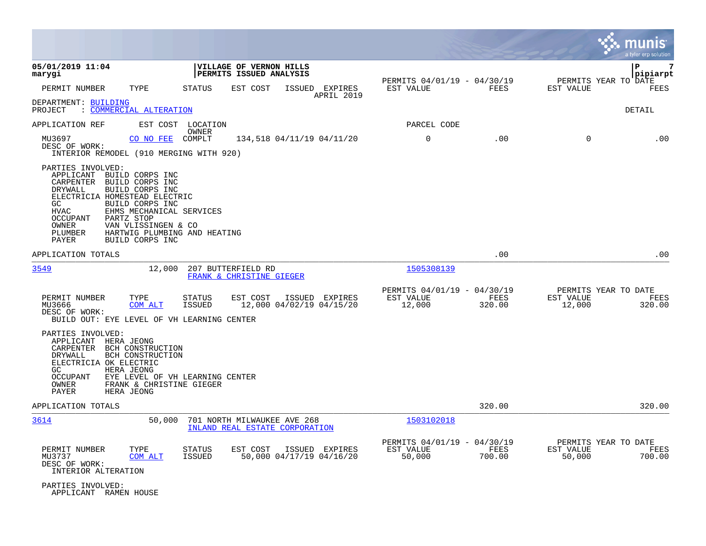|                                                                                                                                                                                                                                                                                    |                                                                                   |                                                                      | munis<br>a tyler erp solution                                 |
|------------------------------------------------------------------------------------------------------------------------------------------------------------------------------------------------------------------------------------------------------------------------------------|-----------------------------------------------------------------------------------|----------------------------------------------------------------------|---------------------------------------------------------------|
| 05/01/2019 11:04<br>marygi                                                                                                                                                                                                                                                         | VILLAGE OF VERNON HILLS<br>PERMITS ISSUED ANALYSIS                                |                                                                      | 7<br>l P<br> pipiarpt                                         |
| PERMIT NUMBER<br>TYPE                                                                                                                                                                                                                                                              | <b>STATUS</b><br>EST COST<br>ISSUED EXPIRES<br>APRIL 2019                         | PERMITS 04/01/19 - 04/30/19<br>EST VALUE<br>FEES                     | PERMITS YEAR TO DATE<br>EST VALUE<br>FEES                     |
| DEPARTMENT: BUILDING<br>: COMMERCIAL ALTERATION<br>PROJECT                                                                                                                                                                                                                         |                                                                                   |                                                                      | DETAIL                                                        |
| APPLICATION REF                                                                                                                                                                                                                                                                    | EST COST<br>LOCATION                                                              | PARCEL CODE                                                          |                                                               |
| MU3697<br>CO NO FEE<br>DESC OF WORK:<br>INTERIOR REMODEL (910 MERGING WITH 920)                                                                                                                                                                                                    | OWNER<br>COMPLT<br>134,518 04/11/19 04/11/20                                      | $\mathsf 0$<br>.00                                                   | $\mathbf 0$<br>.00                                            |
| PARTIES INVOLVED:<br>APPLICANT<br>BUILD CORPS INC<br>CARPENTER<br>BUILD CORPS INC<br>BUILD CORPS INC<br>DRYWALL<br>ELECTRICIA HOMESTEAD ELECTRIC<br>GC<br>BUILD CORPS INC<br>HVAC<br>OCCUPANT<br>PARTZ STOP<br>OWNER<br>VAN VLISSINGEN & CO<br>PLUMBER<br>PAYER<br>BUILD CORPS INC | EHMS MECHANICAL SERVICES<br>HARTWIG PLUMBING AND HEATING                          |                                                                      |                                                               |
| APPLICATION TOTALS                                                                                                                                                                                                                                                                 |                                                                                   | .00                                                                  | .00                                                           |
| 3549                                                                                                                                                                                                                                                                               | 207 BUTTERFIELD RD<br>12,000<br>FRANK & CHRISTINE GIEGER                          | 1505308139                                                           |                                                               |
| PERMIT NUMBER<br>TYPE<br>MU3666<br>COM ALT<br>DESC OF WORK:<br>BUILD OUT: EYE LEVEL OF VH LEARNING CENTER                                                                                                                                                                          | <b>STATUS</b><br>EST COST<br>ISSUED EXPIRES<br>12,000 04/02/19 04/15/20<br>ISSUED | PERMITS 04/01/19 - 04/30/19<br>EST VALUE<br>FEES<br>12,000<br>320.00 | PERMITS YEAR TO DATE<br>EST VALUE<br>FEES<br>12,000<br>320.00 |
| PARTIES INVOLVED:<br>APPLICANT HERA JEONG<br>CARPENTER<br>BCH CONSTRUCTION<br>DRYWALL<br>BCH CONSTRUCTION<br>ELECTRICIA OK ELECTRIC<br>GC<br>HERA JEONG<br>OCCUPANT<br>OWNER<br>PAYER<br>HERA JEONG                                                                                | EYE LEVEL OF VH LEARNING CENTER<br>FRANK & CHRISTINE GIEGER                       |                                                                      |                                                               |
| APPLICATION TOTALS                                                                                                                                                                                                                                                                 |                                                                                   | 320.00                                                               | 320.00                                                        |
| 3614                                                                                                                                                                                                                                                                               | 50,000<br>701 NORTH MILWAUKEE AVE 268<br>INLAND REAL ESTATE CORPORATION           | 1503102018                                                           |                                                               |
| PERMIT NUMBER<br>TYPE<br>MU3737<br><b>COM ALT</b><br>DESC OF WORK:<br>INTERIOR ALTERATION                                                                                                                                                                                          | ISSUED EXPIRES<br>STATUS<br>EST COST<br>50,000 04/17/19 04/16/20<br><b>ISSUED</b> | PERMITS 04/01/19 - 04/30/19<br>EST VALUE<br>FEES<br>50,000<br>700.00 | PERMITS YEAR TO DATE<br>EST VALUE<br>FEES<br>700.00<br>50,000 |
| PARTIES INVOLVED:<br>APPLICANT RAMEN HOUSE                                                                                                                                                                                                                                         |                                                                                   |                                                                      |                                                               |

**College**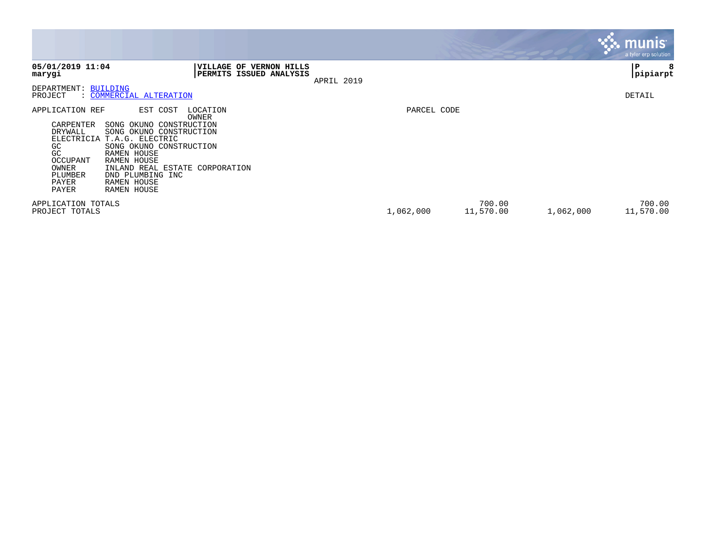|                                                                                                                                                                                                                                                                                                                                                                             |             |                     |           | <b>munis</b><br>a tyler erp solution |
|-----------------------------------------------------------------------------------------------------------------------------------------------------------------------------------------------------------------------------------------------------------------------------------------------------------------------------------------------------------------------------|-------------|---------------------|-----------|--------------------------------------|
| 05/01/2019 11:04<br>VILLAGE OF VERNON HILLS<br>PERMITS ISSUED ANALYSIS<br>marygi<br>APRIL 2019                                                                                                                                                                                                                                                                              |             |                     |           | P<br>8<br> pipiarpt                  |
| DEPARTMENT: BUILDING<br>: COMMERCIAL ALTERATION<br>PROJECT                                                                                                                                                                                                                                                                                                                  |             |                     |           | DETAIL                               |
| APPLICATION REF<br>EST COST<br>LOCATION<br>OWNER<br>SONG OKUNO CONSTRUCTION<br>CARPENTER<br>DRYWALL<br>SONG OKUNO CONSTRUCTION<br>ELECTRICIA<br>T.A.G. ELECTRIC<br>SONG OKUNO CONSTRUCTION<br>GC<br>GC.<br>RAMEN HOUSE<br>OCCUPANT<br>RAMEN HOUSE<br>OWNER<br>INLAND REAL ESTATE CORPORATION<br>PLUMBER<br>DND PLUMBING INC<br>RAMEN HOUSE<br>PAYER<br>PAYER<br>RAMEN HOUSE | PARCEL CODE |                     |           |                                      |
| APPLICATION TOTALS<br>PROJECT TOTALS                                                                                                                                                                                                                                                                                                                                        | 1,062,000   | 700.00<br>11,570.00 | 1,062,000 | 700.00<br>11,570.00                  |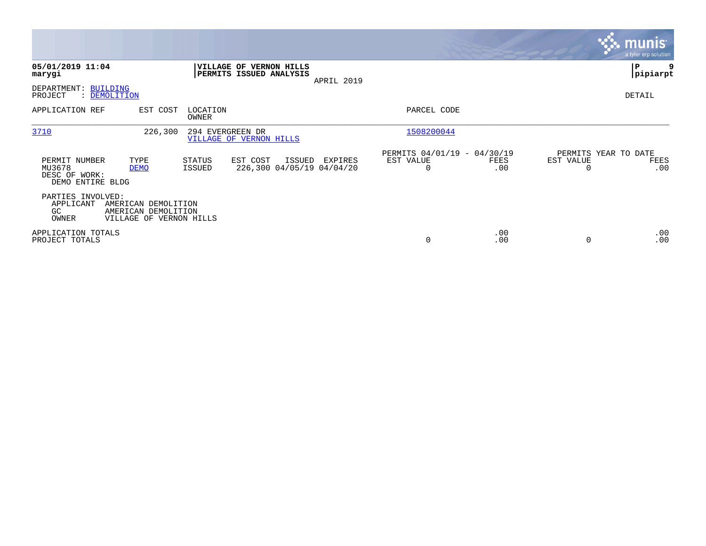|                                                                                             |                                                                                       |                                               |             |                | <b>munis</b><br>a tyler erp solution |
|---------------------------------------------------------------------------------------------|---------------------------------------------------------------------------------------|-----------------------------------------------|-------------|----------------|--------------------------------------|
| 05/01/2019 11:04<br>marygi                                                                  | VILLAGE OF VERNON HILLS<br>PERMITS ISSUED ANALYSIS<br>APRIL 2019                      |                                               |             |                | P<br> pipiarpt                       |
| DEPARTMENT: BUILDING<br>PROJECT<br>: DEMOLITION                                             |                                                                                       |                                               |             |                | DETAIL                               |
| EST COST<br>APPLICATION REF                                                                 | LOCATION<br>OWNER                                                                     | PARCEL CODE                                   |             |                |                                      |
| 3710                                                                                        | 226,300<br>294 EVERGREEN DR<br>VILLAGE OF VERNON HILLS                                | 1508200044                                    |             |                |                                      |
| PERMIT NUMBER<br>TYPE<br>MU3678<br><b>DEMO</b><br>DESC OF WORK:<br>DEMO ENTIRE BLDG         | STATUS<br>EST COST<br>ISSUED<br>EXPIRES<br>226,300 04/05/19 04/04/20<br><b>ISSUED</b> | PERMITS 04/01/19 - 04/30/19<br>EST VALUE<br>0 | FEES<br>.00 | EST VALUE<br>0 | PERMITS YEAR TO DATE<br>FEES<br>.00  |
| PARTIES INVOLVED:<br>APPLICANT<br>AMERICAN DEMOLITION<br>GC<br>AMERICAN DEMOLITION<br>OWNER | VILLAGE OF VERNON HILLS                                                               |                                               |             |                |                                      |
| APPLICATION TOTALS<br>PROJECT TOTALS                                                        |                                                                                       | 0                                             | .00<br>.00  | 0              | .00<br>.00                           |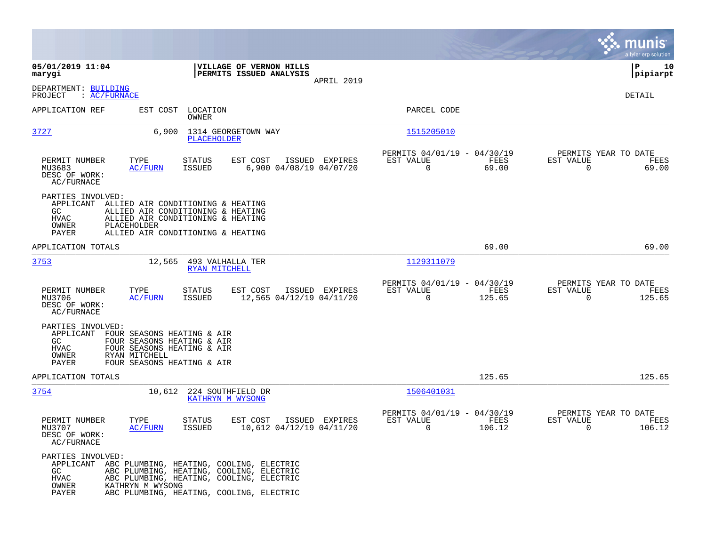|                                                                                                                    |                                                                                                                                                                                        |                |                                                                           | munis<br>a tyler erp solution                                      |
|--------------------------------------------------------------------------------------------------------------------|----------------------------------------------------------------------------------------------------------------------------------------------------------------------------------------|----------------|---------------------------------------------------------------------------|--------------------------------------------------------------------|
| 05/01/2019 11:04<br>marygi                                                                                         | VILLAGE OF VERNON HILLS<br>PERMITS ISSUED ANALYSIS                                                                                                                                     |                |                                                                           | ΙP<br>10<br> pipiarpt                                              |
| DEPARTMENT: BUILDING<br>: AC/FURNACE<br>PROJECT                                                                    |                                                                                                                                                                                        | APRIL 2019     |                                                                           | DETAIL                                                             |
| APPLICATION REF                                                                                                    | EST COST<br>LOCATION<br>OWNER                                                                                                                                                          |                | PARCEL CODE                                                               |                                                                    |
| 3727                                                                                                               | 1314 GEORGETOWN WAY<br>6,900<br>PLACEHOLDER                                                                                                                                            |                | 1515205010                                                                |                                                                    |
| TYPE<br>PERMIT NUMBER<br>MU3683<br>DESC OF WORK:<br>AC/FURNACE                                                     | EST COST<br>STATUS<br>6,900 04/08/19 04/07/20<br><b>AC/FURN</b><br><b>ISSUED</b>                                                                                                       | ISSUED EXPIRES | PERMITS 04/01/19 - 04/30/19<br>EST VALUE<br>FEES<br>$\Omega$<br>69.00     | PERMITS YEAR TO DATE<br>EST VALUE<br>FEES<br>$\Omega$<br>69.00     |
| PARTIES INVOLVED:<br>GC.<br>HVAC<br>OWNER<br>PLACEHOLDER<br>PAYER                                                  | APPLICANT ALLIED AIR CONDITIONING & HEATING<br>ALLIED AIR CONDITIONING & HEATING<br>ALLIED AIR CONDITIONING & HEATING<br>ALLIED AIR CONDITIONING & HEATING                             |                |                                                                           |                                                                    |
| APPLICATION TOTALS                                                                                                 |                                                                                                                                                                                        |                | 69.00                                                                     | 69.00                                                              |
| 3753                                                                                                               | 493 VALHALLA TER<br>12,565<br>RYAN MITCHELL                                                                                                                                            |                | 1129311079                                                                |                                                                    |
| PERMIT NUMBER<br>TYPE<br>MU3706<br>DESC OF WORK:<br>AC/FURNACE                                                     | EST COST<br><b>STATUS</b><br>12,565 04/12/19 04/11/20<br>AC/FURN<br><b>ISSUED</b>                                                                                                      | ISSUED EXPIRES | PERMITS 04/01/19 - 04/30/19<br>EST VALUE<br>FEES<br>$\Omega$<br>125.65    | PERMITS YEAR TO DATE<br>EST VALUE<br>FEES<br>$\Omega$<br>125.65    |
| PARTIES INVOLVED:<br>APPLICANT FOUR SEASONS HEATING & AIR<br>GC.<br><b>HVAC</b><br>OWNER<br>RYAN MITCHELL<br>PAYER | FOUR SEASONS HEATING & AIR<br>FOUR SEASONS HEATING & AIR<br>FOUR SEASONS HEATING & AIR                                                                                                 |                |                                                                           |                                                                    |
| APPLICATION TOTALS                                                                                                 |                                                                                                                                                                                        |                | 125.65                                                                    | 125.65                                                             |
| 3754                                                                                                               | 224 SOUTHFIELD DR<br>10,612<br>KATHRYN M WYSONG                                                                                                                                        |                | 1506401031                                                                |                                                                    |
| PERMIT NUMBER<br>TYPE<br>MU3707<br>DESC OF WORK:<br>AC/FURNACE                                                     | <b>STATUS</b><br>EST COST<br>AC/FURN<br><b>ISSUED</b><br>10,612 04/12/19 04/11/20                                                                                                      | ISSUED EXPIRES | PERMITS 04/01/19 - 04/30/19<br>EST VALUE<br>FEES<br>$\mathbf 0$<br>106.12 | PERMITS YEAR TO DATE<br>EST VALUE<br>FEES<br>$\mathbf 0$<br>106.12 |
| PARTIES INVOLVED:<br>GC<br>HVAC<br>KATHRYN M WYSONG<br>OWNER<br>PAYER                                              | APPLICANT ABC PLUMBING, HEATING, COOLING, ELECTRIC<br>ABC PLUMBING, HEATING, COOLING, ELECTRIC<br>ABC PLUMBING, HEATING, COOLING, ELECTRIC<br>ABC PLUMBING, HEATING, COOLING, ELECTRIC |                |                                                                           |                                                                    |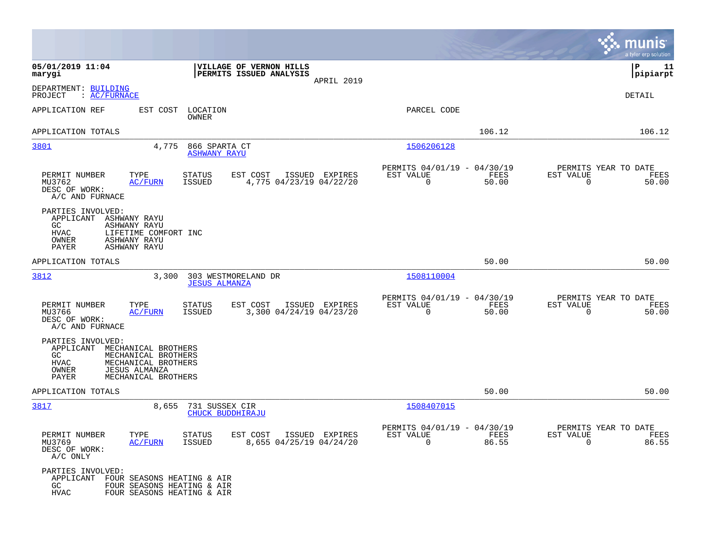|                                                                                                                                                                                            |                                                                                         |                                                                          | munis<br>a tyler erp solution                                     |
|--------------------------------------------------------------------------------------------------------------------------------------------------------------------------------------------|-----------------------------------------------------------------------------------------|--------------------------------------------------------------------------|-------------------------------------------------------------------|
| 05/01/2019 11:04<br>marygi                                                                                                                                                                 | VILLAGE OF VERNON HILLS<br>PERMITS ISSUED ANALYSIS<br>APRIL 2019                        |                                                                          | ΙP<br>11<br> pipiarpt                                             |
| DEPARTMENT: BUILDING<br>: AC/FURNACE<br>PROJECT                                                                                                                                            |                                                                                         |                                                                          | DETAIL                                                            |
| EST COST<br>APPLICATION REF                                                                                                                                                                | LOCATION<br>OWNER                                                                       | PARCEL CODE                                                              |                                                                   |
| APPLICATION TOTALS                                                                                                                                                                         |                                                                                         | 106.12                                                                   | 106.12                                                            |
| 4,775<br><u>3801</u>                                                                                                                                                                       | 866 SPARTA CT<br><b>ASHWANY RAYU</b>                                                    | 1506206128                                                               |                                                                   |
| PERMIT NUMBER<br>TYPE<br>MU3762<br><b>AC/FURN</b><br>DESC OF WORK:<br>A/C AND FURNACE                                                                                                      | EST COST<br><b>STATUS</b><br>ISSUED EXPIRES<br>4,775 04/23/19 04/22/20<br><b>ISSUED</b> | PERMITS 04/01/19 - 04/30/19<br>EST VALUE<br>FEES<br>$\Omega$<br>50.00    | PERMITS YEAR TO DATE<br>EST VALUE<br>FEES<br>$\Omega$<br>50.00    |
| PARTIES INVOLVED:<br>APPLICANT<br>ASHWANY RAYU<br>GC.<br>ASHWANY RAYU<br>HVAC<br>LIFETIME COMFORT INC<br>OWNER<br>ASHWANY RAYU<br>ASHWANY RAYU<br>PAYER                                    |                                                                                         |                                                                          |                                                                   |
| APPLICATION TOTALS                                                                                                                                                                         |                                                                                         | 50.00                                                                    | 50.00                                                             |
| 3812<br>3,300                                                                                                                                                                              | 303 WESTMORELAND DR<br><b>JESUS ALMANZA</b>                                             | 1508110004                                                               |                                                                   |
| TYPE<br>PERMIT NUMBER<br>MU3766<br><b>AC/FURN</b><br>DESC OF WORK:<br>A/C AND FURNACE                                                                                                      | EST COST<br><b>STATUS</b><br>ISSUED EXPIRES<br><b>ISSUED</b><br>3,300 04/24/19 04/23/20 | PERMITS 04/01/19 - 04/30/19<br>EST VALUE<br>FEES<br>0<br>50.00           | PERMITS YEAR TO DATE<br>EST VALUE<br>FEES<br>50.00<br>0           |
| PARTIES INVOLVED:<br>APPLICANT<br>MECHANICAL BROTHERS<br>GC.<br>MECHANICAL BROTHERS<br><b>HVAC</b><br>MECHANICAL BROTHERS<br><b>JESUS ALMANZA</b><br>OWNER<br>PAYER<br>MECHANICAL BROTHERS |                                                                                         |                                                                          |                                                                   |
| APPLICATION TOTALS                                                                                                                                                                         |                                                                                         | 50.00                                                                    | 50.00                                                             |
| 3817<br>8,655                                                                                                                                                                              | 731 SUSSEX CIR<br>CHUCK BUDDHIRAJU                                                      | 1508407015                                                               |                                                                   |
| PERMIT NUMBER<br>TYPE<br>MU3769<br>AC/FURN<br>DESC OF WORK:<br>A/C ONLY                                                                                                                    | STATUS<br>EST COST<br>ISSUED EXPIRES<br>8,655 04/25/19 04/24/20<br><b>ISSUED</b>        | PERMITS 04/01/19 - 04/30/19<br>EST VALUE<br>FEES<br>$\mathbf 0$<br>86.55 | PERMITS YEAR TO DATE<br>EST VALUE<br>FEES<br>$\mathbf 0$<br>86.55 |
| PARTIES INVOLVED:<br>FOUR SEASONS HEATING & AIR<br>APPLICANT<br>GC<br>FOUR SEASONS HEATING & AIR<br><b>HVAC</b><br>FOUR SEASONS HEATING & AIR                                              |                                                                                         |                                                                          |                                                                   |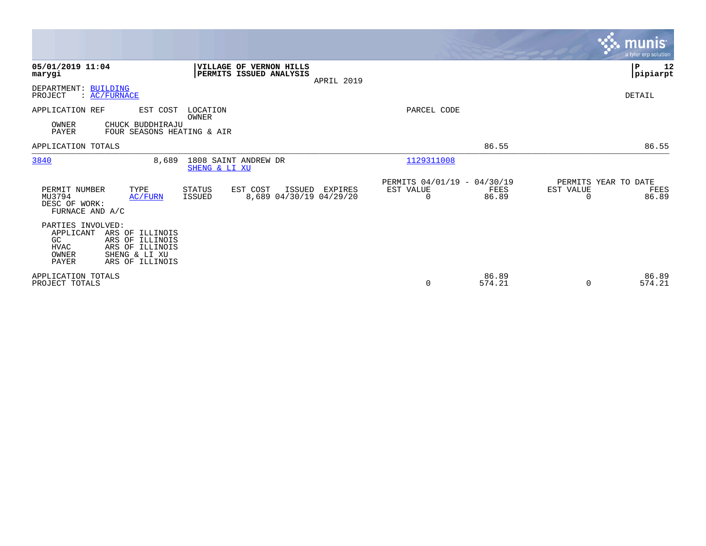|                                                                       |                                                                                           |                          |                                                                  |                |                                                         |                 |                                               | munis<br>a tyler erp solution |
|-----------------------------------------------------------------------|-------------------------------------------------------------------------------------------|--------------------------|------------------------------------------------------------------|----------------|---------------------------------------------------------|-----------------|-----------------------------------------------|-------------------------------|
| 05/01/2019 11:04<br>marygi                                            |                                                                                           |                          | <b>VILLAGE OF VERNON HILLS</b><br><b>PERMITS ISSUED ANALYSIS</b> | APRIL 2019     |                                                         |                 |                                               | P)<br>12<br> pipiarpt         |
| DEPARTMENT: BUILDING<br>PROJECT                                       | : AC/FURNACE                                                                              |                          |                                                                  |                |                                                         |                 |                                               | DETAIL                        |
| APPLICATION REF<br>OWNER<br>PAYER                                     | EST COST<br>CHUCK BUDDHIRAJU<br>FOUR SEASONS HEATING & AIR                                | LOCATION<br><b>OWNER</b> |                                                                  |                | PARCEL CODE                                             |                 |                                               |                               |
| APPLICATION TOTALS                                                    |                                                                                           |                          |                                                                  |                |                                                         | 86.55           |                                               | 86.55                         |
| 3840                                                                  | 8,689                                                                                     | SHENG & LI XU            | 1808 SAINT ANDREW DR                                             |                | 1129311008                                              |                 |                                               |                               |
| PERMIT NUMBER<br>MU3794<br>DESC OF WORK:<br>FURNACE AND A/C           | TYPE<br>AC/FURN                                                                           | STATUS<br>ISSUED         | EST COST<br>8,689 04/30/19 04/29/20                              | ISSUED EXPIRES | PERMITS 04/01/19 - 04/30/19<br>EST VALUE<br>$\mathbf 0$ | FEES<br>86.89   | PERMITS YEAR TO DATE<br>EST VALUE<br>$\Omega$ | FEES<br>86.89                 |
| PARTIES INVOLVED:<br>APPLICANT<br>GC<br><b>HVAC</b><br>OWNER<br>PAYER | ARS OF ILLINOIS<br>ARS OF ILLINOIS<br>ARS OF ILLINOIS<br>SHENG & LI XU<br>ARS OF ILLINOIS |                          |                                                                  |                |                                                         |                 |                                               |                               |
| APPLICATION TOTALS<br>PROJECT TOTALS                                  |                                                                                           |                          |                                                                  |                | 0                                                       | 86.89<br>574.21 | 0                                             | 86.89<br>574.21               |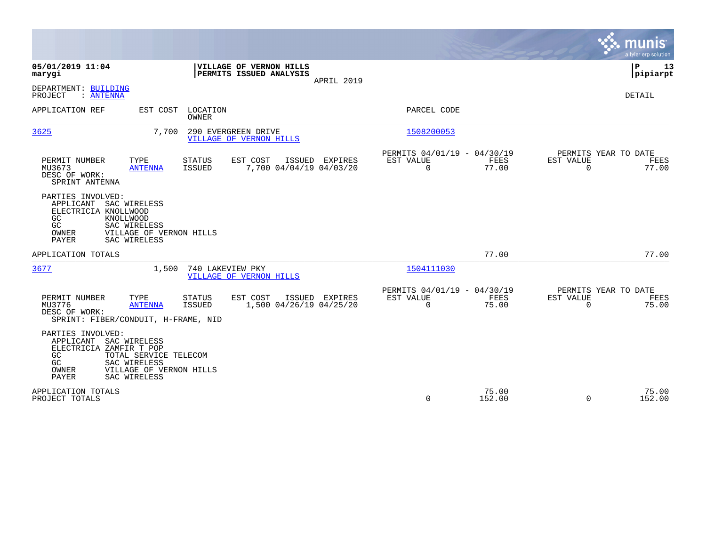|                                                                                                                       |                                                                                  |                          |                                                    |                |                                                         |                 |                          | munis<br>a tyler erp solution         |
|-----------------------------------------------------------------------------------------------------------------------|----------------------------------------------------------------------------------|--------------------------|----------------------------------------------------|----------------|---------------------------------------------------------|-----------------|--------------------------|---------------------------------------|
| 05/01/2019 11:04<br>marygi                                                                                            |                                                                                  |                          | VILLAGE OF VERNON HILLS<br>PERMITS ISSUED ANALYSIS |                |                                                         |                 |                          | ΙP<br>13<br> pipiarpt                 |
| DEPARTMENT: BUILDING<br>: ANTENNA<br>PROJECT                                                                          |                                                                                  |                          |                                                    | APRIL 2019     |                                                         |                 |                          | <b>DETAIL</b>                         |
| APPLICATION REF                                                                                                       | EST COST                                                                         | LOCATION<br><b>OWNER</b> |                                                    |                | PARCEL CODE                                             |                 |                          |                                       |
| 3625                                                                                                                  | 7,700                                                                            |                          | 290 EVERGREEN DRIVE<br>VILLAGE OF VERNON HILLS     |                | 1508200053                                              |                 |                          |                                       |
| PERMIT NUMBER<br>MU3673<br>DESC OF WORK:<br>SPRINT ANTENNA                                                            | TYPE<br><b>ANTENNA</b>                                                           | <b>STATUS</b><br>ISSUED  | EST COST<br>7,700 04/04/19 04/03/20                | ISSUED EXPIRES | PERMITS 04/01/19 - 04/30/19<br>EST VALUE<br>$\mathbf 0$ | FEES<br>77.00   | EST VALUE<br>$\mathbf 0$ | PERMITS YEAR TO DATE<br>FEES<br>77.00 |
| PARTIES INVOLVED:<br>APPLICANT SAC WIRELESS<br>ELECTRICIA KNOLLWOOD<br>GC<br>KNOLLWOOD<br>GC<br>OWNER<br><b>PAYER</b> | SAC WIRELESS<br>VILLAGE OF VERNON HILLS<br>SAC WIRELESS                          |                          |                                                    |                |                                                         |                 |                          |                                       |
| APPLICATION TOTALS                                                                                                    |                                                                                  |                          |                                                    |                |                                                         | 77.00           |                          | 77.00                                 |
| 3677                                                                                                                  | 1,500                                                                            | 740 LAKEVIEW PKY         | VILLAGE OF VERNON HILLS                            |                | 1504111030                                              |                 |                          |                                       |
| PERMIT NUMBER<br>MU3776<br>DESC OF WORK:<br>SPRINT: FIBER/CONDUIT, H-FRAME, NID                                       | TYPE<br><b>ANTENNA</b>                                                           | STATUS<br><b>ISSUED</b>  | EST COST<br>ISSUED<br>1,500 04/26/19 04/25/20      | EXPIRES        | PERMITS 04/01/19 - 04/30/19<br>EST VALUE<br>$\Omega$    | FEES<br>75.00   | EST VALUE<br>$\mathbf 0$ | PERMITS YEAR TO DATE<br>FEES<br>75.00 |
| PARTIES INVOLVED:<br>SAC WIRELESS<br>APPLICANT<br>ELECTRICIA ZAMFIR T POP<br>GC.<br>GC<br>OWNER<br><b>PAYER</b>       | TOTAL SERVICE TELECOM<br>SAC WIRELESS<br>VILLAGE OF VERNON HILLS<br>SAC WIRELESS |                          |                                                    |                |                                                         |                 |                          |                                       |
| APPLICATION TOTALS<br>PROJECT TOTALS                                                                                  |                                                                                  |                          |                                                    |                | 0                                                       | 75.00<br>152.00 | 0                        | 75.00<br>152.00                       |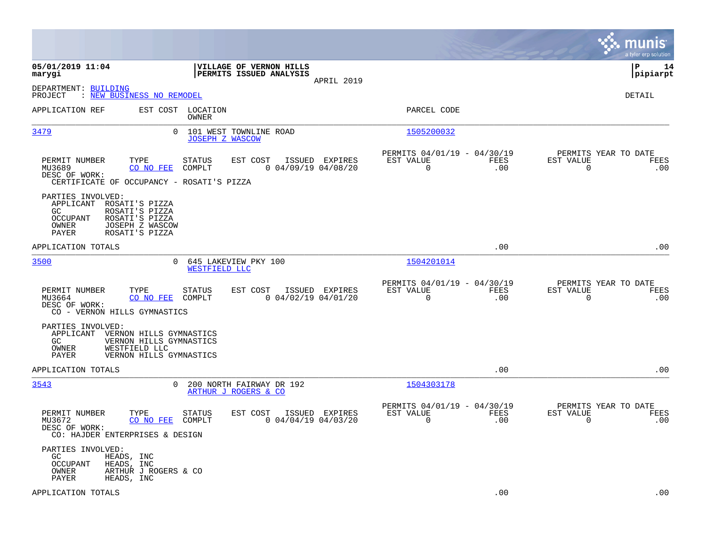|                                                                                                                                                                   |                                                                         |                                                         |             |                                                  | munis<br>a tyler erp solution |
|-------------------------------------------------------------------------------------------------------------------------------------------------------------------|-------------------------------------------------------------------------|---------------------------------------------------------|-------------|--------------------------------------------------|-------------------------------|
| 05/01/2019 11:04<br>marygi                                                                                                                                        | <b>VILLAGE OF VERNON HILLS</b><br>PERMITS ISSUED ANALYSIS<br>APRIL 2019 |                                                         |             |                                                  | l P<br>14<br> pipiarpt        |
| DEPARTMENT: BUILDING<br>: NEW BUSINESS NO REMODEL<br>PROJECT                                                                                                      |                                                                         |                                                         |             |                                                  | <b>DETAIL</b>                 |
| APPLICATION REF<br>EST COST LOCATION<br>OWNER                                                                                                                     |                                                                         | PARCEL CODE                                             |             |                                                  |                               |
| 3479<br>$\Omega$                                                                                                                                                  | 101 WEST TOWNLINE ROAD<br><b>JOSEPH Z WASCOW</b>                        | 1505200032                                              |             |                                                  |                               |
| PERMIT NUMBER<br>TYPE<br>STATUS<br>MU3689<br>CO NO FEE<br>COMPLT<br>DESC OF WORK:<br>CERTIFICATE OF OCCUPANCY - ROSATI'S PIZZA                                    | EST COST<br>ISSUED EXPIRES<br>$0$ 04/09/19 04/08/20                     | PERMITS 04/01/19 - 04/30/19<br>EST VALUE<br>$\mathbf 0$ | FEES<br>.00 | PERMITS YEAR TO DATE<br>EST VALUE<br>$\mathbf 0$ | FEES<br>.00                   |
| PARTIES INVOLVED:<br>APPLICANT ROSATI'S PIZZA<br>ROSATI'S PIZZA<br>GC<br><b>OCCUPANT</b><br>ROSATI'S PIZZA<br>OWNER<br>JOSEPH Z WASCOW<br>ROSATI'S PIZZA<br>PAYER |                                                                         |                                                         |             |                                                  |                               |
| APPLICATION TOTALS                                                                                                                                                |                                                                         |                                                         | .00         |                                                  | .00                           |
| 3500<br>$\Omega$                                                                                                                                                  | 645 LAKEVIEW PKY 100<br>WESTFIELD LLC                                   | 1504201014                                              |             |                                                  |                               |
| PERMIT NUMBER<br>TYPE<br>STATUS<br>MU3664<br>CO NO FEE<br>COMPLT<br>DESC OF WORK:<br>CO - VERNON HILLS GYMNASTICS                                                 | EST COST<br>ISSUED EXPIRES<br>$0$ 04/02/19 04/01/20                     | PERMITS 04/01/19 - 04/30/19<br>EST VALUE<br>$\mathbf 0$ | FEES<br>.00 | PERMITS YEAR TO DATE<br>EST VALUE<br>$\mathbf 0$ | FEES<br>.00                   |
| PARTIES INVOLVED:<br>APPLICANT VERNON HILLS GYMNASTICS<br>VERNON HILLS GYMNASTICS<br>GC.<br>OWNER<br>WESTFIELD LLC<br>PAYER<br>VERNON HILLS GYMNASTICS            |                                                                         |                                                         |             |                                                  |                               |
| APPLICATION TOTALS                                                                                                                                                |                                                                         |                                                         | .00         |                                                  | .00                           |
| 3543<br>0                                                                                                                                                         | 200 NORTH FAIRWAY DR 192<br>ARTHUR J ROGERS & CO                        | 1504303178                                              |             |                                                  |                               |
| STATUS<br>PERMIT NUMBER<br>TYPE<br>CO NO FEE<br>COMPLT<br>MU3672<br>DESC OF WORK:<br>CO: HAJDER ENTERPRISES & DESIGN                                              | EST COST<br>ISSUED EXPIRES<br>$0$ 04/04/19 04/03/20                     | PERMITS 04/01/19 - 04/30/19<br>EST VALUE<br>$\mathbf 0$ | FEES<br>.00 | PERMITS YEAR TO DATE<br>EST VALUE<br>$\mathbf 0$ | FEES<br>.00                   |
| PARTIES INVOLVED:<br>GC<br>HEADS, INC<br>OCCUPANT<br>HEADS, INC<br>OWNER<br>ARTHUR J ROGERS & CO<br>PAYER<br>HEADS, INC                                           |                                                                         |                                                         |             |                                                  |                               |
| APPLICATION TOTALS                                                                                                                                                |                                                                         |                                                         | .00         |                                                  | .00                           |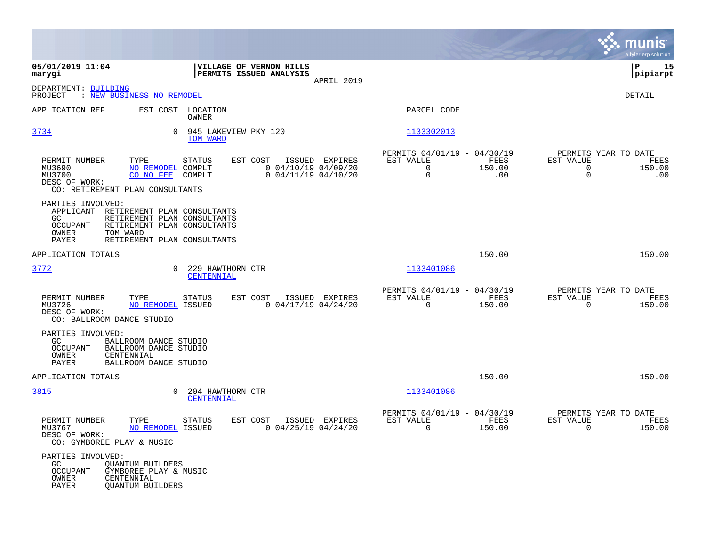|                                                                                                                            |                                                                                           |                                                                     |                                                         |                       | munis<br>a tyler erp solution                                            |     |
|----------------------------------------------------------------------------------------------------------------------------|-------------------------------------------------------------------------------------------|---------------------------------------------------------------------|---------------------------------------------------------|-----------------------|--------------------------------------------------------------------------|-----|
| 05/01/2019 11:04<br>marygi                                                                                                 | VILLAGE OF VERNON HILLS<br>PERMITS ISSUED ANALYSIS                                        |                                                                     |                                                         |                       | ∣P<br>pipiarpt                                                           | 15  |
| DEPARTMENT: BUILDING<br>: NEW BUSINESS NO REMODEL<br>PROJECT                                                               |                                                                                           | APRIL 2019                                                          |                                                         |                       | DETAIL                                                                   |     |
| APPLICATION REF                                                                                                            | EST COST LOCATION<br>OWNER                                                                |                                                                     | PARCEL CODE                                             |                       |                                                                          |     |
| 3734                                                                                                                       | $\Omega$<br>945 LAKEVIEW PKY 120<br>TOM WARD                                              |                                                                     | 1133302013                                              |                       |                                                                          |     |
| PERMIT NUMBER<br>TYPE<br>MU3690<br>MU3700<br>DESC OF WORK:<br>CO: RETIREMENT PLAN CONSULTANTS                              | <b>STATUS</b><br>EST COST<br>NO REMODEL COMPLT<br>CO NO FEE<br>COMPLT                     | ISSUED<br>EXPIRES<br>$0$ 04/10/19 04/09/20<br>$0$ 04/11/19 04/10/20 | PERMITS 04/01/19 - 04/30/19<br>EST VALUE<br>0<br>0      | FEES<br>150.00<br>.00 | PERMITS YEAR TO DATE<br>EST VALUE<br>FEES<br>0<br>150.00<br>$\mathsf{O}$ | .00 |
| PARTIES INVOLVED:<br>APPLICANT RETIREMENT PLAN CONSULTANTS<br>GC.<br>OCCUPANT<br>OWNER<br>TOM WARD<br>PAYER                | RETIREMENT PLAN CONSULTANTS<br>RETIREMENT PLAN CONSULTANTS<br>RETIREMENT PLAN CONSULTANTS |                                                                     |                                                         |                       |                                                                          |     |
| APPLICATION TOTALS                                                                                                         |                                                                                           |                                                                     |                                                         | 150.00                | 150.00                                                                   |     |
| 3772                                                                                                                       | 229 HAWTHORN CTR<br>0<br>CENTENNIAL                                                       |                                                                     | 1133401086                                              |                       |                                                                          |     |
| PERMIT NUMBER<br>TYPE<br>MU3726<br>DESC OF WORK:<br>CO: BALLROOM DANCE STUDIO                                              | EST COST<br>STATUS<br><b>NO REMODEL ISSUED</b>                                            | ISSUED EXPIRES<br>$0$ 04/17/19 04/24/20                             | PERMITS 04/01/19 - 04/30/19<br>EST VALUE<br>$\Omega$    | FEES<br>150.00        | PERMITS YEAR TO DATE<br>EST VALUE<br>FEES<br>$\Omega$<br>150.00          |     |
| PARTIES INVOLVED:<br>GC<br>OCCUPANT<br>OWNER<br>CENTENNIAL<br>PAYER                                                        | BALLROOM DANCE STUDIO<br>BALLROOM DANCE STUDIO<br>BALLROOM DANCE STUDIO                   |                                                                     |                                                         |                       |                                                                          |     |
| APPLICATION TOTALS                                                                                                         |                                                                                           |                                                                     |                                                         | 150.00                | 150.00                                                                   |     |
| 3815                                                                                                                       | 204 HAWTHORN CTR<br>0<br><b>CENTENNIAL</b>                                                |                                                                     | 1133401086                                              |                       |                                                                          |     |
| PERMIT NUMBER<br>TYPE<br>MU3767<br>DESC OF WORK:<br>CO: GYMBOREE PLAY & MUSIC                                              | <b>STATUS</b><br>EST COST<br>NO REMODEL ISSUED                                            | ISSUED EXPIRES<br>$0$ 04/25/19 04/24/20                             | PERMITS 04/01/19 - 04/30/19<br>EST VALUE<br>$\mathbf 0$ | FEES<br>150.00        | PERMITS YEAR TO DATE<br>EST VALUE<br>FEES<br>0<br>150.00                 |     |
| PARTIES INVOLVED:<br>GC.<br><b>QUANTUM BUILDERS</b><br>OCCUPANT<br>OWNER<br>CENTENNIAL<br>PAYER<br><b>QUANTUM BUILDERS</b> | GYMBOREE PLAY & MUSIC                                                                     |                                                                     |                                                         |                       |                                                                          |     |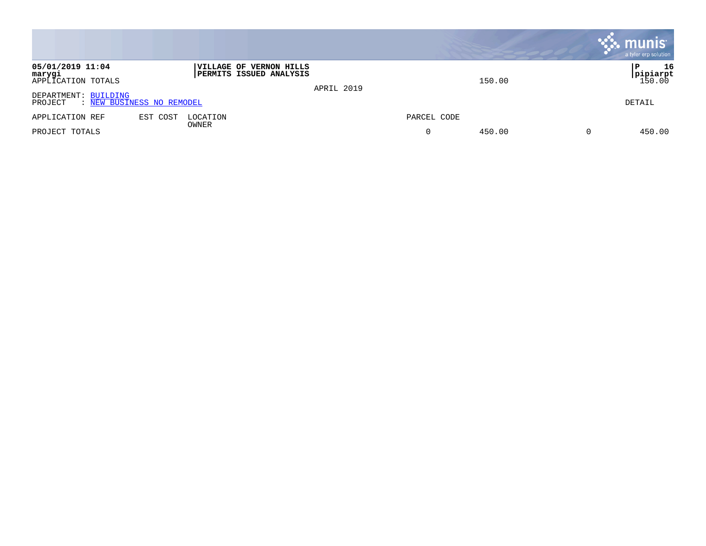|                                                              |                                                           |            |             |        | $\mathbf{\ddot{.}}\mathbf{.}$ munis<br>a tyler erp solution |
|--------------------------------------------------------------|-----------------------------------------------------------|------------|-------------|--------|-------------------------------------------------------------|
| 05/01/2019 11:04<br>marygi<br>APPLICATION TOTALS             | <b>VILLAGE OF VERNON HILLS</b><br>PERMITS ISSUED ANALYSIS | APRIL 2019 |             | 150.00 | 16<br>l P<br><b>pipiarpt</b><br>150.00                      |
| DEPARTMENT: BUILDING<br>: NEW BUSINESS NO REMODEL<br>PROJECT |                                                           |            |             |        | DETAIL                                                      |
| EST COST<br>APPLICATION REF                                  | LOCATION<br>OWNER                                         |            | PARCEL CODE |        |                                                             |
| PROJECT TOTALS                                               |                                                           |            |             | 450.00 | 450.00                                                      |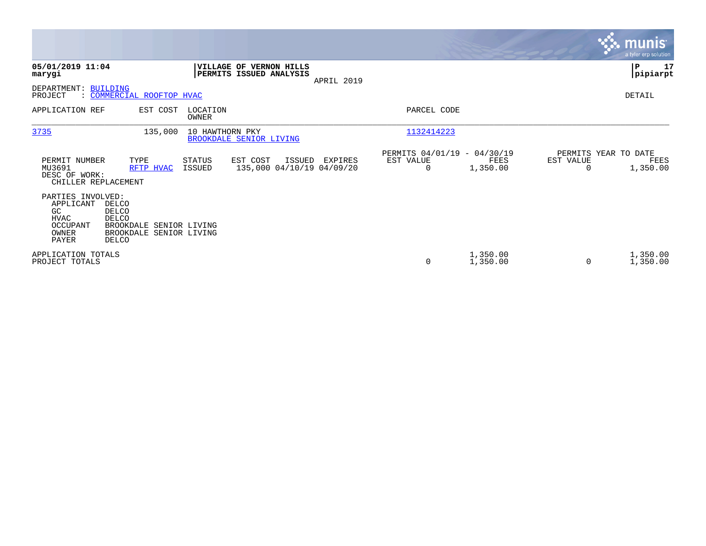|                                                                                   |                                                                                        |                   |                                                           |            |                                               |                      |           | <b>munis</b><br>a tyler erp solution     |
|-----------------------------------------------------------------------------------|----------------------------------------------------------------------------------------|-------------------|-----------------------------------------------------------|------------|-----------------------------------------------|----------------------|-----------|------------------------------------------|
| 05/01/2019 11:04<br>marygi                                                        |                                                                                        |                   | <b>VILLAGE OF VERNON HILLS</b><br>PERMITS ISSUED ANALYSIS | APRIL 2019 |                                               |                      |           | ∣₽<br>17<br> pipiarpt                    |
| DEPARTMENT:<br>PROJECT                                                            | <b>BUILDING</b><br>: COMMERCIAL ROOFTOP HVAC                                           |                   |                                                           |            |                                               |                      |           | DETAIL                                   |
| APPLICATION REF                                                                   | EST COST                                                                               | LOCATION<br>OWNER |                                                           |            | PARCEL CODE                                   |                      |           |                                          |
| 3735                                                                              | 135,000                                                                                | 10 HAWTHORN PKY   | BROOKDALE SENIOR LIVING                                   |            | 1132414223                                    |                      |           |                                          |
| PERMIT NUMBER<br>MU3691<br>DESC OF WORK:<br>CHILLER REPLACEMENT                   | TYPE<br>RFTP HVAC                                                                      | STATUS<br>ISSUED  | EST COST<br>ISSUED<br>135,000 04/10/19 04/09/20           | EXPIRES    | PERMITS 04/01/19 - 04/30/19<br>EST VALUE<br>0 | FEES<br>1,350.00     | EST VALUE | PERMITS YEAR TO DATE<br>FEES<br>1,350.00 |
| PARTIES INVOLVED:<br>APPLICANT<br>GC<br><b>HVAC</b><br>OCCUPANT<br>OWNER<br>PAYER | DELCO<br>DELCO<br>DELCO<br>BROOKDALE SENIOR LIVING<br>BROOKDALE SENIOR LIVING<br>DELCO |                   |                                                           |            |                                               |                      |           |                                          |
| APPLICATION TOTALS<br>PROJECT TOTALS                                              |                                                                                        |                   |                                                           |            | 0                                             | 1,350.00<br>1,350.00 |           | 1,350.00<br>1,350.00                     |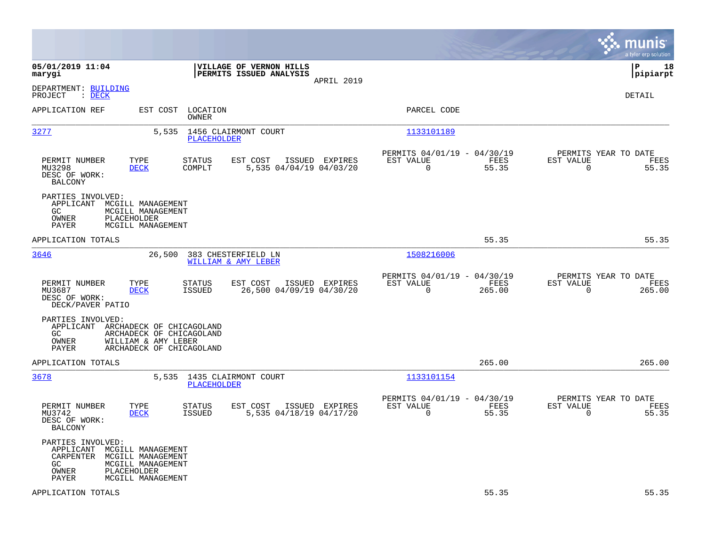|                                                                                                                                                                        |                                                                                  |                                                                           | munis<br>a tyler erp solution                                      |
|------------------------------------------------------------------------------------------------------------------------------------------------------------------------|----------------------------------------------------------------------------------|---------------------------------------------------------------------------|--------------------------------------------------------------------|
| 05/01/2019 11:04<br>marygi                                                                                                                                             | VILLAGE OF VERNON HILLS<br>PERMITS ISSUED ANALYSIS<br>APRIL 2019                 |                                                                           | lР<br>18<br> pipiarpt                                              |
| DEPARTMENT: BUILDING<br>PROJECT<br>$\therefore$ DECK                                                                                                                   |                                                                                  |                                                                           | DETAIL                                                             |
| APPLICATION REF<br>EST COST                                                                                                                                            | LOCATION<br>OWNER                                                                | PARCEL CODE                                                               |                                                                    |
| 3277<br>5,535                                                                                                                                                          | 1456 CLAIRMONT COURT<br>PLACEHOLDER                                              | 1133101189                                                                |                                                                    |
| PERMIT NUMBER<br>TYPE<br>MU3298<br><b>DECK</b><br>DESC OF WORK:<br><b>BALCONY</b>                                                                                      | <b>STATUS</b><br>EST COST<br>ISSUED EXPIRES<br>COMPLT<br>5,535 04/04/19 04/03/20 | PERMITS 04/01/19 - 04/30/19<br>EST VALUE<br>FEES<br>$\mathbf 0$<br>55.35  | PERMITS YEAR TO DATE<br>EST VALUE<br>FEES<br>$\mathbf 0$<br>55.35  |
| PARTIES INVOLVED:<br>APPLICANT MCGILL MANAGEMENT<br>GC<br>MCGILL MANAGEMENT<br>OWNER<br>PLACEHOLDER<br>PAYER<br>MCGILL MANAGEMENT                                      |                                                                                  |                                                                           |                                                                    |
| APPLICATION TOTALS                                                                                                                                                     |                                                                                  | 55.35                                                                     | 55.35                                                              |
| 3646<br>26,500                                                                                                                                                         | 383 CHESTERFIELD LN<br>WILLIAM & AMY LEBER                                       | 1508216006                                                                |                                                                    |
| PERMIT NUMBER<br>TYPE<br>MU3687<br><b>DECK</b><br>DESC OF WORK:<br>DECK/PAVER PATIO                                                                                    | ISSUED EXPIRES<br>STATUS<br>EST COST<br>26,500 04/09/19 04/30/20<br>ISSUED       | PERMITS 04/01/19 - 04/30/19<br>EST VALUE<br>FEES<br>$\mathbf 0$<br>265.00 | PERMITS YEAR TO DATE<br>EST VALUE<br>FEES<br>$\mathbf 0$<br>265.00 |
| PARTIES INVOLVED:<br>APPLICANT ARCHADECK OF CHICAGOLAND<br>GC<br>ARCHADECK OF CHICAGOLAND<br>OWNER<br>WILLIAM & AMY LEBER<br>PAYER<br>ARCHADECK OF CHICAGOLAND         |                                                                                  |                                                                           |                                                                    |
| APPLICATION TOTALS                                                                                                                                                     |                                                                                  | 265.00                                                                    | 265.00                                                             |
| 3678                                                                                                                                                                   | 5,535<br>1435 CLAIRMONT COURT<br><b>PLACEHOLDER</b>                              | 1133101154                                                                |                                                                    |
| PERMIT NUMBER<br>TYPE<br>MU3742<br><b>DECK</b><br>DESC OF WORK:<br><b>BALCONY</b>                                                                                      | STATUS<br>EST COST<br>ISSUED EXPIRES<br><b>ISSUED</b><br>5,535 04/18/19 04/17/20 | PERMITS 04/01/19 - 04/30/19<br>EST VALUE<br>FEES<br>$\mathbf 0$<br>55.35  | PERMITS YEAR TO DATE<br>EST VALUE<br>FEES<br>$\mathbf 0$<br>55.35  |
| PARTIES INVOLVED:<br>APPLICANT<br>MCGILL MANAGEMENT<br>CARPENTER<br>MCGILL MANAGEMENT<br>GC<br>MCGILL MANAGEMENT<br>PLACEHOLDER<br>OWNER<br>PAYER<br>MCGILL MANAGEMENT |                                                                                  |                                                                           |                                                                    |
| APPLICATION TOTALS                                                                                                                                                     |                                                                                  | 55.35                                                                     | 55.35                                                              |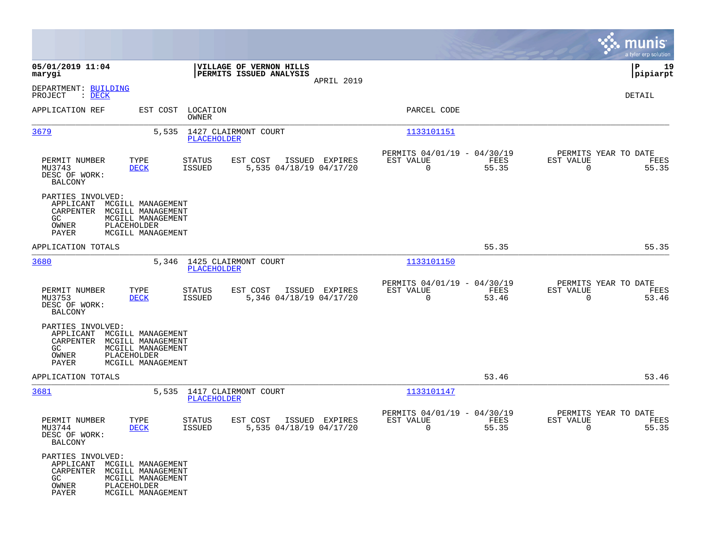|                                                                                                                                                                         |                                                                                         |                                                                             | munis<br>a tyler erp solution                                        |
|-------------------------------------------------------------------------------------------------------------------------------------------------------------------------|-----------------------------------------------------------------------------------------|-----------------------------------------------------------------------------|----------------------------------------------------------------------|
| 05/01/2019 11:04<br>marygi                                                                                                                                              | VILLAGE OF VERNON HILLS<br>PERMITS ISSUED ANALYSIS                                      |                                                                             | 19<br>P<br> pipiarpt                                                 |
| DEPARTMENT: BUILDING<br>PROJECT<br>$\therefore$ DECK                                                                                                                    | APRIL 2019                                                                              |                                                                             | DETAIL                                                               |
| APPLICATION REF                                                                                                                                                         | EST COST LOCATION<br><b>OWNER</b>                                                       | PARCEL CODE                                                                 |                                                                      |
| 3679                                                                                                                                                                    | 5,535 1427 CLAIRMONT COURT<br>PLACEHOLDER                                               | 1133101151                                                                  |                                                                      |
| PERMIT NUMBER<br>TYPE<br>MU3743<br><b>DECK</b><br>DESC OF WORK:<br><b>BALCONY</b>                                                                                       | EST COST<br><b>STATUS</b><br>ISSUED EXPIRES<br><b>ISSUED</b><br>5,535 04/18/19 04/17/20 | PERMITS 04/01/19 - 04/30/19<br>EST VALUE<br>FEES<br>55.35<br>$\overline{0}$ | PERMITS YEAR TO DATE<br>EST VALUE<br>FEES<br>$\overline{0}$<br>55.35 |
| PARTIES INVOLVED:<br>APPLICANT<br>MCGILL MANAGEMENT<br>MCGILL MANAGEMENT<br>CARPENTER<br>MCGILL MANAGEMENT<br>GC.<br>PLACEHOLDER<br>OWNER<br>PAYER<br>MCGILL MANAGEMENT |                                                                                         |                                                                             |                                                                      |
| APPLICATION TOTALS                                                                                                                                                      |                                                                                         | 55.35                                                                       | 55.35                                                                |
| 3680                                                                                                                                                                    | 5,346<br>1425 CLAIRMONT COURT<br><b>PLACEHOLDER</b>                                     | 1133101150                                                                  |                                                                      |
| PERMIT NUMBER<br>TYPE<br>MU3753<br><b>DECK</b><br>DESC OF WORK:<br><b>BALCONY</b>                                                                                       | <b>STATUS</b><br>ISSUED EXPIRES<br>EST COST<br><b>ISSUED</b><br>5,346 04/18/19 04/17/20 | PERMITS 04/01/19 - 04/30/19<br>EST VALUE<br>FEES<br>$\mathbf 0$<br>53.46    | PERMITS YEAR TO DATE<br>EST VALUE<br>FEES<br>$\Omega$<br>53.46       |
| PARTIES INVOLVED:<br>MCGILL MANAGEMENT<br>APPLICANT<br>CARPENTER<br>MCGILL MANAGEMENT<br>GC.<br>MCGILL MANAGEMENT<br>PLACEHOLDER<br>OWNER<br>PAYER<br>MCGILL MANAGEMENT |                                                                                         |                                                                             |                                                                      |
| APPLICATION TOTALS                                                                                                                                                      |                                                                                         | 53.46                                                                       | 53.46                                                                |
| 3681                                                                                                                                                                    | 5,535 1417 CLAIRMONT COURT<br>PLACEHOLDER                                               | 1133101147                                                                  |                                                                      |
| PERMIT NUMBER<br>TYPE<br>MU3744<br><b>DECK</b><br>DESC OF WORK:<br><b>BALCONY</b>                                                                                       | STATUS<br>EST COST<br>ISSUED EXPIRES<br>5,535 04/18/19 04/17/20<br><b>ISSUED</b>        | PERMITS 04/01/19 - 04/30/19<br>EST VALUE<br>FEES<br>55.35<br>0              | PERMITS YEAR TO DATE<br>EST VALUE<br>FEES<br>0<br>55.35              |
| PARTIES INVOLVED:<br>APPLICANT MCGILL MANAGEMENT<br>CARPENTER MCGILL MANAGEMENT<br>GC<br>MCGILL MANAGEMENT<br>OWNER<br>PLACEHOLDER<br>PAYER<br>MCGILL MANAGEMENT        |                                                                                         |                                                                             |                                                                      |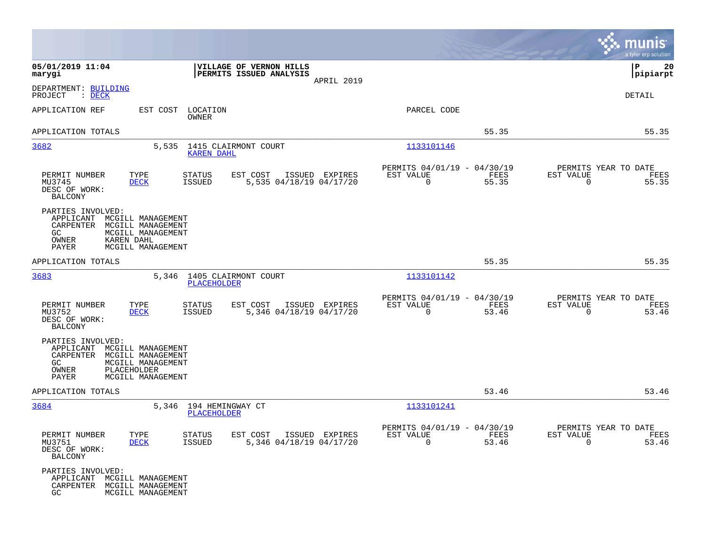|                                                                                                                                                                         |                                                                                         |                                                                          | munis<br>a tyler erp solution                                     |
|-------------------------------------------------------------------------------------------------------------------------------------------------------------------------|-----------------------------------------------------------------------------------------|--------------------------------------------------------------------------|-------------------------------------------------------------------|
| 05/01/2019 11:04<br>marygi                                                                                                                                              | VILLAGE OF VERNON HILLS<br>PERMITS ISSUED ANALYSIS<br>APRIL 2019                        |                                                                          | lР<br>20<br> pipiarpt                                             |
| DEPARTMENT: BUILDING<br>PROJECT<br>$\therefore$ DECK                                                                                                                    |                                                                                         |                                                                          | DETAIL                                                            |
| APPLICATION REF<br>EST COST                                                                                                                                             | LOCATION<br>OWNER                                                                       | PARCEL CODE                                                              |                                                                   |
| APPLICATION TOTALS                                                                                                                                                      |                                                                                         | 55.35                                                                    | 55.35                                                             |
| 3682<br>5,535                                                                                                                                                           | 1415 CLAIRMONT COURT<br><b>KAREN DAHL</b>                                               | 1133101146                                                               |                                                                   |
| PERMIT NUMBER<br>TYPE<br>MU3745<br><b>DECK</b><br>DESC OF WORK:<br><b>BALCONY</b>                                                                                       | <b>STATUS</b><br>EST COST<br>ISSUED EXPIRES<br><b>ISSUED</b><br>5,535 04/18/19 04/17/20 | PERMITS 04/01/19 - 04/30/19<br>EST VALUE<br>FEES<br>0<br>55.35           | PERMITS YEAR TO DATE<br>EST VALUE<br>FEES<br>0<br>55.35           |
| PARTIES INVOLVED:<br>APPLICANT<br>MCGILL MANAGEMENT<br>CARPENTER<br>MCGILL MANAGEMENT<br>GC<br>MCGILL MANAGEMENT<br>OWNER<br>KAREN DAHL<br>PAYER<br>MCGILL MANAGEMENT   |                                                                                         |                                                                          |                                                                   |
| APPLICATION TOTALS                                                                                                                                                      |                                                                                         | 55.35                                                                    | 55.35                                                             |
| 3683<br>5,346                                                                                                                                                           | 1405 CLAIRMONT COURT<br><b>PLACEHOLDER</b>                                              | 1133101142                                                               |                                                                   |
| PERMIT NUMBER<br>TYPE<br>MU3752<br><b>DECK</b><br>DESC OF WORK:<br><b>BALCONY</b>                                                                                       | <b>STATUS</b><br>EST COST<br>ISSUED EXPIRES<br><b>ISSUED</b><br>5,346 04/18/19 04/17/20 | PERMITS 04/01/19 - 04/30/19<br>EST VALUE<br>FEES<br>$\mathbf 0$<br>53.46 | PERMITS YEAR TO DATE<br>EST VALUE<br>FEES<br>$\mathbf 0$<br>53.46 |
| PARTIES INVOLVED:<br>APPLICANT<br>MCGILL MANAGEMENT<br>CARPENTER<br>MCGILL MANAGEMENT<br>GC.<br>MCGILL MANAGEMENT<br>PLACEHOLDER<br>OWNER<br>PAYER<br>MCGILL MANAGEMENT |                                                                                         |                                                                          |                                                                   |
| APPLICATION TOTALS                                                                                                                                                      |                                                                                         | 53.46                                                                    | 53.46                                                             |
| 3684<br>5,346                                                                                                                                                           | 194 HEMINGWAY CT<br>PLACEHOLDER                                                         | 1133101241                                                               |                                                                   |
| PERMIT NUMBER<br>TYPE<br>MU3751<br><b>DECK</b><br>DESC OF WORK:<br><b>BALCONY</b>                                                                                       | <b>STATUS</b><br>EST COST<br>ISSUED EXPIRES<br><b>ISSUED</b><br>5,346 04/18/19 04/17/20 | PERMITS 04/01/19 - 04/30/19<br>EST VALUE<br>FEES<br>0<br>53.46           | PERMITS YEAR TO DATE<br>EST VALUE<br>FEES<br>$\mathbf 0$<br>53.46 |
| PARTIES INVOLVED:<br>APPLICANT<br>MCGILL MANAGEMENT<br>CARPENTER<br>MCGILL MANAGEMENT<br>GC<br>MCGILL MANAGEMENT                                                        |                                                                                         |                                                                          |                                                                   |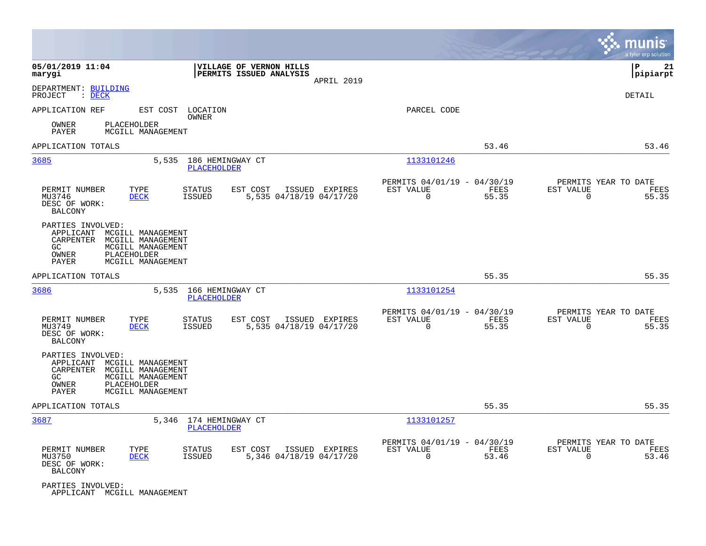|                                                                                        |                                                                            |                                              |                                                    |                |                                                         |               |                                                  | munis<br>a tyler erp solution |
|----------------------------------------------------------------------------------------|----------------------------------------------------------------------------|----------------------------------------------|----------------------------------------------------|----------------|---------------------------------------------------------|---------------|--------------------------------------------------|-------------------------------|
| 05/01/2019 11:04<br>marygi                                                             |                                                                            |                                              | VILLAGE OF VERNON HILLS<br>PERMITS ISSUED ANALYSIS | APRIL 2019     |                                                         |               |                                                  | lР<br>21<br> pipiarpt         |
| DEPARTMENT: BUILDING<br>PROJECT<br>$\therefore$ DECK                                   |                                                                            |                                              |                                                    |                |                                                         |               |                                                  | DETAIL                        |
| APPLICATION REF                                                                        |                                                                            | EST COST LOCATION<br><b>OWNER</b>            |                                                    |                | PARCEL CODE                                             |               |                                                  |                               |
| OWNER<br>PAYER                                                                         | PLACEHOLDER<br>MCGILL MANAGEMENT                                           |                                              |                                                    |                |                                                         |               |                                                  |                               |
| APPLICATION TOTALS                                                                     |                                                                            |                                              |                                                    |                |                                                         | 53.46         |                                                  | 53.46                         |
| 3685                                                                                   | 5,535                                                                      | 186 HEMINGWAY CT<br>PLACEHOLDER              |                                                    |                | 1133101246                                              |               |                                                  |                               |
| PERMIT NUMBER<br>MU3746<br>DESC OF WORK:<br><b>BALCONY</b>                             | TYPE<br><b>DECK</b>                                                        | <b>STATUS</b><br>ISSUED                      | EST COST<br>5,535 04/18/19 04/17/20                | ISSUED EXPIRES | PERMITS 04/01/19 - 04/30/19<br>EST VALUE<br>$\mathbf 0$ | FEES<br>55.35 | PERMITS YEAR TO DATE<br>EST VALUE<br>$\mathbf 0$ | FEES<br>55.35                 |
| PARTIES INVOLVED:<br>APPLICANT MCGILL MANAGEMENT<br>CARPENTER<br>GC<br>OWNER<br>PAYER  | MCGILL MANAGEMENT<br>MCGILL MANAGEMENT<br>PLACEHOLDER<br>MCGILL MANAGEMENT |                                              |                                                    |                |                                                         |               |                                                  |                               |
| APPLICATION TOTALS                                                                     |                                                                            |                                              |                                                    |                |                                                         | 55.35         |                                                  | 55.35                         |
| 3686                                                                                   |                                                                            | 5,535 166 HEMINGWAY CT<br><b>PLACEHOLDER</b> |                                                    |                | 1133101254                                              |               |                                                  |                               |
| PERMIT NUMBER<br>MU3749<br>DESC OF WORK:<br>BALCONY                                    | TYPE<br><b>DECK</b>                                                        | <b>STATUS</b><br>ISSUED                      | EST COST<br>5,535 04/18/19 04/17/20                | ISSUED EXPIRES | PERMITS 04/01/19 - 04/30/19<br>EST VALUE<br>0           | FEES<br>55.35 | PERMITS YEAR TO DATE<br>EST VALUE<br>$\mathbf 0$ | FEES<br>55.35                 |
| PARTIES INVOLVED:<br>APPLICANT MCGILL MANAGEMENT<br>CARPENTER<br>GC.<br>OWNER<br>PAYER | MCGILL MANAGEMENT<br>MCGILL MANAGEMENT<br>PLACEHOLDER<br>MCGILL MANAGEMENT |                                              |                                                    |                |                                                         |               |                                                  |                               |
| APPLICATION TOTALS                                                                     |                                                                            |                                              |                                                    |                |                                                         | 55.35         |                                                  | 55.35                         |
| 3687                                                                                   | 5,346                                                                      | 174 HEMINGWAY CT<br><b>PLACEHOLDER</b>       |                                                    |                | 1133101257                                              |               |                                                  |                               |
| PERMIT NUMBER<br>MU3750<br>DESC OF WORK:<br><b>BALCONY</b>                             | TYPE<br><b>DECK</b>                                                        | <b>STATUS</b><br>ISSUED                      | EST COST<br>5,346 04/18/19 04/17/20                | ISSUED EXPIRES | PERMITS 04/01/19 - 04/30/19<br>EST VALUE<br>$\mathbf 0$ | FEES<br>53.46 | PERMITS YEAR TO DATE<br>EST VALUE<br>$\mathbf 0$ | FEES<br>53.46                 |
| PARTIES INVOLVED:<br>APPLICANT MCGILL MANAGEMENT                                       |                                                                            |                                              |                                                    |                |                                                         |               |                                                  |                               |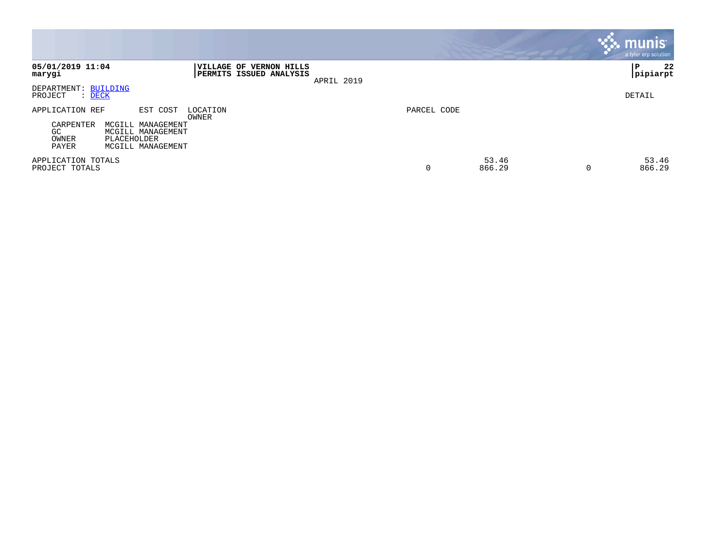|                                                      |                                                                                        |                                                    |            |             |                 |          | <b>munis</b><br>a tyler erp solution |
|------------------------------------------------------|----------------------------------------------------------------------------------------|----------------------------------------------------|------------|-------------|-----------------|----------|--------------------------------------|
| 05/01/2019 11:04<br>marygi                           |                                                                                        | VILLAGE OF VERNON HILLS<br>PERMITS ISSUED ANALYSIS | APRIL 2019 |             |                 |          | 22<br>l P<br> pipiarpt               |
| DEPARTMENT: BUILDING<br>PROJECT<br>$:$ DECK          |                                                                                        |                                                    |            |             |                 |          | DETAIL                               |
| APPLICATION REF<br>CARPENTER<br>GC<br>OWNER<br>PAYER | EST COST<br>MCGILL MANAGEMENT<br>MCGILL MANAGEMENT<br>PLACEHOLDER<br>MCGILL MANAGEMENT | LOCATION<br>OWNER                                  |            | PARCEL CODE |                 |          |                                      |
| APPLICATION TOTALS<br>PROJECT TOTALS                 |                                                                                        |                                                    |            | 0           | 53.46<br>866.29 | $\Omega$ | 53.46<br>866.29                      |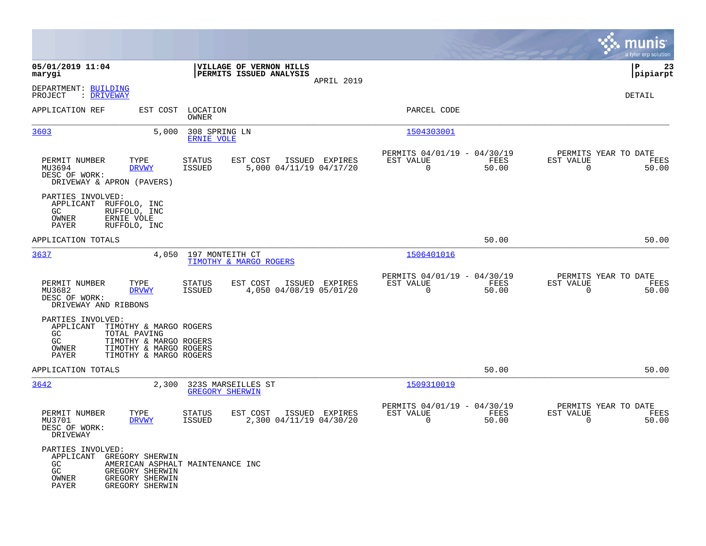|                                                                                                                                          |                                                                                                      |                                                                       | munis<br>a tyler erp solution                                     |
|------------------------------------------------------------------------------------------------------------------------------------------|------------------------------------------------------------------------------------------------------|-----------------------------------------------------------------------|-------------------------------------------------------------------|
| 05/01/2019 11:04<br>marygi                                                                                                               | VILLAGE OF VERNON HILLS<br>PERMITS ISSUED ANALYSIS<br>APRIL 2019                                     |                                                                       | P<br>23<br> pipiarpt                                              |
| DEPARTMENT: BUILDING<br>PROJECT<br>: DRIVEWAY                                                                                            |                                                                                                      |                                                                       | DETAIL                                                            |
| APPLICATION REF                                                                                                                          | EST COST<br>LOCATION<br><b>OWNER</b>                                                                 | PARCEL CODE                                                           |                                                                   |
| 3603                                                                                                                                     | 5,000<br>308 SPRING LN<br><b>ERNIE VOLE</b>                                                          | 1504303001                                                            |                                                                   |
| PERMIT NUMBER<br>TYPE<br>MU3694<br><b>DRVWY</b><br>DESC OF WORK:<br>DRIVEWAY & APRON (PAVERS)                                            | EST COST<br><b>STATUS</b><br>ISSUED EXPIRES<br>5,000 04/11/19 04/17/20<br><b>ISSUED</b>              | PERMITS 04/01/19 - 04/30/19<br>EST VALUE<br>FEES<br>0<br>50.00        | PERMITS YEAR TO DATE<br>EST VALUE<br>FEES<br>0<br>50.00           |
| PARTIES INVOLVED:<br>APPLICANT<br>RUFFOLO, INC<br>GC.<br>RUFFOLO, INC<br>ERNIE VOLE<br>OWNER<br>PAYER<br>RUFFOLO, INC                    |                                                                                                      |                                                                       |                                                                   |
| APPLICATION TOTALS                                                                                                                       |                                                                                                      | 50.00                                                                 | 50.00                                                             |
| 3637                                                                                                                                     | 4,050<br>197 MONTEITH CT<br>TIMOTHY & MARGO ROGERS                                                   | 1506401016                                                            |                                                                   |
| PERMIT NUMBER<br>TYPE<br><b>DRVWY</b><br>MU3682<br>DESC OF WORK:<br>DRIVEWAY AND RIBBONS                                                 | <b>STATUS</b><br>EST COST<br>ISSUED<br>EXPIRES<br><b>ISSUED</b><br>4,050 04/08/19 05/01/20           | PERMITS 04/01/19 - 04/30/19<br>EST VALUE<br>FEES<br>$\Omega$<br>50.00 | PERMITS YEAR TO DATE<br>EST VALUE<br>FEES<br>50.00<br>$\Omega$    |
| PARTIES INVOLVED:<br>APPLICANT<br>GC<br>TOTAL PAVING<br>GC<br>OWNER<br>PAYER                                                             | TIMOTHY & MARGO ROGERS<br>TIMOTHY & MARGO ROGERS<br>TIMOTHY & MARGO ROGERS<br>TIMOTHY & MARGO ROGERS |                                                                       |                                                                   |
| APPLICATION TOTALS                                                                                                                       |                                                                                                      | 50.00                                                                 | 50.00                                                             |
| 3642                                                                                                                                     | 2,300<br>323S MARSEILLES ST<br><b>GREGORY SHERWIN</b>                                                | 1509310019                                                            |                                                                   |
| PERMIT NUMBER<br>TYPE<br>MU3701<br><b>DRVWY</b><br>DESC OF WORK:<br>DRIVEWAY                                                             | <b>STATUS</b><br>EST COST<br>ISSUED EXPIRES<br>2,300 04/11/19 04/30/20<br>ISSUED                     | PERMITS 04/01/19 - 04/30/19<br>EST VALUE<br>FEES<br>0<br>50.00        | PERMITS YEAR TO DATE<br>EST VALUE<br>FEES<br>$\mathbf 0$<br>50.00 |
| PARTIES INVOLVED:<br>APPLICANT<br>GREGORY SHERWIN<br>GC<br>GC<br>GREGORY SHERWIN<br>GREGORY SHERWIN<br>OWNER<br>GREGORY SHERWIN<br>PAYER | AMERICAN ASPHALT MAINTENANCE INC                                                                     |                                                                       |                                                                   |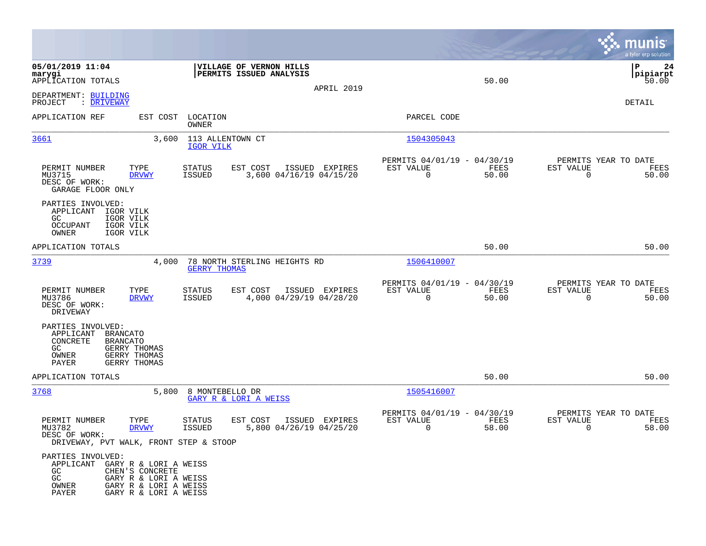|                                                                                                                                                                                     |                                                                                         |                                                                          | munis<br>a tyler erp solution                                     |
|-------------------------------------------------------------------------------------------------------------------------------------------------------------------------------------|-----------------------------------------------------------------------------------------|--------------------------------------------------------------------------|-------------------------------------------------------------------|
| 05/01/2019 11:04<br>marygi<br>APPLICATION TOTALS                                                                                                                                    | VILLAGE OF VERNON HILLS<br>PERMITS ISSUED ANALYSIS                                      | 50.00<br>APRIL 2019                                                      | ΙP<br>24<br> pipiarpt<br>50.00                                    |
| DEPARTMENT: BUILDING<br>: DRIVEWAY<br>PROJECT                                                                                                                                       |                                                                                         |                                                                          | DETAIL                                                            |
| APPLICATION REF<br>EST COST                                                                                                                                                         | LOCATION<br>OWNER                                                                       | PARCEL CODE                                                              |                                                                   |
| 3661<br>3,600                                                                                                                                                                       | 113 ALLENTOWN CT<br>IGOR VILK                                                           | 1504305043                                                               |                                                                   |
| PERMIT NUMBER<br>TYPE<br>MU3715<br><b>DRVWY</b><br>DESC OF WORK:<br>GARAGE FLOOR ONLY                                                                                               | EST COST<br>STATUS<br>ISSUED EXPIRES<br><b>ISSUED</b><br>3,600 04/16/19 04/15/20        | PERMITS 04/01/19 - 04/30/19<br>EST VALUE<br>FEES<br>$\mathbf 0$<br>50.00 | PERMITS YEAR TO DATE<br>EST VALUE<br>FEES<br>$\mathbf 0$<br>50.00 |
| PARTIES INVOLVED:<br>APPLICANT<br>IGOR VILK<br>GC<br>IGOR VILK<br>OCCUPANT<br>IGOR VILK<br>OWNER<br>IGOR VILK                                                                       |                                                                                         |                                                                          |                                                                   |
| APPLICATION TOTALS                                                                                                                                                                  |                                                                                         | 50.00                                                                    | 50.00                                                             |
| 3739<br>4,000                                                                                                                                                                       | 78 NORTH STERLING HEIGHTS RD<br><b>GERRY THOMAS</b>                                     | 1506410007                                                               |                                                                   |
| PERMIT NUMBER<br>TYPE<br>MU3786<br><b>DRVWY</b><br>DESC OF WORK:<br>DRIVEWAY                                                                                                        | <b>STATUS</b><br>EST COST<br>ISSUED EXPIRES<br><b>ISSUED</b><br>4,000 04/29/19 04/28/20 | PERMITS 04/01/19 - 04/30/19<br>EST VALUE<br>FEES<br>$\mathbf 0$<br>50.00 | PERMITS YEAR TO DATE<br>EST VALUE<br>FEES<br>$\mathbf 0$<br>50.00 |
| PARTIES INVOLVED:<br>APPLICANT<br><b>BRANCATO</b><br>CONCRETE<br><b>BRANCATO</b><br>GERRY THOMAS<br>GC.<br>GERRY THOMAS<br>OWNER<br>PAYER<br>GERRY THOMAS                           |                                                                                         |                                                                          |                                                                   |
| APPLICATION TOTALS                                                                                                                                                                  |                                                                                         | 50.00                                                                    | 50.00                                                             |
| 3768<br>5,800                                                                                                                                                                       | 8 MONTEBELLO DR<br>GARY R & LORI A WEISS                                                | 1505416007                                                               |                                                                   |
| PERMIT NUMBER<br>TYPE<br>MU3782<br><b>DRVWY</b><br>DESC OF WORK:<br>DRIVEWAY, PVT WALK, FRONT STEP & STOOP                                                                          | EST COST<br>STATUS<br>ISSUED EXPIRES<br><b>ISSUED</b><br>5,800 04/26/19 04/25/20        | PERMITS 04/01/19 - 04/30/19<br>EST VALUE<br>FEES<br>0<br>58.00           | PERMITS YEAR TO DATE<br>EST VALUE<br>FEES<br>58.00<br>0           |
| PARTIES INVOLVED:<br>GARY R & LORI A WEISS<br>APPLICANT<br>CHEN'S CONCRETE<br>GC<br>GC<br>GARY R & LORI A WEISS<br>OWNER<br>GARY R & LORI A WEISS<br>PAYER<br>GARY R & LORI A WEISS |                                                                                         |                                                                          |                                                                   |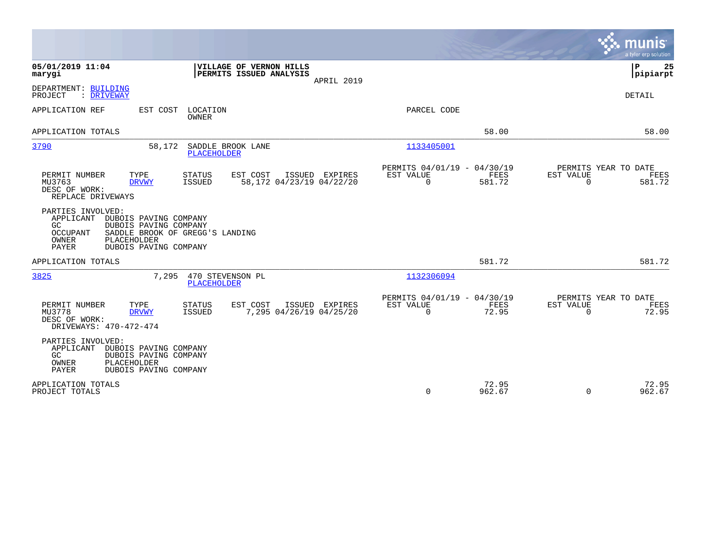|                                                                                                                                                                                                      |                |                                                         |                 | munis<br>a tyler erp solution                                   |
|------------------------------------------------------------------------------------------------------------------------------------------------------------------------------------------------------|----------------|---------------------------------------------------------|-----------------|-----------------------------------------------------------------|
| 05/01/2019 11:04<br>VILLAGE OF VERNON HILLS<br>PERMITS ISSUED ANALYSIS<br>marygi                                                                                                                     | APRIL 2019     |                                                         |                 | P<br>25<br> pipiarpt                                            |
| DEPARTMENT: BUILDING<br>PROJECT<br>: DRIVEWAY                                                                                                                                                        |                |                                                         |                 | <b>DETAIL</b>                                                   |
| EST COST<br>LOCATION<br>APPLICATION REF<br><b>OWNER</b>                                                                                                                                              |                | PARCEL CODE                                             |                 |                                                                 |
| APPLICATION TOTALS                                                                                                                                                                                   |                |                                                         | 58.00           | 58.00                                                           |
| 3790<br>58,172<br>SADDLE BROOK LANE<br><b>PLACEHOLDER</b>                                                                                                                                            |                | 1133405001                                              |                 |                                                                 |
| PERMIT NUMBER<br>TYPE<br><b>STATUS</b><br>EST COST<br>MU3763<br>58,172 04/23/19 04/22/20<br><b>DRVWY</b><br><b>ISSUED</b><br>DESC OF WORK:<br>REPLACE DRIVEWAYS                                      | ISSUED EXPIRES | PERMITS 04/01/19 - 04/30/19<br>EST VALUE<br>$\Omega$    | FEES<br>581.72  | PERMITS YEAR TO DATE<br>EST VALUE<br>FEES<br>$\Omega$<br>581.72 |
| PARTIES INVOLVED:<br>APPLICANT DUBOIS PAVING COMPANY<br>GC.<br>DUBOIS PAVING COMPANY<br>SADDLE BROOK OF GREGG'S LANDING<br><b>OCCUPANT</b><br>OWNER<br>PLACEHOLDER<br>PAYER<br>DUBOIS PAVING COMPANY |                |                                                         |                 |                                                                 |
| APPLICATION TOTALS                                                                                                                                                                                   |                |                                                         | 581.72          | 581.72                                                          |
| 470 STEVENSON PL<br>3825<br>7,295<br>PLACEHOLDER                                                                                                                                                     |                | 1132306094                                              |                 |                                                                 |
| PERMIT NUMBER<br>TYPE<br><b>STATUS</b><br>EST COST<br>MU3778<br><b>DRVWY</b><br><b>ISSUED</b><br>7,295 04/26/19 04/25/20<br>DESC OF WORK:<br>DRIVEWAYS: 470-472-474                                  | ISSUED EXPIRES | PERMITS 04/01/19 - 04/30/19<br>EST VALUE<br>$\mathbf 0$ | FEES<br>72.95   | PERMITS YEAR TO DATE<br>EST VALUE<br>FEES<br>72.95<br>$\Omega$  |
| PARTIES INVOLVED:<br>APPLICANT<br>DUBOIS PAVING COMPANY<br>GC.<br>DUBOIS PAVING COMPANY<br>OWNER<br>PLACEHOLDER<br><b>PAYER</b><br>DUBOIS PAVING COMPANY                                             |                |                                                         |                 |                                                                 |
| APPLICATION TOTALS<br>PROJECT TOTALS                                                                                                                                                                 |                | $\mathbf 0$                                             | 72.95<br>962.67 | 72.95<br>962.67<br>$\Omega$                                     |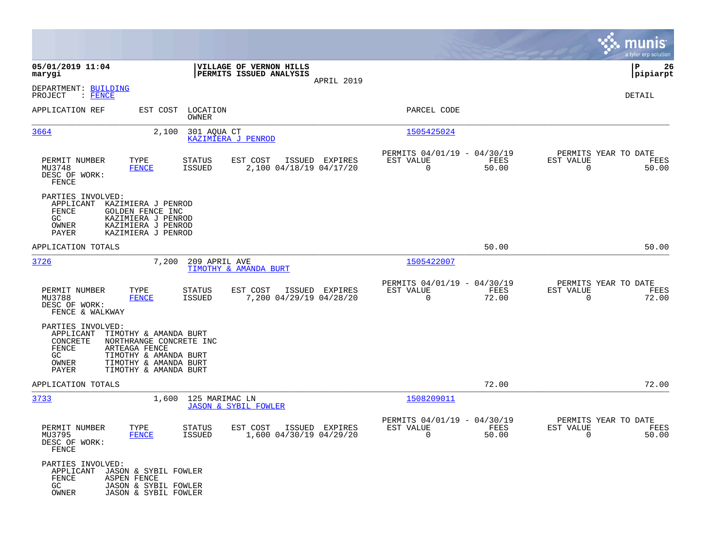|                                                                                                                                                                                                                             |                                                                                  |                                                                              |               | munis<br>a tyler erp solution                                        |
|-----------------------------------------------------------------------------------------------------------------------------------------------------------------------------------------------------------------------------|----------------------------------------------------------------------------------|------------------------------------------------------------------------------|---------------|----------------------------------------------------------------------|
| 05/01/2019 11:04<br>marygi                                                                                                                                                                                                  | VILLAGE OF VERNON HILLS<br>PERMITS ISSUED ANALYSIS                               |                                                                              |               | 26<br>IΡ<br> pipiarpt                                                |
| DEPARTMENT: BUILDING<br>PROJECT<br>$\colon$ FENCE                                                                                                                                                                           |                                                                                  | APRIL 2019                                                                   |               | DETAIL                                                               |
| APPLICATION REF                                                                                                                                                                                                             | EST COST LOCATION<br>OWNER                                                       | PARCEL CODE                                                                  |               |                                                                      |
| 3664<br>2,100                                                                                                                                                                                                               | 301 AQUA CT<br>KAZIMIERA J PENROD                                                | 1505425024                                                                   |               |                                                                      |
| TYPE<br>PERMIT NUMBER<br>MU3748<br><b>FENCE</b><br>DESC OF WORK:<br>FENCE                                                                                                                                                   | STATUS<br>EST COST<br>ISSUED EXPIRES<br><b>ISSUED</b><br>2,100 04/18/19 04/17/20 | PERMITS 04/01/19 - 04/30/19<br>EST VALUE<br>$\overline{0}$                   | FEES<br>50.00 | PERMITS YEAR TO DATE<br>EST VALUE<br>FEES<br>$\overline{0}$<br>50.00 |
| PARTIES INVOLVED:<br>APPLICANT<br>KAZIMIERA J PENROD<br>FENCE<br>GOLDEN FENCE INC<br>GC<br>KAZIMIERA J PENROD<br>KAZIMIERA J PENROD<br>OWNER<br>PAYER<br>KAZIMIERA J PENROD                                                 |                                                                                  |                                                                              |               |                                                                      |
| APPLICATION TOTALS                                                                                                                                                                                                          |                                                                                  |                                                                              | 50.00         | 50.00                                                                |
| 3726<br>7,200                                                                                                                                                                                                               | 209 APRIL AVE<br>TIMOTHY & AMANDA BURT                                           | 1505422007                                                                   |               |                                                                      |
| PERMIT NUMBER<br>TYPE<br>MU3788<br>FENCE<br>DESC OF WORK:<br>FENCE & WALKWAY                                                                                                                                                | EST COST<br>STATUS<br>ISSUED EXPIRES<br>7,200 04/29/19 04/28/20<br>ISSUED        | PERMITS 04/01/19 - 04/30/19<br>EST VALUE<br>$\mathbf 0$                      | FEES<br>72.00 | PERMITS YEAR TO DATE<br>EST VALUE<br>FEES<br>$\Omega$<br>72.00       |
| PARTIES INVOLVED:<br>APPLICANT<br>TIMOTHY & AMANDA BURT<br>CONCRETE<br>NORTHRANGE CONCRETE INC<br>FENCE<br>ARTEAGA FENCE<br>GC<br>TIMOTHY & AMANDA BURT<br>OWNER<br>TIMOTHY & AMANDA BURT<br>PAYER<br>TIMOTHY & AMANDA BURT |                                                                                  |                                                                              |               |                                                                      |
| APPLICATION TOTALS                                                                                                                                                                                                          |                                                                                  |                                                                              | 72.00         | 72.00                                                                |
| 3733                                                                                                                                                                                                                        | 1,600 125 MARIMAC LN<br><b>JASON &amp; SYBIL FOWLER</b>                          | 1508209011                                                                   |               |                                                                      |
| PERMIT NUMBER<br>TYPE<br><b>FENCE</b><br>MU3795<br>DESC OF WORK:<br>FENCE                                                                                                                                                   | <b>STATUS</b><br>EST COST<br>ISSUED<br>1,600 04/30/19 04/29/20                   | PERMITS 04/01/19 - 04/30/19<br>ISSUED EXPIRES<br>EST VALUE<br>$\overline{0}$ | FEES<br>50.00 | PERMITS YEAR TO DATE<br>EST VALUE<br>FEES<br>50.00<br>$\overline{0}$ |
| PARTIES INVOLVED:<br>APPLICANT<br>JASON & SYBIL FOWLER<br>FENCE<br>ASPEN FENCE<br>GC<br>JASON & SYBIL FOWLER<br>OWNER<br>JASON & SYBIL FOWLER                                                                               |                                                                                  |                                                                              |               |                                                                      |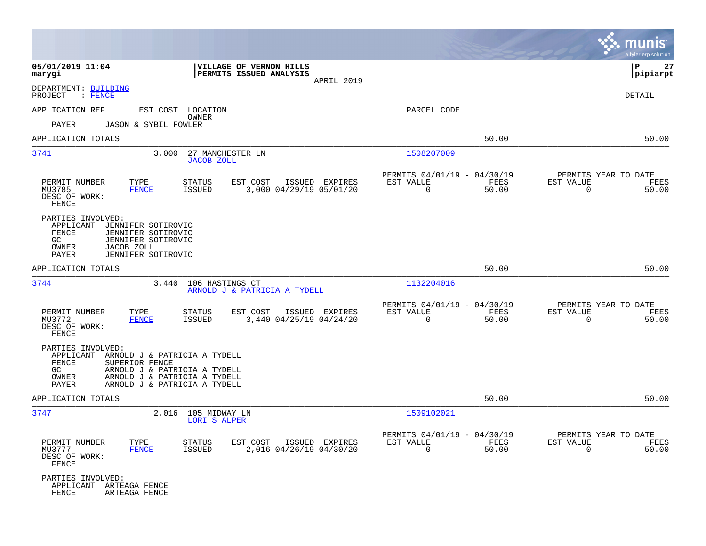|                                                                                                                                                                                                                   |                                                                           |                                                            | munis<br>a tyler erp solution                                                             |
|-------------------------------------------------------------------------------------------------------------------------------------------------------------------------------------------------------------------|---------------------------------------------------------------------------|------------------------------------------------------------|-------------------------------------------------------------------------------------------|
| 05/01/2019 11:04<br>marygi                                                                                                                                                                                        | VILLAGE OF VERNON HILLS<br>PERMITS ISSUED ANALYSIS<br>APRIL 2019          |                                                            | P<br>27<br> pipiarpt                                                                      |
| DEPARTMENT: BUILDING<br>PROJECT<br>$\therefore$ FENCE                                                                                                                                                             |                                                                           |                                                            | <b>DETAIL</b>                                                                             |
| APPLICATION REF                                                                                                                                                                                                   | EST COST LOCATION                                                         | PARCEL CODE                                                |                                                                                           |
| PAYER<br><b>JASON &amp; SYBIL FOWLER</b>                                                                                                                                                                          | OWNER                                                                     |                                                            |                                                                                           |
| APPLICATION TOTALS                                                                                                                                                                                                |                                                                           |                                                            | 50.00<br>50.00                                                                            |
| 3741<br>3,000                                                                                                                                                                                                     | 27 MANCHESTER LN<br><b>JACOB ZOLL</b>                                     | 1508207009                                                 |                                                                                           |
| PERMIT NUMBER<br>TYPE<br>MU3785<br><b>FENCE</b><br>DESC OF WORK:<br>FENCE                                                                                                                                         | STATUS<br>EST COST<br>ISSUED EXPIRES<br>3,000 04/29/19 05/01/20<br>ISSUED | PERMITS 04/01/19 - 04/30/19<br>EST VALUE<br>$\overline{0}$ | PERMITS YEAR TO DATE<br>FEES<br><b>EST VALUE</b><br>FEES<br>50.00<br>$\mathbf 0$<br>50.00 |
| PARTIES INVOLVED:<br>APPLICANT<br>JENNIFER SOTIROVIC<br>FENCE<br>JENNIFER SOTIROVIC<br>GC<br>JENNIFER SOTIROVIC<br>OWNER<br>JACOB ZOLL<br>PAYER<br>JENNIFER SOTIROVIC                                             |                                                                           |                                                            |                                                                                           |
| APPLICATION TOTALS                                                                                                                                                                                                |                                                                           |                                                            | 50.00<br>50.00                                                                            |
| 3744<br>3,440                                                                                                                                                                                                     | 106 HASTINGS CT<br>ARNOLD J & PATRICIA A TYDELL                           | 1132204016                                                 |                                                                                           |
| PERMIT NUMBER<br>TYPE<br>MU3772<br><b>FENCE</b><br>DESC OF WORK:<br>FENCE                                                                                                                                         | STATUS<br>EST COST<br>ISSUED EXPIRES<br>3,440 04/25/19 04/24/20<br>ISSUED | PERMITS 04/01/19 - 04/30/19<br>EST VALUE<br>$\Omega$       | PERMITS YEAR TO DATE<br>FEES<br>EST VALUE<br>FEES<br>50.00<br>$\mathbf 0$<br>50.00        |
| PARTIES INVOLVED:<br>APPLICANT<br>ARNOLD J & PATRICIA A TYDELL<br>FENCE<br>SUPERIOR FENCE<br>GC<br>ARNOLD J & PATRICIA A TYDELL<br>ARNOLD J & PATRICIA A TYDELL<br>OWNER<br>PAYER<br>ARNOLD J & PATRICIA A TYDELL |                                                                           |                                                            |                                                                                           |
| APPLICATION TOTALS                                                                                                                                                                                                |                                                                           |                                                            | 50.00<br>50.00                                                                            |
| 3747<br>2,016                                                                                                                                                                                                     | 105 MIDWAY LN<br>LORI S ALPER                                             | 1509102021                                                 |                                                                                           |
| PERMIT NUMBER<br>TYPE<br>MU3777<br><b>FENCE</b><br>DESC OF WORK:<br>FENCE                                                                                                                                         | STATUS<br>EST COST<br>ISSUED EXPIRES<br>ISSUED<br>2,016 04/26/19 04/30/20 | PERMITS 04/01/19 - 04/30/19<br>EST VALUE<br>$\overline{0}$ | PERMITS YEAR TO DATE<br>EST VALUE<br>FEES<br>FEES<br>50.00<br>$\Omega$<br>50.00           |
| PARTIES INVOLVED:<br>APPLICANT ARTEAGA FENCE<br>FENCE<br>ARTEAGA FENCE                                                                                                                                            |                                                                           |                                                            |                                                                                           |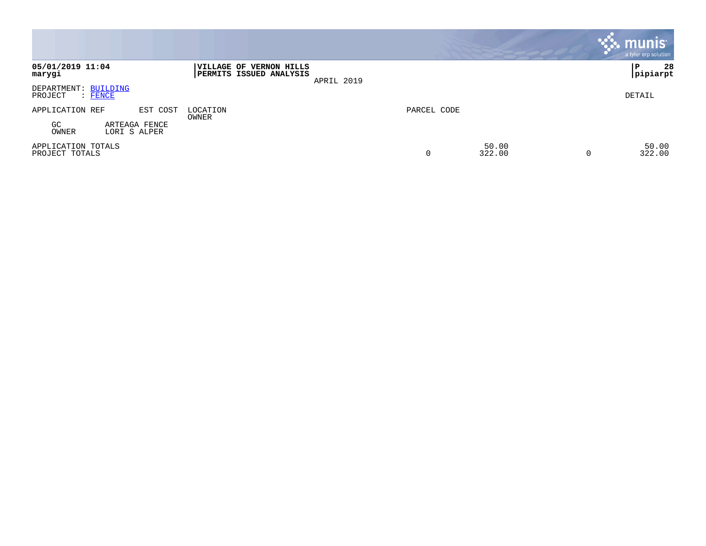|                                               |                                                    |             |                 |   | , munis <sup>,</sup><br>a tyler erp solution |
|-----------------------------------------------|----------------------------------------------------|-------------|-----------------|---|----------------------------------------------|
| 05/01/2019 11:04<br>marygi                    | VILLAGE OF VERNON HILLS<br>PERMITS ISSUED ANALYSIS | APRIL 2019  |                 |   | 28<br>P<br> pipiarpt                         |
| DEPARTMENT: BUILDING<br>PROJECT<br>: FENCE    |                                                    |             |                 |   | DETAIL                                       |
| APPLICATION REF<br>EST COST                   | LOCATION<br>OWNER                                  | PARCEL CODE |                 |   |                                              |
| GC.<br>ARTEAGA FENCE<br>OWNER<br>LORI S ALPER |                                                    |             |                 |   |                                              |
| APPLICATION TOTALS<br>PROJECT TOTALS          |                                                    | 0           | 50.00<br>322.00 | 0 | 50.00<br>322.00                              |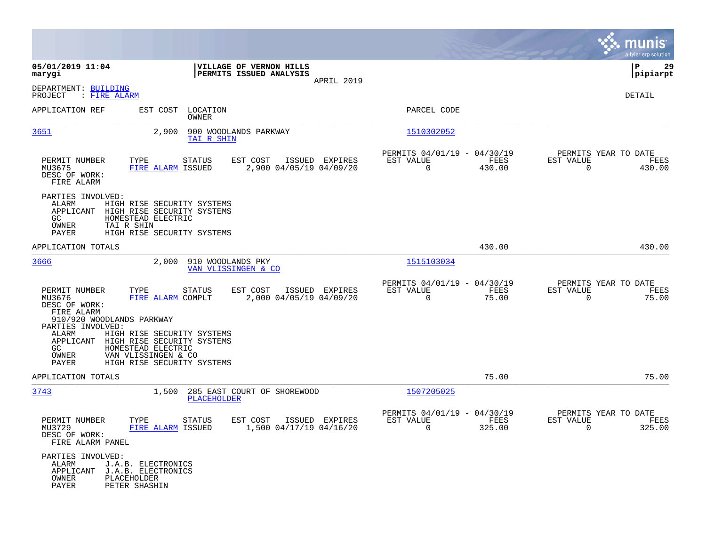|                                                                                                                                                                                                                                                                                                                             |                                                      |                             |                                                             |                             | munis<br>a tyler erp solution          |
|-----------------------------------------------------------------------------------------------------------------------------------------------------------------------------------------------------------------------------------------------------------------------------------------------------------------------------|------------------------------------------------------|-----------------------------|-------------------------------------------------------------|-----------------------------|----------------------------------------|
| 05/01/2019 11:04<br>marygi                                                                                                                                                                                                                                                                                                  | VILLAGE OF VERNON HILLS<br>PERMITS ISSUED ANALYSIS   | APRIL 2019                  |                                                             |                             | P<br>29<br> pipiarpt                   |
| DEPARTMENT: BUILDING<br>: FIRE ALARM<br>PROJECT                                                                                                                                                                                                                                                                             |                                                      |                             |                                                             |                             | <b>DETAIL</b>                          |
| APPLICATION REF                                                                                                                                                                                                                                                                                                             | EST COST LOCATION<br><b>OWNER</b>                    |                             | PARCEL CODE                                                 |                             |                                        |
| 3651<br>2,900                                                                                                                                                                                                                                                                                                               | 900 WOODLANDS PARKWAY<br>TAI R SHIN                  |                             | 1510302052                                                  |                             |                                        |
| TYPE<br>PERMIT NUMBER<br>MU3675<br>FIRE ALARM ISSUED<br>DESC OF WORK:<br>FIRE ALARM                                                                                                                                                                                                                                         | EST COST<br><b>STATUS</b><br>2,900 04/05/19 04/09/20 | ISSUED EXPIRES<br>EST VALUE | PERMITS 04/01/19 - 04/30/19<br>FEES<br>$\Omega$<br>430.00   | EST VALUE<br>$\Omega$       | PERMITS YEAR TO DATE<br>FEES<br>430.00 |
| PARTIES INVOLVED:<br>ALARM<br>HIGH RISE SECURITY SYSTEMS<br>APPLICANT HIGH RISE SECURITY SYSTEMS<br>GC.<br>HOMESTEAD ELECTRIC<br>TAI R SHIN<br>OWNER<br>HIGH RISE SECURITY SYSTEMS<br>PAYER                                                                                                                                 |                                                      |                             |                                                             |                             |                                        |
| APPLICATION TOTALS                                                                                                                                                                                                                                                                                                          |                                                      |                             | 430.00                                                      |                             | 430.00                                 |
| 3666<br>2,000                                                                                                                                                                                                                                                                                                               | 910 WOODLANDS PKY<br>VAN VLISSINGEN & CO             |                             | 1515103034                                                  |                             |                                        |
| PERMIT NUMBER<br>TYPE<br>MU3676<br>FIRE ALARM COMPLT<br>DESC OF WORK:<br>FIRE ALARM<br>910/920 WOODLANDS PARKWAY<br>PARTIES INVOLVED:<br>ALARM<br>HIGH RISE SECURITY SYSTEMS<br>APPLICANT<br>HIGH RISE SECURITY SYSTEMS<br>GC.<br>HOMESTEAD ELECTRIC<br>VAN VLISSINGEN & CO<br>OWNER<br>PAYER<br>HIGH RISE SECURITY SYSTEMS | <b>STATUS</b><br>EST COST<br>2,000 04/05/19 04/09/20 | ISSUED EXPIRES<br>EST VALUE | PERMITS 04/01/19 - 04/30/19<br>FEES<br>$\mathbf 0$<br>75.00 | EST VALUE<br>$\overline{0}$ | PERMITS YEAR TO DATE<br>FEES<br>75.00  |
| APPLICATION TOTALS                                                                                                                                                                                                                                                                                                          |                                                      |                             | 75.00                                                       |                             | 75.00                                  |
| 3743<br>1,500                                                                                                                                                                                                                                                                                                               | 285 EAST COURT OF SHOREWOOD<br>PLACEHOLDER           |                             | 1507205025                                                  |                             |                                        |
| PERMIT NUMBER<br>TYPE<br>FIRE ALARM ISSUED<br>MU3729<br>DESC OF WORK:<br>FIRE ALARM PANEL                                                                                                                                                                                                                                   | EST COST<br>STATUS<br>1,500 04/17/19 04/16/20        | EST VALUE<br>ISSUED EXPIRES | PERMITS 04/01/19 - 04/30/19<br>FEES<br>0<br>325.00          | EST VALUE<br>0              | PERMITS YEAR TO DATE<br>FEES<br>325.00 |
| PARTIES INVOLVED:<br>ALARM<br>J.A.B. ELECTRONICS<br>APPLICANT<br>J.A.B. ELECTRONICS<br><b>OWNER</b><br>PLACEHOLDER<br>PETER SHASHIN<br>PAYER                                                                                                                                                                                |                                                      |                             |                                                             |                             |                                        |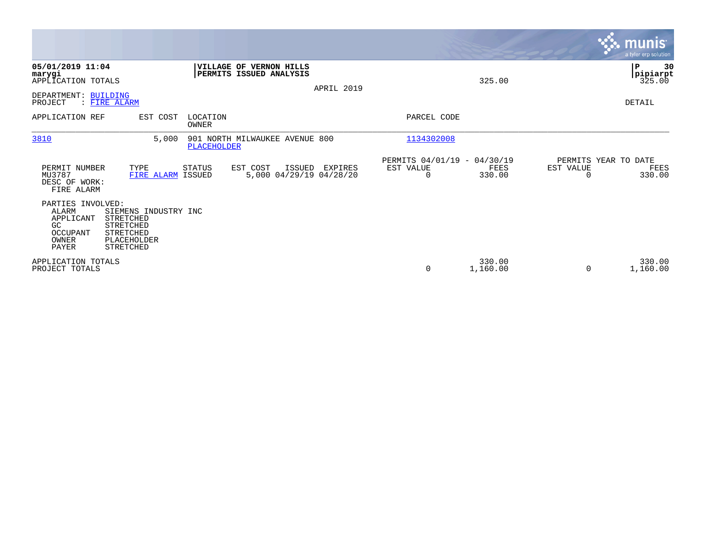|                                                                                                                                                                                             |                                                                |            |                                                      |                             | <b>munis</b><br>a tyler erp solution        |
|---------------------------------------------------------------------------------------------------------------------------------------------------------------------------------------------|----------------------------------------------------------------|------------|------------------------------------------------------|-----------------------------|---------------------------------------------|
| 05/01/2019 11:04<br>marygi<br>APPLICATION TOTALS                                                                                                                                            | VILLAGE OF VERNON HILLS<br>PERMITS ISSUED ANALYSIS             | APRIL 2019 |                                                      | 325.00                      | 30<br>${\bf P}$<br> pipiarpt<br>325.00      |
| DEPARTMENT: BUILDING<br>PROJECT<br>: FIRE ALARM                                                                                                                                             |                                                                |            |                                                      |                             | DETAIL                                      |
| APPLICATION REF<br>EST COST                                                                                                                                                                 | LOCATION<br>OWNER                                              |            | PARCEL CODE                                          |                             |                                             |
| 3810<br>5,000                                                                                                                                                                               | 901 NORTH MILWAUKEE AVENUE 800<br><b>PLACEHOLDER</b>           |            | 1134302008                                           |                             |                                             |
| PERMIT NUMBER<br>TYPE<br>MU3787<br>FIRE ALARM ISSUED<br>DESC OF WORK:<br>FIRE ALARM                                                                                                         | <b>STATUS</b><br>EST COST<br>ISSUED<br>5,000 04/29/19 04/28/20 | EXPIRES    | PERMITS 04/01/19 - 04/30/19<br>EST VALUE<br>$\Omega$ | EST VALUE<br>FEES<br>330.00 | PERMITS YEAR TO DATE<br>FEES<br>330.00<br>O |
| PARTIES INVOLVED:<br><b>ALARM</b><br>SIEMENS INDUSTRY INC<br>STRETCHED<br>APPLICANT<br>GC<br>STRETCHED<br>OCCUPANT<br><b>STRETCHED</b><br>OWNER<br>PLACEHOLDER<br><b>PAYER</b><br>STRETCHED |                                                                |            |                                                      |                             |                                             |
| APPLICATION TOTALS<br>PROJECT TOTALS                                                                                                                                                        |                                                                |            | $\mathbf 0$                                          | 330.00<br>1,160.00          | 330.00<br>1,160.00<br>$\Omega$              |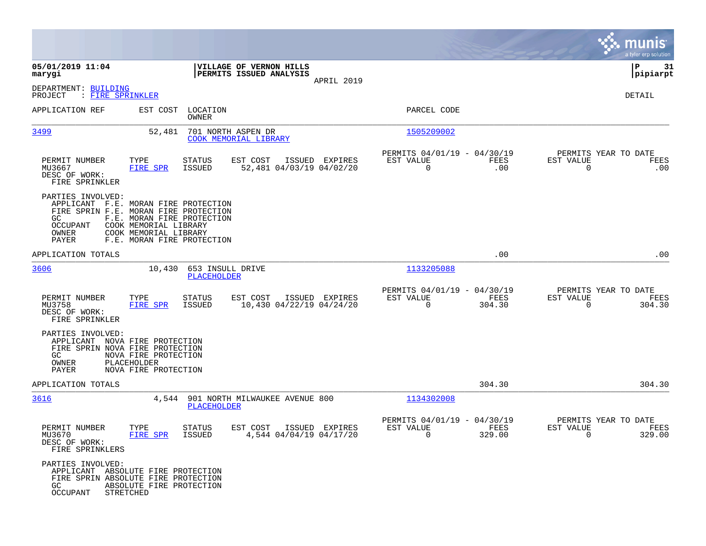|                                                                                                                                         |                                                                                                            |                                        |                                                    |                |                                                                                                                                                                                                                                                                                                                                                                                |                |                                                     | munis<br>a tyler erp solution |
|-----------------------------------------------------------------------------------------------------------------------------------------|------------------------------------------------------------------------------------------------------------|----------------------------------------|----------------------------------------------------|----------------|--------------------------------------------------------------------------------------------------------------------------------------------------------------------------------------------------------------------------------------------------------------------------------------------------------------------------------------------------------------------------------|----------------|-----------------------------------------------------|-------------------------------|
| 05/01/2019 11:04<br>marygi                                                                                                              |                                                                                                            |                                        | VILLAGE OF VERNON HILLS<br>PERMITS ISSUED ANALYSIS | APRIL 2019     |                                                                                                                                                                                                                                                                                                                                                                                |                |                                                     | P<br>31<br> pipiarpt          |
| DEPARTMENT: BUILDING<br>PROJECT<br>: FIRE SPRINKLER                                                                                     |                                                                                                            |                                        |                                                    |                |                                                                                                                                                                                                                                                                                                                                                                                |                |                                                     | DETAIL                        |
| APPLICATION REF                                                                                                                         | EST COST                                                                                                   | LOCATION<br>OWNER                      |                                                    |                | PARCEL CODE                                                                                                                                                                                                                                                                                                                                                                    |                |                                                     |                               |
| 3499                                                                                                                                    | 52,481                                                                                                     | 701 NORTH ASPEN DR                     | COOK MEMORIAL LIBRARY                              |                | 1505209002                                                                                                                                                                                                                                                                                                                                                                     |                |                                                     |                               |
| PERMIT NUMBER<br>MU3667<br>DESC OF WORK:<br>FIRE SPRINKLER                                                                              | TYPE<br>FIRE SPR                                                                                           | STATUS<br>ISSUED                       | EST COST<br>52,481 04/03/19 04/02/20               | ISSUED EXPIRES | PERMITS 04/01/19 - 04/30/19<br>EST VALUE<br>$\mathbf 0$                                                                                                                                                                                                                                                                                                                        | FEES<br>.00    | PERMITS YEAR TO DATE<br>EST VALUE<br>$\overline{0}$ | FEES<br>.00                   |
| PARTIES INVOLVED:<br>APPLICANT F.E. MORAN FIRE PROTECTION<br>FIRE SPRIN F.E. MORAN FIRE PROTECTION<br>GC.<br>OCCUPANT<br>OWNER<br>PAYER | F.E. MORAN FIRE PROTECTION<br>COOK MEMORIAL LIBRARY<br>COOK MEMORIAL LIBRARY<br>F.E. MORAN FIRE PROTECTION |                                        |                                                    |                |                                                                                                                                                                                                                                                                                                                                                                                |                |                                                     |                               |
| APPLICATION TOTALS                                                                                                                      |                                                                                                            |                                        |                                                    |                |                                                                                                                                                                                                                                                                                                                                                                                | .00            |                                                     | .00                           |
| 3606                                                                                                                                    |                                                                                                            | 10,430 653 INSULL DRIVE<br>PLACEHOLDER |                                                    |                | 1133205088                                                                                                                                                                                                                                                                                                                                                                     |                |                                                     |                               |
| PERMIT NUMBER<br>MU3758<br>DESC OF WORK:<br>FIRE SPRINKLER                                                                              | TYPE<br>FIRE SPR                                                                                           | STATUS<br>ISSUED                       | EST COST<br>10,430 04/22/19 04/24/20               | ISSUED EXPIRES | PERMITS 04/01/19 - 04/30/19<br>EST VALUE<br>$\Omega$                                                                                                                                                                                                                                                                                                                           | FEES<br>304.30 | PERMITS YEAR TO DATE<br>EST VALUE<br>$\Omega$       | FEES<br>304.30                |
| PARTIES INVOLVED:<br>APPLICANT NOVA FIRE PROTECTION<br>FIRE SPRIN NOVA FIRE PROTECTION<br>GC<br>OWNER<br>PAYER                          | NOVA FIRE PROTECTION<br>PLACEHOLDER<br>NOVA FIRE PROTECTION                                                |                                        |                                                    |                |                                                                                                                                                                                                                                                                                                                                                                                |                |                                                     |                               |
| APPLICATION TOTALS                                                                                                                      |                                                                                                            |                                        |                                                    |                |                                                                                                                                                                                                                                                                                                                                                                                | 304.30         |                                                     | 304.30                        |
| 3616                                                                                                                                    |                                                                                                            | PLACEHOLDER                            | 4,544 901 NORTH MILWAUKEE AVENUE 800               |                | 1134302008                                                                                                                                                                                                                                                                                                                                                                     |                |                                                     |                               |
| PERMIT NUMBER<br>MU3670<br>DESC OF WORK:<br>FIRE SPRINKLERS                                                                             | TYPE<br>FIRE SPR ISSUED                                                                                    | STATUS                                 | EST COST<br>4,544 04/04/19 04/17/20                | ISSUED EXPIRES | PERMITS 04/01/19 - 04/30/19<br>EST VALUE<br>$\overline{a}$ and $\overline{a}$ and $\overline{a}$ and $\overline{a}$ and $\overline{a}$ and $\overline{a}$ and $\overline{a}$ and $\overline{a}$ and $\overline{a}$ and $\overline{a}$ and $\overline{a}$ and $\overline{a}$ and $\overline{a}$ and $\overline{a}$ and $\overline{a}$ and $\overline{a}$ and $\overline{a}$ and | FEES<br>329.00 | PERMITS YEAR TO DATE<br>EST VALUE<br>$\sim$ 0       | FEES<br>329.00                |
| PARTIES INVOLVED:<br>APPLICANT ABSOLUTE FIRE PROTECTION<br>FIRE SPRIN ABSOLUTE FIRE PROTECTION<br>GC<br>OCCUPANT STRETCHED              | ABSOLUTE FIRE PROTECTION                                                                                   |                                        |                                                    |                |                                                                                                                                                                                                                                                                                                                                                                                |                |                                                     |                               |

**College**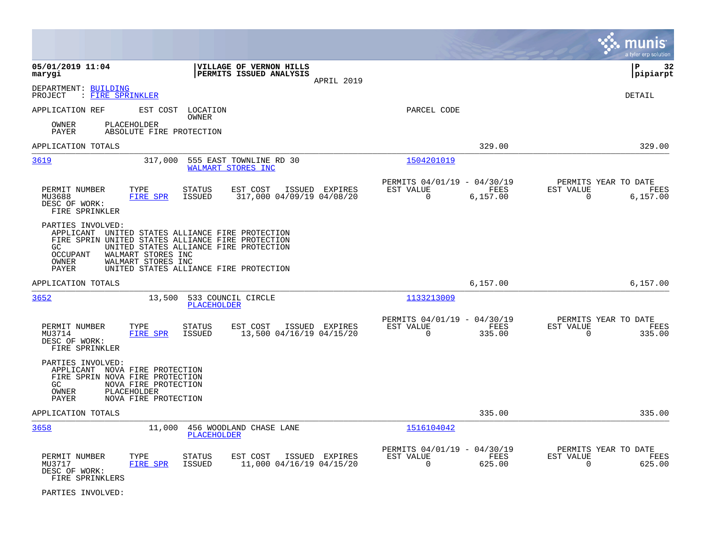|                                                                                                                                                                                                             |                                                                                           |                                                                              | munis<br>a tyler erp solution                                           |
|-------------------------------------------------------------------------------------------------------------------------------------------------------------------------------------------------------------|-------------------------------------------------------------------------------------------|------------------------------------------------------------------------------|-------------------------------------------------------------------------|
| 05/01/2019 11:04<br>marygi                                                                                                                                                                                  | VILLAGE OF VERNON HILLS<br>PERMITS ISSUED ANALYSIS                                        | APRIL 2019                                                                   | lР<br>32<br> pipiarpt                                                   |
| DEPARTMENT: BUILDING<br>: FIRE SPRINKLER<br>PROJECT                                                                                                                                                         |                                                                                           |                                                                              | DETAIL                                                                  |
| APPLICATION REF<br>PLACEHOLDER<br>OWNER<br>PAYER<br>ABSOLUTE FIRE PROTECTION                                                                                                                                | EST COST LOCATION<br>OWNER                                                                | PARCEL CODE                                                                  |                                                                         |
| APPLICATION TOTALS                                                                                                                                                                                          |                                                                                           | 329.00                                                                       | 329.00                                                                  |
| 3619<br>317,000                                                                                                                                                                                             | 555 EAST TOWNLINE RD 30<br>WALMART STORES INC                                             | 1504201019                                                                   |                                                                         |
| PERMIT NUMBER<br>TYPE<br>FIRE SPR<br>MU3688<br>DESC OF WORK:<br>FIRE SPRINKLER                                                                                                                              | <b>STATUS</b><br>EST COST<br>ISSUED EXPIRES<br><b>ISSUED</b><br>317,000 04/09/19 04/08/20 | PERMITS 04/01/19 - 04/30/19<br>EST VALUE<br>FEES<br>$\mathbf 0$<br>6, 157.00 | PERMITS YEAR TO DATE<br>EST VALUE<br>FEES<br>$\overline{0}$<br>6,157.00 |
| PARTIES INVOLVED:<br>APPLICANT UNITED STATES ALLIANCE FIRE PROTECTION<br>FIRE SPRIN UNITED STATES ALLIANCE FIRE PROTECTION<br>GC.<br>WALMART STORES INC<br>OCCUPANT<br>WALMART STORES INC<br>OWNER<br>PAYER | UNITED STATES ALLIANCE FIRE PROTECTION<br>UNITED STATES ALLIANCE FIRE PROTECTION          |                                                                              |                                                                         |
| APPLICATION TOTALS                                                                                                                                                                                          |                                                                                           | 6,157.00                                                                     | 6,157.00                                                                |
| 3652<br>13,500                                                                                                                                                                                              | 533 COUNCIL CIRCLE<br><b>PLACEHOLDER</b>                                                  | 1133213009                                                                   |                                                                         |
| TYPE<br>PERMIT NUMBER<br>MU3714<br><b>FIRE SPR</b><br>DESC OF WORK:<br>FIRE SPRINKLER                                                                                                                       | <b>STATUS</b><br>EST COST<br>ISSUED EXPIRES<br>13,500 04/16/19 04/15/20<br><b>ISSUED</b>  | PERMITS 04/01/19 - 04/30/19<br>EST VALUE<br><b>FEES</b><br>0<br>335.00       | PERMITS YEAR TO DATE<br>EST VALUE<br>FEES<br>$\mathbf 0$<br>335.00      |
| PARTIES INVOLVED:<br>APPLICANT NOVA FIRE PROTECTION<br>FIRE SPRIN NOVA FIRE PROTECTION<br>GC<br>NOVA FIRE PROTECTION<br>OWNER<br>PLACEHOLDER<br>PAYER<br>NOVA FIRE PROTECTION                               |                                                                                           |                                                                              |                                                                         |
| APPLICATION TOTALS                                                                                                                                                                                          |                                                                                           | 335.00                                                                       | 335.00                                                                  |
| 3658<br>11,000                                                                                                                                                                                              | 456 WOODLAND CHASE LANE<br>PLACEHOLDER                                                    | 1516104042                                                                   |                                                                         |
| PERMIT NUMBER<br>TYPE<br>MU3717<br>FIRE SPR<br>DESC OF WORK:<br>FIRE SPRINKLERS                                                                                                                             | STATUS<br>EST COST<br>ISSUED EXPIRES<br><b>ISSUED</b><br>11,000 04/16/19 04/15/20         | PERMITS 04/01/19 - 04/30/19<br>EST VALUE<br>FEES<br>$\mathbf 0$<br>625.00    | PERMITS YEAR TO DATE<br>EST VALUE<br>FEES<br>$\Omega$<br>625.00         |

PARTIES INVOLVED: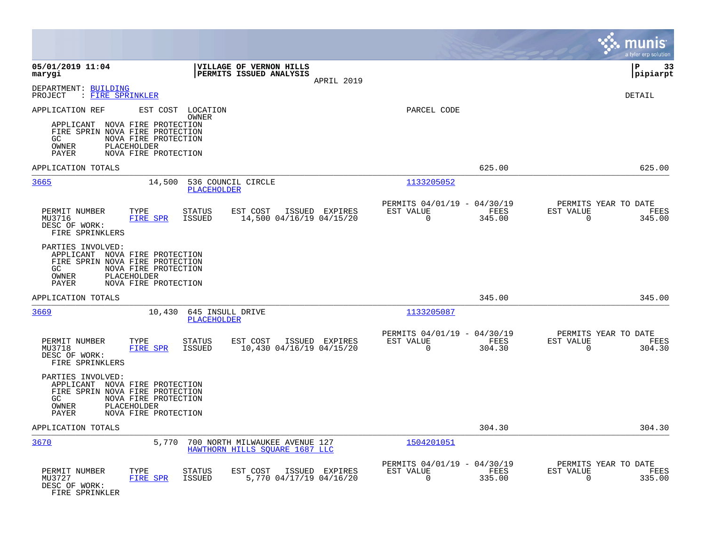|                                                                                                                |                                                             |                                   |                                                                  |                |                                                         |                |                                                  | munis<br>a tyler erp solution |
|----------------------------------------------------------------------------------------------------------------|-------------------------------------------------------------|-----------------------------------|------------------------------------------------------------------|----------------|---------------------------------------------------------|----------------|--------------------------------------------------|-------------------------------|
| 05/01/2019 11:04<br>marygi                                                                                     |                                                             |                                   | VILLAGE OF VERNON HILLS<br>PERMITS ISSUED ANALYSIS               | APRIL 2019     |                                                         |                |                                                  | lР<br>33<br> pipiarpt         |
| DEPARTMENT: BUILDING<br>: FIRE SPRINKLER<br>PROJECT                                                            |                                                             |                                   |                                                                  |                |                                                         |                |                                                  | <b>DETAIL</b>                 |
| APPLICATION REF<br>APPLICANT NOVA FIRE PROTECTION<br>FIRE SPRIN NOVA FIRE PROTECTION<br>GC.<br>OWNER<br>PAYER  | NOVA FIRE PROTECTION<br>PLACEHOLDER<br>NOVA FIRE PROTECTION | EST COST LOCATION<br><b>OWNER</b> |                                                                  |                | PARCEL CODE                                             |                |                                                  |                               |
| APPLICATION TOTALS                                                                                             |                                                             |                                   |                                                                  |                |                                                         | 625.00         |                                                  | 625.00                        |
| 3665                                                                                                           | 14,500                                                      | <b>PLACEHOLDER</b>                | 536 COUNCIL CIRCLE                                               |                | 1133205052                                              |                |                                                  |                               |
| PERMIT NUMBER<br>MU3716<br>DESC OF WORK:<br>FIRE SPRINKLERS                                                    | TYPE<br>FIRE SPR                                            | STATUS<br>ISSUED                  | EST COST<br>14,500 04/16/19 04/15/20                             | ISSUED EXPIRES | PERMITS 04/01/19 - 04/30/19<br>EST VALUE<br>$\Omega$    | FEES<br>345.00 | PERMITS YEAR TO DATE<br>EST VALUE<br>$\Omega$    | FEES<br>345.00                |
| PARTIES INVOLVED:<br>APPLICANT NOVA FIRE PROTECTION<br>FIRE SPRIN NOVA FIRE PROTECTION<br>GC<br>OWNER<br>PAYER | NOVA FIRE PROTECTION<br>PLACEHOLDER<br>NOVA FIRE PROTECTION |                                   |                                                                  |                |                                                         |                |                                                  |                               |
| APPLICATION TOTALS                                                                                             |                                                             |                                   |                                                                  |                |                                                         | 345.00         |                                                  | 345.00                        |
| 3669                                                                                                           | 10,430                                                      | 645 INSULL DRIVE<br>PLACEHOLDER   |                                                                  |                | 1133205087                                              |                |                                                  |                               |
| PERMIT NUMBER<br>MU3718<br>DESC OF WORK:<br>FIRE SPRINKLERS                                                    | TYPE<br>FIRE SPR                                            | <b>STATUS</b><br>ISSUED           | EST COST<br>10,430 04/16/19 04/15/20                             | ISSUED EXPIRES | PERMITS 04/01/19 - 04/30/19<br>EST VALUE<br>$\mathbf 0$ | FEES<br>304.30 | PERMITS YEAR TO DATE<br>EST VALUE<br>$\mathbf 0$ | FEES<br>304.30                |
| PARTIES INVOLVED:<br>APPLICANT NOVA FIRE PROTECTION<br>FIRE SPRIN NOVA FIRE PROTECTION<br>GC<br>OWNER<br>PAYER | NOVA FIRE PROTECTION<br>PLACEHOLDER<br>NOVA FIRE PROTECTION |                                   |                                                                  |                |                                                         |                |                                                  |                               |
| APPLICATION TOTALS                                                                                             |                                                             |                                   |                                                                  |                |                                                         | 304.30         |                                                  | 304.30                        |
| 3670                                                                                                           | 5,770                                                       |                                   | 700 NORTH MILWAUKEE AVENUE 127<br>HAWTHORN HILLS SOUARE 1687 LLC |                | 1504201051                                              |                |                                                  |                               |
| PERMIT NUMBER<br>MU3727<br>DESC OF WORK:<br>FIRE SPRINKLER                                                     | TYPE<br>FIRE SPR                                            | <b>STATUS</b><br>ISSUED           | EST COST<br>5,770 04/17/19 04/16/20                              | ISSUED EXPIRES | PERMITS 04/01/19 - 04/30/19<br>EST VALUE<br>0           | FEES<br>335.00 | PERMITS YEAR TO DATE<br>EST VALUE<br>0           | FEES<br>335.00                |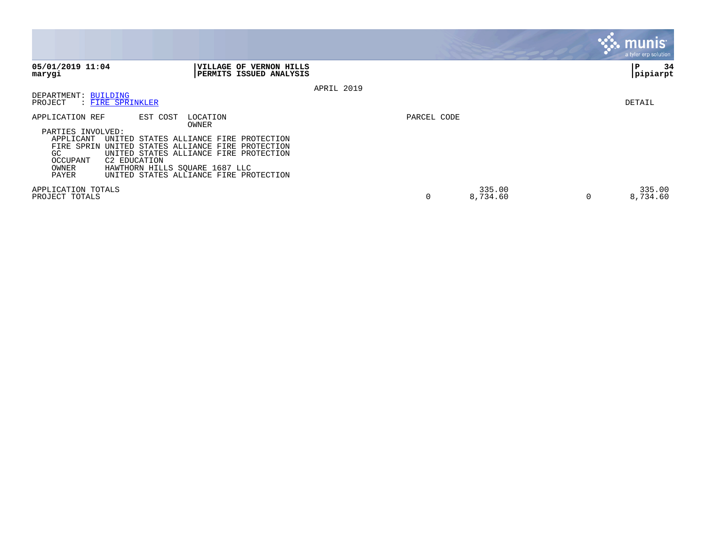|                                      |                                                                                     |             |                    |   | <b>munis</b><br>a tyler erp solution |
|--------------------------------------|-------------------------------------------------------------------------------------|-------------|--------------------|---|--------------------------------------|
| 05/01/2019 11:04<br>marygi           | <b>VILLAGE OF VERNON HILLS</b><br><b>PERMITS ISSUED ANALYSIS</b>                    |             |                    |   | 34<br>l P<br> pipiarpt               |
|                                      | APRIL 2019                                                                          |             |                    |   |                                      |
| DEPARTMENT: BUILDING<br>PROJECT      | : FIRE SPRINKLER                                                                    |             |                    |   | DETAIL                               |
| APPLICATION REF                      | EST COST<br>LOCATION<br>OWNER                                                       | PARCEL CODE |                    |   |                                      |
| PARTIES INVOLVED:                    |                                                                                     |             |                    |   |                                      |
| APPLICANT<br>FIRE SPRIN              | UNITED STATES ALLIANCE FIRE PROTECTION<br>UNITED STATES ALLIANCE FIRE<br>PROTECTION |             |                    |   |                                      |
| GC.<br>OCCUPANT                      | UNITED STATES ALLIANCE FIRE PROTECTION<br>C2 EDUCATION                              |             |                    |   |                                      |
| OWNER                                | HAWTHORN HILLS SQUARE 1687 LLC                                                      |             |                    |   |                                      |
| PAYER                                | UNITED STATES ALLIANCE FIRE PROTECTION                                              |             |                    |   |                                      |
| APPLICATION TOTALS<br>PROJECT TOTALS |                                                                                     | 0           | 335.00<br>8,734.60 | 0 | 335.00<br>8,734.60                   |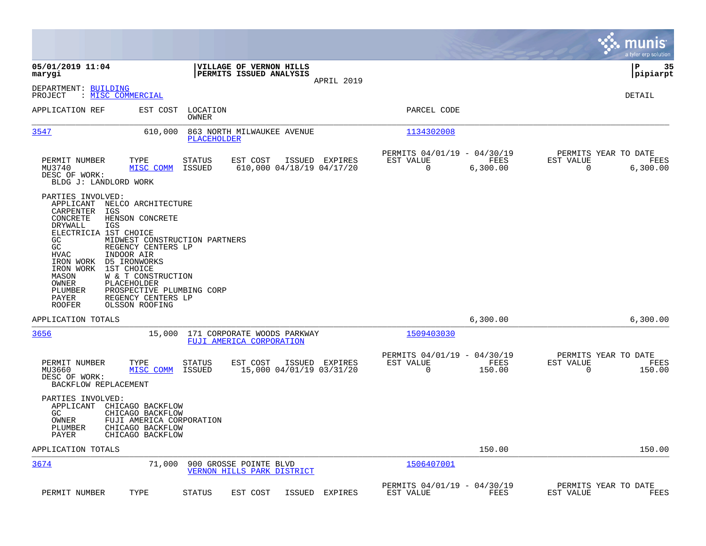|                                                                                                                                                                                                                                                                                                                                                                                                                                                                           |                                                                                    |                                                                          | munis<br>a tyler erp solution                                            |
|---------------------------------------------------------------------------------------------------------------------------------------------------------------------------------------------------------------------------------------------------------------------------------------------------------------------------------------------------------------------------------------------------------------------------------------------------------------------------|------------------------------------------------------------------------------------|--------------------------------------------------------------------------|--------------------------------------------------------------------------|
| 05/01/2019 11:04<br>marygi                                                                                                                                                                                                                                                                                                                                                                                                                                                | VILLAGE OF VERNON HILLS<br>PERMITS ISSUED ANALYSIS                                 |                                                                          | ΙP<br>35<br> pipiarpt                                                    |
| DEPARTMENT: BUILDING<br>: MISC COMMERCIAL<br>PROJECT                                                                                                                                                                                                                                                                                                                                                                                                                      | APRIL 2019                                                                         |                                                                          | <b>DETAIL</b>                                                            |
| APPLICATION REF<br>EST COST                                                                                                                                                                                                                                                                                                                                                                                                                                               | LOCATION<br>OWNER                                                                  | PARCEL CODE                                                              |                                                                          |
| 3547<br>610,000                                                                                                                                                                                                                                                                                                                                                                                                                                                           | 863 NORTH MILWAUKEE AVENUE<br>PLACEHOLDER                                          | 1134302008                                                               |                                                                          |
| PERMIT NUMBER<br>TYPE<br>MISC COMM<br>MU3740<br>DESC OF WORK:<br>BLDG J: LANDLORD WORK                                                                                                                                                                                                                                                                                                                                                                                    | <b>STATUS</b><br>EST COST<br>ISSUED EXPIRES<br>ISSUED<br>610,000 04/18/19 04/17/20 | PERMITS 04/01/19 - 04/30/19<br><b>FEES</b><br>EST VALUE<br>0<br>6,300.00 | PERMITS YEAR TO DATE<br>EST VALUE<br><b>FEES</b><br>$\Omega$<br>6,300.00 |
| PARTIES INVOLVED:<br>APPLICANT NELCO ARCHITECTURE<br>CARPENTER<br>IGS<br>CONCRETE<br>HENSON CONCRETE<br>DRYWALL<br>IGS<br>ELECTRICIA 1ST CHOICE<br>GC.<br>MIDWEST CONSTRUCTION PARTNERS<br>GC<br>REGENCY CENTERS LP<br><b>HVAC</b><br>INDOOR AIR<br>IRON WORK<br>D5 IRONWORKS<br>1ST CHOICE<br>IRON WORK<br>MASON<br>W & T CONSTRUCTION<br>OWNER<br>PLACEHOLDER<br>PLUMBER<br>PROSPECTIVE PLUMBING CORP<br>REGENCY CENTERS LP<br>PAYER<br><b>ROOFER</b><br>OLSSON ROOFING |                                                                                    |                                                                          |                                                                          |
| APPLICATION TOTALS                                                                                                                                                                                                                                                                                                                                                                                                                                                        |                                                                                    | 6,300.00                                                                 | 6,300.00                                                                 |
| 3656<br>15,000                                                                                                                                                                                                                                                                                                                                                                                                                                                            | 171 CORPORATE WOODS PARKWAY<br>FUJI AMERICA CORPORATION                            | 1509403030                                                               |                                                                          |
| PERMIT NUMBER<br>TYPE<br>MU3660<br>MISC COMM<br>DESC OF WORK:<br>BACKFLOW REPLACEMENT                                                                                                                                                                                                                                                                                                                                                                                     | <b>STATUS</b><br>EST COST<br>ISSUED EXPIRES<br>ISSUED<br>15,000 04/01/19 03/31/20  | PERMITS 04/01/19 - 04/30/19<br>EST VALUE<br>FEES<br>0<br>150.00          | PERMITS YEAR TO DATE<br>EST VALUE<br>FEES<br>$\mathbf 0$<br>150.00       |
| PARTIES INVOLVED:<br>APPLICANT<br>CHICAGO BACKFLOW<br>GC<br>CHICAGO BACKFLOW<br>OWNER<br>FUJI AMERICA CORPORATION<br>CHICAGO BACKFLOW<br>PLUMBER<br>PAYER<br>CHICAGO BACKFLOW                                                                                                                                                                                                                                                                                             |                                                                                    |                                                                          |                                                                          |
| APPLICATION TOTALS                                                                                                                                                                                                                                                                                                                                                                                                                                                        |                                                                                    | 150.00                                                                   | 150.00                                                                   |
| 3674<br>71,000                                                                                                                                                                                                                                                                                                                                                                                                                                                            | 900 GROSSE POINTE BLVD<br><b>VERNON HILLS PARK DISTRICT</b>                        | 1506407001                                                               |                                                                          |
| PERMIT NUMBER<br>TYPE                                                                                                                                                                                                                                                                                                                                                                                                                                                     | <b>STATUS</b><br>EST COST<br>ISSUED<br>EXPIRES                                     | PERMITS 04/01/19 - 04/30/19<br>FEES<br>EST VALUE                         | PERMITS YEAR TO DATE<br>EST VALUE<br>FEES                                |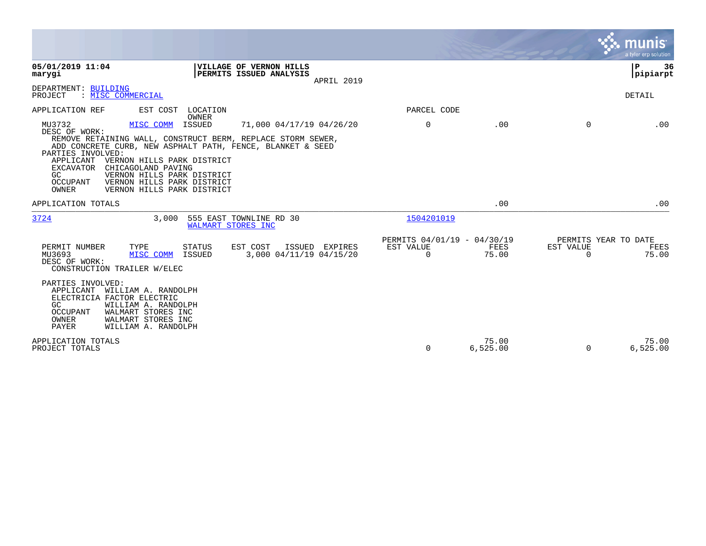|                                                                                                                                                                                                                                                                                                                                                                                                                                 |                                                      |                   |                                               | munis<br>a tyler erp solution |
|---------------------------------------------------------------------------------------------------------------------------------------------------------------------------------------------------------------------------------------------------------------------------------------------------------------------------------------------------------------------------------------------------------------------------------|------------------------------------------------------|-------------------|-----------------------------------------------|-------------------------------|
| 05/01/2019 11:04<br>VILLAGE OF VERNON HILLS<br>PERMITS ISSUED ANALYSIS<br>marygi<br>APRIL 2019                                                                                                                                                                                                                                                                                                                                  |                                                      |                   |                                               | P<br>36<br> pipiarpt          |
| DEPARTMENT: BUILDING<br>: MISC COMMERCIAL<br>PROJECT                                                                                                                                                                                                                                                                                                                                                                            |                                                      |                   |                                               | DETAIL                        |
| EST COST<br>LOCATION<br>APPLICATION REF<br>OWNER                                                                                                                                                                                                                                                                                                                                                                                | PARCEL CODE                                          |                   |                                               |                               |
| MU3732<br>MISC COMM<br>ISSUED<br>71,000 04/17/19 04/26/20<br>DESC OF WORK:<br>REMOVE RETAINING WALL, CONSTRUCT BERM, REPLACE STORM SEWER,<br>ADD CONCRETE CURB, NEW ASPHALT PATH, FENCE, BLANKET & SEED<br>PARTIES INVOLVED:<br>APPLICANT<br>VERNON HILLS PARK DISTRICT<br>EXCAVATOR<br>CHICAGOLAND PAVING<br>VERNON HILLS PARK DISTRICT<br>GC<br>VERNON HILLS PARK DISTRICT<br>OCCUPANT<br>OWNER<br>VERNON HILLS PARK DISTRICT | $\mathbf 0$                                          | .00               | $\Omega$                                      | .00                           |
| APPLICATION TOTALS                                                                                                                                                                                                                                                                                                                                                                                                              |                                                      | .00               |                                               | .00                           |
| 3724<br>555 EAST TOWNLINE RD 30<br>3,000<br>WALMART STORES INC                                                                                                                                                                                                                                                                                                                                                                  | 1504201019                                           |                   |                                               |                               |
| PERMIT NUMBER<br>TYPE<br><b>STATUS</b><br>EST COST<br>ISSUED EXPIRES<br>3,000 04/11/19 04/15/20<br>MU3693<br>MISC COMM<br>ISSUED<br>DESC OF WORK:<br>CONSTRUCTION TRAILER W/ELEC                                                                                                                                                                                                                                                | PERMITS 04/01/19 - 04/30/19<br>EST VALUE<br>$\Omega$ | FEES<br>75.00     | PERMITS YEAR TO DATE<br>EST VALUE<br>$\Omega$ | FEES<br>75.00                 |
| PARTIES INVOLVED:<br>APPLICANT<br>WILLIAM A. RANDOLPH<br>ELECTRICIA FACTOR ELECTRIC<br>GC<br>WILLIAM A. RANDOLPH<br>WALMART STORES INC<br>OCCUPANT<br>OWNER<br>WALMART STORES INC<br><b>PAYER</b><br>WILLIAM A. RANDOLPH                                                                                                                                                                                                        |                                                      |                   |                                               |                               |
| APPLICATION TOTALS<br>PROJECT TOTALS                                                                                                                                                                                                                                                                                                                                                                                            | 0                                                    | 75.00<br>6,525.00 | $\Omega$                                      | 75.00<br>6,525.00             |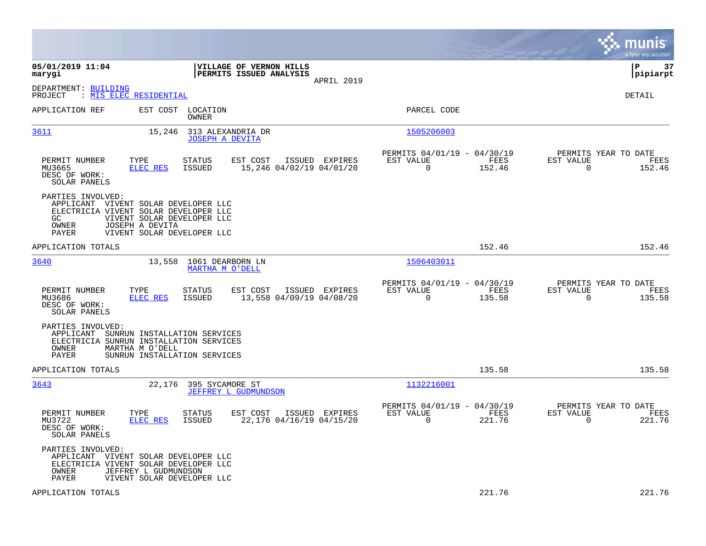|                                                                                                                                               |                                                          |                                                    |                |                                                         |                |                                                  | munis<br>a tyler erp solution |
|-----------------------------------------------------------------------------------------------------------------------------------------------|----------------------------------------------------------|----------------------------------------------------|----------------|---------------------------------------------------------|----------------|--------------------------------------------------|-------------------------------|
| 05/01/2019 11:04<br>marygi                                                                                                                    |                                                          | VILLAGE OF VERNON HILLS<br>PERMITS ISSUED ANALYSIS | APRIL 2019     |                                                         |                |                                                  | 37<br>l P<br> pipiarpt        |
| DEPARTMENT: BUILDING<br>: <u>MIS ELEC RESIDENTIAL</u><br>PROJECT                                                                              |                                                          |                                                    |                |                                                         |                |                                                  | DETAIL                        |
| APPLICATION REF                                                                                                                               | EST COST LOCATION<br><b>OWNER</b>                        |                                                    |                | PARCEL CODE                                             |                |                                                  |                               |
| <u>3611</u>                                                                                                                                   | 313 ALEXANDRIA DR<br>15,246<br><b>JOSEPH A DEVITA</b>    |                                                    |                | 1505206003                                              |                |                                                  |                               |
| PERMIT NUMBER<br>TYPE<br>MU3665<br>DESC OF WORK:<br>SOLAR PANELS                                                                              | <b>STATUS</b><br>ELEC RES<br>ISSUED                      | EST COST<br>15,246 04/02/19 04/01/20               | ISSUED EXPIRES | PERMITS 04/01/19 - 04/30/19<br>EST VALUE<br>$\mathbf 0$ | FEES<br>152.46 | PERMITS YEAR TO DATE<br>EST VALUE<br>$\mathbf 0$ | FEES<br>152.46                |
| PARTIES INVOLVED:<br>APPLICANT VIVENT SOLAR DEVELOPER LLC<br>ELECTRICIA VIVENT SOLAR DEVELOPER LLC<br>GC<br>OWNER<br>JOSEPH A DEVITA<br>PAYER | VIVENT SOLAR DEVELOPER LLC<br>VIVENT SOLAR DEVELOPER LLC |                                                    |                |                                                         |                |                                                  |                               |
| APPLICATION TOTALS                                                                                                                            |                                                          |                                                    |                |                                                         | 152.46         |                                                  | 152.46                        |
| 3640                                                                                                                                          | 13,558<br>1061 DEARBORN LN<br>MARTHA M O'DELL            |                                                    |                | 1506403011                                              |                |                                                  |                               |
| PERMIT NUMBER<br>TYPE<br>MU3686<br>DESC OF WORK:<br>SOLAR PANELS                                                                              | <b>STATUS</b><br>ELEC RES<br><b>ISSUED</b>               | EST COST<br>13,558 04/09/19 04/08/20               | ISSUED EXPIRES | PERMITS 04/01/19 - 04/30/19<br>EST VALUE<br>$\mathbf 0$ | FEES<br>135.58 | PERMITS YEAR TO DATE<br>EST VALUE<br>$\mathbf 0$ | FEES<br>135.58                |
| PARTIES INVOLVED:<br>APPLICANT SUNRUN INSTALLATION SERVICES<br>ELECTRICIA SUNRUN INSTALLATION SERVICES<br>OWNER<br>MARTHA M O'DELL<br>PAYER   | SUNRUN INSTALLATION SERVICES                             |                                                    |                |                                                         |                |                                                  |                               |
| APPLICATION TOTALS                                                                                                                            |                                                          |                                                    |                |                                                         | 135.58         |                                                  | 135.58                        |
| 3643                                                                                                                                          | 395 SYCAMORE ST<br>22,176<br><b>JEFFREY L GUDMUNDSON</b> |                                                    |                | 1132216001                                              |                |                                                  |                               |
| PERMIT NUMBER<br>TYPE<br>MU3722<br>DESC OF WORK:<br>SOLAR PANELS                                                                              | <b>STATUS</b><br>ELEC RES<br><b>ISSUED</b>               | EST COST<br>22,176 04/16/19 04/15/20               | ISSUED EXPIRES | PERMITS 04/01/19 - 04/30/19<br>EST VALUE<br>$\Omega$    | FEES<br>221.76 | PERMITS YEAR TO DATE<br>EST VALUE<br>$\Omega$    | FEES<br>221.76                |
| PARTIES INVOLVED:<br>APPLICANT VIVENT SOLAR DEVELOPER LLC<br>ELECTRICIA VIVENT SOLAR DEVELOPER LLC<br>OWNER<br>PAYER                          | JEFFREY L GUDMUNDSON<br>VIVENT SOLAR DEVELOPER LLC       |                                                    |                |                                                         |                |                                                  |                               |
| APPLICATION TOTALS                                                                                                                            |                                                          |                                                    |                |                                                         | 221.76         |                                                  | 221.76                        |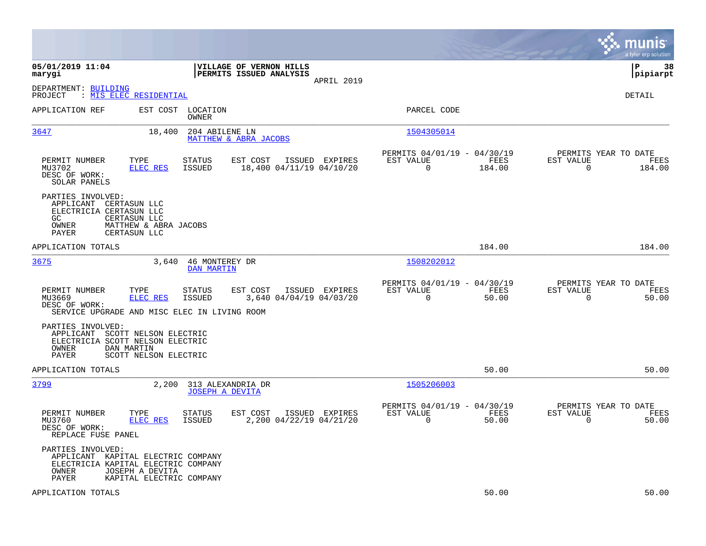|                                                                                    |                                                                                                                          |                                                    |                |                                                         |                |                                                     | munis<br>a tyler erp solution |
|------------------------------------------------------------------------------------|--------------------------------------------------------------------------------------------------------------------------|----------------------------------------------------|----------------|---------------------------------------------------------|----------------|-----------------------------------------------------|-------------------------------|
| 05/01/2019 11:04<br>marygi                                                         |                                                                                                                          | VILLAGE OF VERNON HILLS<br>PERMITS ISSUED ANALYSIS |                |                                                         |                |                                                     | ΙP<br>-38<br> pipiarpt        |
| DEPARTMENT: BUILDING<br>PROJECT                                                    | : MIS ELEC RESIDENTIAL                                                                                                   |                                                    | APRIL 2019     |                                                         |                |                                                     | DETAIL                        |
| APPLICATION REF                                                                    | EST COST LOCATION<br>OWNER                                                                                               |                                                    |                | PARCEL CODE                                             |                |                                                     |                               |
| 3647                                                                               | 18,400<br>204 ABILENE LN                                                                                                 | MATTHEW & ABRA JACOBS                              |                | 1504305014                                              |                |                                                     |                               |
| PERMIT NUMBER<br>MU3702<br>DESC OF WORK:<br>SOLAR PANELS                           | TYPE<br><b>STATUS</b><br>ELEC RES<br><b>ISSUED</b>                                                                       | EST COST<br>18,400 04/11/19 04/10/20               | ISSUED EXPIRES | PERMITS 04/01/19 - 04/30/19<br>EST VALUE<br>$\mathbf 0$ | FEES<br>184.00 | PERMITS YEAR TO DATE<br>EST VALUE<br>$\mathbf 0$    | FEES<br>184.00                |
| PARTIES INVOLVED:<br>APPLICANT<br>ELECTRICIA CERTASUN LLC<br>GC.<br>OWNER<br>PAYER | CERTASUN LLC<br>CERTASUN LLC<br>MATTHEW & ABRA JACOBS<br>CERTASUN LLC                                                    |                                                    |                |                                                         |                |                                                     |                               |
| APPLICATION TOTALS                                                                 |                                                                                                                          |                                                    |                |                                                         | 184.00         |                                                     | 184.00                        |
| 3675                                                                               | 3,640<br>46 MONTEREY DR<br>DAN MARTIN                                                                                    |                                                    |                | 1508202012                                              |                |                                                     |                               |
| PERMIT NUMBER<br>MU3669<br>DESC OF WORK:                                           | TYPE<br><b>STATUS</b><br>ELEC RES<br><b>ISSUED</b><br>SERVICE UPGRADE AND MISC ELEC IN LIVING ROOM                       | EST COST<br>3,640 04/04/19 04/03/20                | ISSUED EXPIRES | PERMITS 04/01/19 - 04/30/19<br>EST VALUE<br>$\mathbf 0$ | FEES<br>50.00  | PERMITS YEAR TO DATE<br>EST VALUE<br>$\mathbf 0$    | FEES<br>50.00                 |
| PARTIES INVOLVED:<br>APPLICANT<br>OWNER<br>PAYER                                   | SCOTT NELSON ELECTRIC<br>ELECTRICIA SCOTT NELSON ELECTRIC<br>DAN MARTIN<br>SCOTT NELSON ELECTRIC                         |                                                    |                |                                                         |                |                                                     |                               |
| APPLICATION TOTALS                                                                 |                                                                                                                          |                                                    |                |                                                         | 50.00          |                                                     | 50.00                         |
| 3799                                                                               | 2,200<br><b>JOSEPH A DEVITA</b>                                                                                          | 313 ALEXANDRIA DR                                  |                | 1505206003                                              |                |                                                     |                               |
| PERMIT NUMBER<br>MU3760<br>DESC OF WORK:<br>REPLACE FUSE PANEL                     | TYPE<br>STATUS<br>ELEC RES<br><b>ISSUED</b>                                                                              | EST COST<br>2,200 04/22/19 04/21/20                | ISSUED EXPIRES | PERMITS 04/01/19 - 04/30/19<br>EST VALUE<br>$\mathbf 0$ | FEES<br>50.00  | PERMITS YEAR TO DATE<br>EST VALUE<br>$\overline{0}$ | FEES<br>50.00                 |
| PARTIES INVOLVED:<br>OWNER<br>PAYER                                                | APPLICANT KAPITAL ELECTRIC COMPANY<br>ELECTRICIA KAPITAL ELECTRIC COMPANY<br>JOSEPH A DEVITA<br>KAPITAL ELECTRIC COMPANY |                                                    |                |                                                         |                |                                                     |                               |
| APPLICATION TOTALS                                                                 |                                                                                                                          |                                                    |                |                                                         | 50.00          |                                                     | 50.00                         |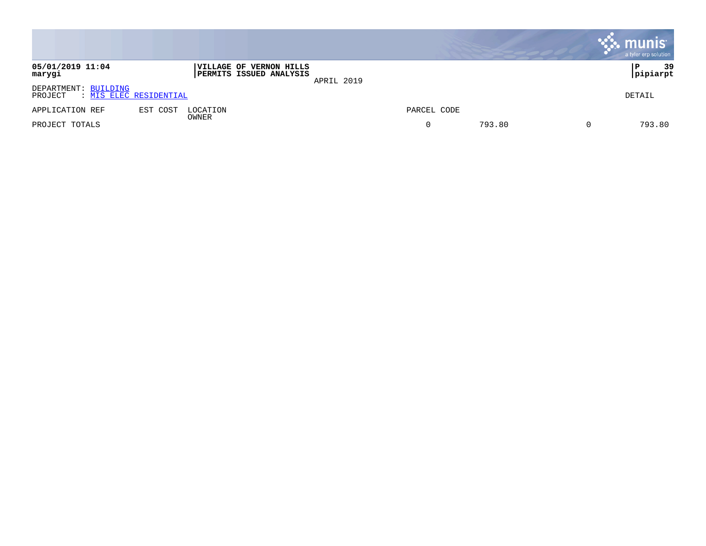|                                                           |          |                                                           |            |             |        | <b>munis</b><br>a tyler erp solution |
|-----------------------------------------------------------|----------|-----------------------------------------------------------|------------|-------------|--------|--------------------------------------|
| 05/01/2019 11:04<br>marygi                                |          | VILLAGE OF VERNON HILLS<br><b>PERMITS ISSUED ANALYSIS</b> | APRIL 2019 |             |        | 39<br>P<br> pipiarpt                 |
| DEPARTMENT: BUILDING<br>: MIS ELEC RESIDENTIAL<br>PROJECT |          |                                                           |            |             |        | DETAIL                               |
| APPLICATION REF                                           | EST COST | LOCATION                                                  |            | PARCEL CODE |        |                                      |
| PROJECT TOTALS                                            |          | OWNER                                                     |            |             | 793.80 | 793.80                               |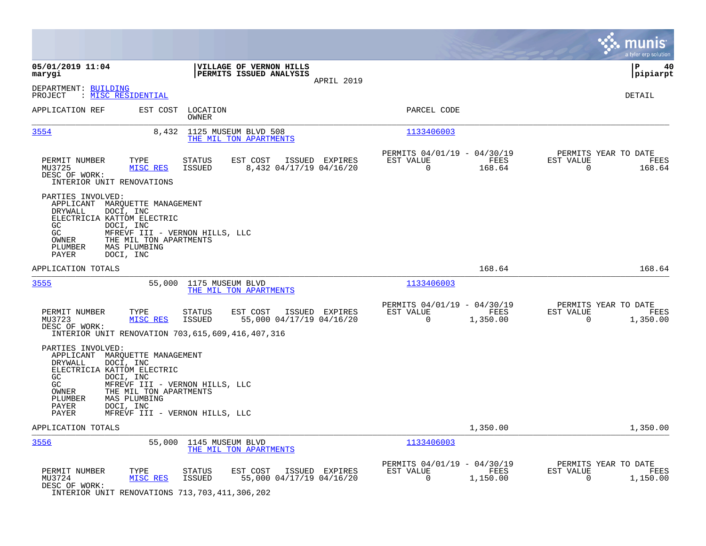|                                                                                                                                                                                                                                                                                                        |                                                                       |                |                                               |                  |                                        | munis<br>a tyler erp solution |
|--------------------------------------------------------------------------------------------------------------------------------------------------------------------------------------------------------------------------------------------------------------------------------------------------------|-----------------------------------------------------------------------|----------------|-----------------------------------------------|------------------|----------------------------------------|-------------------------------|
| 05/01/2019 11:04<br>marygi                                                                                                                                                                                                                                                                             | VILLAGE OF VERNON HILLS<br>PERMITS ISSUED ANALYSIS                    | APRIL 2019     |                                               |                  |                                        | l P<br>40<br> pipiarpt        |
| DEPARTMENT: BUILDING<br>: MISC RESIDENTIAL<br>PROJECT                                                                                                                                                                                                                                                  |                                                                       |                |                                               |                  |                                        | DETAIL                        |
| APPLICATION REF<br>EST COST                                                                                                                                                                                                                                                                            | LOCATION<br>OWNER                                                     |                | PARCEL CODE                                   |                  |                                        |                               |
| 3554<br>8,432                                                                                                                                                                                                                                                                                          | 1125 MUSEUM BLVD 508<br>THE MIL TON APARTMENTS                        |                | 1133406003                                    |                  |                                        |                               |
| PERMIT NUMBER<br>TYPE<br>MU3725<br>MISC RES<br>DESC OF WORK:<br>INTERIOR UNIT RENOVATIONS                                                                                                                                                                                                              | <b>STATUS</b><br>EST COST<br>8,432 04/17/19 04/16/20<br><b>ISSUED</b> | ISSUED EXPIRES | PERMITS 04/01/19 - 04/30/19<br>EST VALUE<br>0 | FEES<br>168.64   | PERMITS YEAR TO DATE<br>EST VALUE<br>0 | FEES<br>168.64                |
| PARTIES INVOLVED:<br>APPLICANT MARQUETTE MANAGEMENT<br>DOCI, INC<br>DRYWALL<br>ELECTRICIA KATTOM ELECTRIC<br>$\mathtt{DOCI}$ , $\mathtt{INC}$<br>GC.<br>GC<br>MFREVF III - VERNON HILLS, LLC<br>OWNER<br>THE MIL TON APARTMENTS<br>PLUMBER<br>MAS PLUMBING<br>PAYER<br>DOCI, INC                       |                                                                       |                |                                               |                  |                                        |                               |
| APPLICATION TOTALS                                                                                                                                                                                                                                                                                     |                                                                       |                |                                               | 168.64           |                                        | 168.64                        |
| 3555<br>55,000                                                                                                                                                                                                                                                                                         | 1175 MUSEUM BLVD<br>THE MIL TON APARTMENTS                            |                | 1133406003                                    |                  |                                        |                               |
| PERMIT NUMBER<br>TYPE<br>MISC RES<br>MU3723<br>DESC OF WORK:<br>INTERIOR UNIT RENOVATION 703, 615, 609, 416, 407, 316                                                                                                                                                                                  | STATUS<br>EST COST<br><b>ISSUED</b><br>55,000 04/17/19 04/16/20       | ISSUED EXPIRES | PERMITS 04/01/19 - 04/30/19<br>EST VALUE<br>0 | FEES<br>1,350.00 | PERMITS YEAR TO DATE<br>EST VALUE<br>0 | FEES<br>1,350.00              |
| PARTIES INVOLVED:<br>APPLICANT<br>MARQUETTE MANAGEMENT<br>DOCI, INC<br>DRYWALL<br>ELECTRICIA KATTOM ELECTRIC<br>GC<br>DOCI, INC<br>GC<br>MFREVF III - VERNON HILLS, LLC<br>OWNER<br>THE MIL TON APARTMENTS<br>PLUMBER<br>MAS PLUMBING<br>DOCI, INC<br>PAYER<br>PAYER<br>MFREVF III - VERNON HILLS, LLC |                                                                       |                |                                               |                  |                                        |                               |
| APPLICATION TOTALS                                                                                                                                                                                                                                                                                     |                                                                       |                |                                               | 1,350.00         |                                        | 1,350.00                      |
| 3556<br>55,000                                                                                                                                                                                                                                                                                         | 1145 MUSEUM BLVD<br>THE MIL TON APARTMENTS                            |                | 1133406003                                    |                  |                                        |                               |
| PERMIT NUMBER<br>TYPE<br>MU3724<br>MISC RES<br>DESC OF WORK:<br>INTERIOR UNIT RENOVATIONS 713, 703, 411, 306, 202                                                                                                                                                                                      | STATUS<br>EST COST<br><b>ISSUED</b><br>55,000 04/17/19 04/16/20       | ISSUED EXPIRES | PERMITS 04/01/19 - 04/30/19<br>EST VALUE<br>0 | FEES<br>1,150.00 | PERMITS YEAR TO DATE<br>EST VALUE<br>0 | FEES<br>1,150.00              |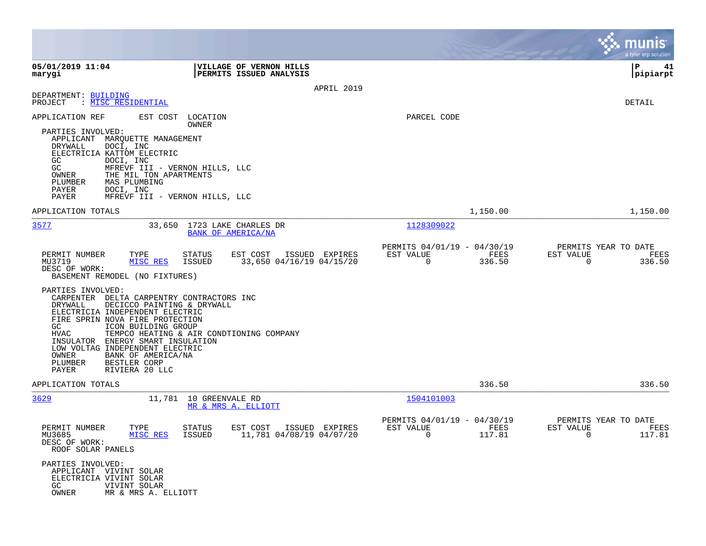|                                                                                                                                                                                                                                                                                                                                                                                  |                                                                         |                |                                                                      |                |                                                     | munis<br>a tyler erp solution |
|----------------------------------------------------------------------------------------------------------------------------------------------------------------------------------------------------------------------------------------------------------------------------------------------------------------------------------------------------------------------------------|-------------------------------------------------------------------------|----------------|----------------------------------------------------------------------|----------------|-----------------------------------------------------|-------------------------------|
| 05/01/2019 11:04<br>marygi                                                                                                                                                                                                                                                                                                                                                       | <b>VILLAGE OF VERNON HILLS</b><br><b>PERMITS ISSUED ANALYSIS</b>        |                |                                                                      |                |                                                     | ۱P.<br>41<br>pipiarpt         |
|                                                                                                                                                                                                                                                                                                                                                                                  |                                                                         | APRIL 2019     |                                                                      |                |                                                     |                               |
| DEPARTMENT: BUILDING<br>: MISC RESIDENTIAL<br>PROJECT                                                                                                                                                                                                                                                                                                                            |                                                                         |                |                                                                      |                |                                                     | DETAIL                        |
| EST COST<br>APPLICATION REF                                                                                                                                                                                                                                                                                                                                                      | LOCATION<br>OWNER                                                       |                | PARCEL CODE                                                          |                |                                                     |                               |
| PARTIES INVOLVED:<br>APPLICANT MARQUETTE MANAGEMENT<br>DRYWALL<br>DOCI, INC<br>ELECTRICIA KATTOM ELECTRIC<br>GC.<br>DOCI, INC                                                                                                                                                                                                                                                    |                                                                         |                |                                                                      |                |                                                     |                               |
| GC<br>MFREVF III - VERNON HILLS, LLC<br>OWNER<br>THE MIL TON APARTMENTS<br>PLUMBER<br>MAS PLUMBING<br>PAYER<br>DOCI, INC<br>PAYER<br>MFREVF III - VERNON HILLS, LLC                                                                                                                                                                                                              |                                                                         |                |                                                                      |                |                                                     |                               |
| APPLICATION TOTALS                                                                                                                                                                                                                                                                                                                                                               |                                                                         |                |                                                                      | 1,150.00       |                                                     | 1,150.00                      |
| 3577                                                                                                                                                                                                                                                                                                                                                                             | 33,650 1723 LAKE CHARLES DR<br>BANK OF AMERICA/NA                       |                | 1128309022                                                           |                |                                                     |                               |
| PERMIT NUMBER<br>TYPE<br>MU3719<br>MISC RES<br>DESC OF WORK:<br>BASEMENT REMODEL (NO FIXTURES)                                                                                                                                                                                                                                                                                   | STATUS<br>EST COST ISSUED EXPIRES<br>33,650 04/16/19 04/15/20<br>ISSUED |                | PERMITS 04/01/19 - 04/30/19<br>EST VALUE<br>$\overline{0}$           | FEES<br>336.50 | PERMITS YEAR TO DATE<br>EST VALUE<br>$\Omega$       | FEES<br>336.50                |
| PARTIES INVOLVED:<br>CARPENTER DELTA CARPENTRY CONTRACTORS INC<br>DRYWALL<br>DECICCO PAINTING & DRYWALL<br>ELECTRICIA INDEPENDENT ELECTRIC<br>FIRE SPRIN NOVA FIRE PROTECTION<br>GC.<br>ICON BUILDING GROUP<br>HVAC<br>INSULATOR ENERGY SMART INSULATION<br>LOW VOLTAG INDEPENDENT ELECTRIC<br>OWNER<br>BANK OF AMERICA/NA<br>PLUMBER<br>BESTLER CORP<br>PAYER<br>RIVIERA 20 LLC | TEMPCO HEATING & AIR CONDTIONING COMPANY                                |                |                                                                      |                |                                                     |                               |
| APPLICATION TOTALS                                                                                                                                                                                                                                                                                                                                                               |                                                                         |                |                                                                      | 336.50         |                                                     | 336.50                        |
| 3629                                                                                                                                                                                                                                                                                                                                                                             | 11,781 10 GREENVALE RD<br>MR & MRS A. ELLIOTT                           |                | 1504101003                                                           |                |                                                     |                               |
| PERMIT NUMBER<br>TYPE<br>MU3685<br>MISC RES<br>DESC OF WORK:<br>ROOF SOLAR PANELS                                                                                                                                                                                                                                                                                                | <b>STATUS</b><br>EST COST<br>ISSUED<br>11,781 04/08/19 04/07/20         | ISSUED EXPIRES | PERMITS 04/01/19 - 04/30/19<br>EST VALUE<br>$\overline{\phantom{0}}$ | FEES<br>117.81 | PERMITS YEAR TO DATE<br>EST VALUE<br>$\overline{0}$ | FEES<br>117.81                |
| PARTIES INVOLVED:<br>APPLICANT VIVINT SOLAR<br>ELECTRICIA VIVINT SOLAR<br>GC<br>VIVINT SOLAR<br>OWNER<br>MR & MRS A. ELLIOTT                                                                                                                                                                                                                                                     |                                                                         |                |                                                                      |                |                                                     |                               |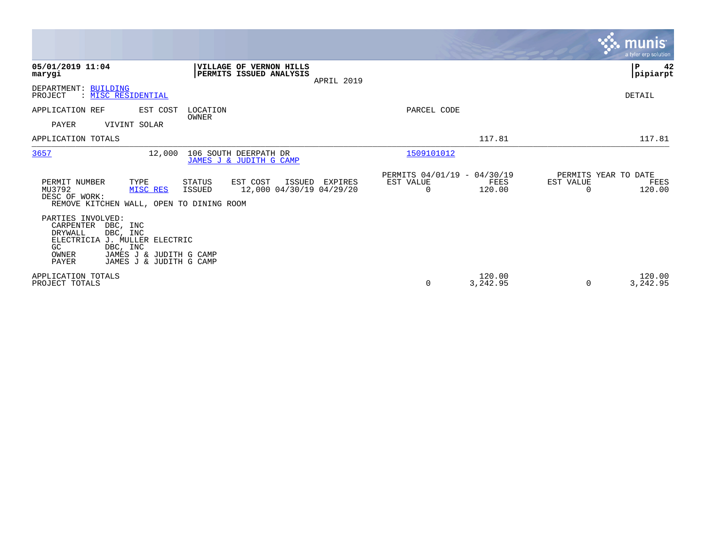|                                                                                                                                                                                                 |                                                                                   |                                                                        | <b>munis</b><br>a tyler erp solution                            |
|-------------------------------------------------------------------------------------------------------------------------------------------------------------------------------------------------|-----------------------------------------------------------------------------------|------------------------------------------------------------------------|-----------------------------------------------------------------|
| 05/01/2019 11:04<br>marygi                                                                                                                                                                      | VILLAGE OF VERNON HILLS<br>PERMITS ISSUED ANALYSIS<br>APRIL 2019                  |                                                                        | ΙP<br>42<br> pipiarpt                                           |
| DEPARTMENT: BUILDING<br>: MISC RESIDENTIAL<br>PROJECT                                                                                                                                           |                                                                                   |                                                                        | <b>DETAIL</b>                                                   |
| APPLICATION REF<br>EST COST<br>PAYER<br>VIVINT SOLAR                                                                                                                                            | LOCATION<br><b>OWNER</b>                                                          | PARCEL CODE                                                            |                                                                 |
| APPLICATION TOTALS                                                                                                                                                                              |                                                                                   | 117.81                                                                 | 117.81                                                          |
| 3657<br>12,000                                                                                                                                                                                  | 106 SOUTH DEERPATH DR<br>JAMES J & JUDITH G CAMP                                  | 1509101012                                                             |                                                                 |
| PERMIT NUMBER<br>TYPE<br>MU3792<br>MISC RES<br>DESC OF WORK:<br>REMOVE KITCHEN WALL, OPEN TO DINING ROOM                                                                                        | <b>STATUS</b><br>EST COST<br>ISSUED EXPIRES<br>12,000 04/30/19 04/29/20<br>ISSUED | PERMITS 04/01/19 - 04/30/19<br>EST VALUE<br>FEES<br>$\Omega$<br>120.00 | PERMITS YEAR TO DATE<br>EST VALUE<br>FEES<br>120.00<br>$\Omega$ |
| PARTIES INVOLVED:<br>CARPENTER<br>DBC, INC<br>DRYWALL<br>DBC, INC<br>J. MULLER ELECTRIC<br>ELECTRICIA<br>GC<br>DBC, INC<br>OWNER<br>JAMES J & JUDITH G CAMP<br>PAYER<br>JAMES J & JUDITH G CAMP |                                                                                   |                                                                        |                                                                 |
| APPLICATION TOTALS<br>PROJECT TOTALS                                                                                                                                                            |                                                                                   | 120.00<br>$\mathbf 0$<br>3,242.95                                      | 120.00<br>3,242.95<br>$\Omega$                                  |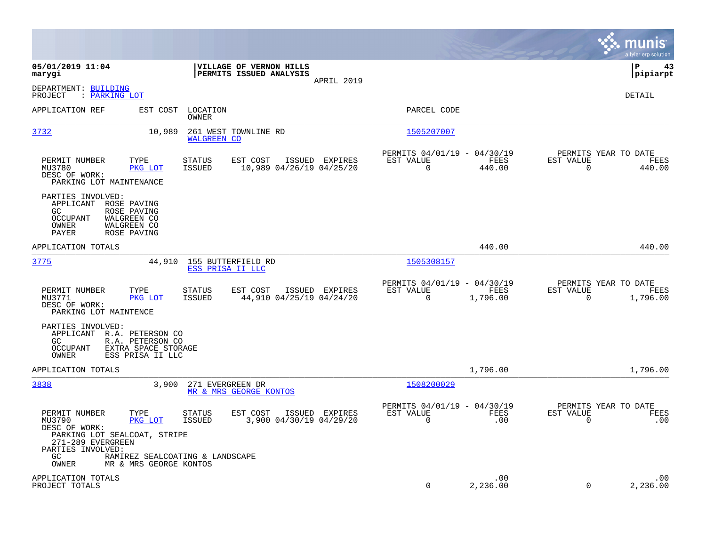|                                                                                                                                                                                |                                                                                                          |                |                                                         |                  |                                                  | munis<br>a tyler erp solution |
|--------------------------------------------------------------------------------------------------------------------------------------------------------------------------------|----------------------------------------------------------------------------------------------------------|----------------|---------------------------------------------------------|------------------|--------------------------------------------------|-------------------------------|
| 05/01/2019 11:04<br>marygi                                                                                                                                                     | VILLAGE OF VERNON HILLS<br>PERMITS ISSUED ANALYSIS                                                       | APRIL 2019     |                                                         |                  |                                                  | P<br>43<br> pipiarpt          |
| DEPARTMENT: BUILDING<br>: PARKING LOT<br>PROJECT                                                                                                                               |                                                                                                          |                |                                                         |                  |                                                  | DETAIL                        |
| APPLICATION REF<br>EST COST                                                                                                                                                    | LOCATION<br><b>OWNER</b>                                                                                 |                | PARCEL CODE                                             |                  |                                                  |                               |
| 3732<br>10,989                                                                                                                                                                 | 261 WEST TOWNLINE RD<br><b>WALGREEN CO</b>                                                               |                | 1505207007                                              |                  |                                                  |                               |
| TYPE<br>PERMIT NUMBER<br>MU3780<br>PKG LOT<br>DESC OF WORK:<br>PARKING LOT MAINTENANCE                                                                                         | <b>STATUS</b><br>EST COST<br><b>ISSUED</b><br>10,989 04/26/19 04/25/20                                   | ISSUED EXPIRES | PERMITS 04/01/19 - 04/30/19<br>EST VALUE<br>$\mathbf 0$ | FEES<br>440.00   | PERMITS YEAR TO DATE<br>EST VALUE<br>$\mathbf 0$ | FEES<br>440.00                |
| PARTIES INVOLVED:<br>APPLICANT ROSE PAVING<br>GC.<br>ROSE PAVING<br><b>OCCUPANT</b><br>WALGREEN CO<br>OWNER<br>WALGREEN CO<br>PAYER<br>ROSE PAVING                             |                                                                                                          |                |                                                         |                  |                                                  |                               |
| APPLICATION TOTALS                                                                                                                                                             |                                                                                                          |                |                                                         | 440.00           |                                                  | 440.00                        |
| 3775<br>44,910                                                                                                                                                                 | 155 BUTTERFIELD RD<br>ESS PRISA II LLC                                                                   |                | 1505308157                                              |                  |                                                  |                               |
| PERMIT NUMBER<br>TYPE<br>MU3771<br>PKG LOT<br>DESC OF WORK:<br>PARKING LOT MAINTENCE                                                                                           | <b>STATUS</b><br>EST COST<br><b>ISSUED</b><br>44,910 04/25/19 04/24/20                                   | ISSUED EXPIRES | PERMITS 04/01/19 - 04/30/19<br>EST VALUE<br>$\Omega$    | FEES<br>1,796.00 | PERMITS YEAR TO DATE<br>EST VALUE<br>$\Omega$    | FEES<br>1,796.00              |
| PARTIES INVOLVED:<br>APPLICANT R.A. PETERSON CO<br>GC.<br>R.A. PETERSON CO<br>EXTRA SPACE STORAGE<br>OCCUPANT<br>ESS PRISA II LLC<br>OWNER                                     |                                                                                                          |                |                                                         |                  |                                                  |                               |
| APPLICATION TOTALS                                                                                                                                                             |                                                                                                          |                |                                                         | 1,796.00         |                                                  | 1,796.00                      |
| 3838<br>3,900                                                                                                                                                                  | 271 EVERGREEN DR<br>MR & MRS GEORGE KONTOS                                                               |                | 1508200029                                              |                  |                                                  |                               |
| PERMIT NUMBER<br>TYPE<br>MU3790<br>PKG LOT<br>DESC OF WORK:<br>PARKING LOT SEALCOAT, STRIPE<br>271-289 EVERGREEN<br>PARTIES INVOLVED:<br>GC<br>OWNER<br>MR & MRS GEORGE KONTOS | <b>STATUS</b><br>EST COST<br>3,900 04/30/19 04/29/20<br><b>ISSUED</b><br>RAMIREZ SEALCOATING & LANDSCAPE | ISSUED EXPIRES | PERMITS 04/01/19 - 04/30/19<br>EST VALUE<br>$\mathbf 0$ | FEES<br>.00      | PERMITS YEAR TO DATE<br>EST VALUE<br>$\mathbf 0$ | FEES<br>.00                   |
| APPLICATION TOTALS<br>PROJECT TOTALS                                                                                                                                           |                                                                                                          |                | $\mathbf 0$                                             | .00<br>2,236.00  | $\Omega$                                         | .00<br>2,236.00               |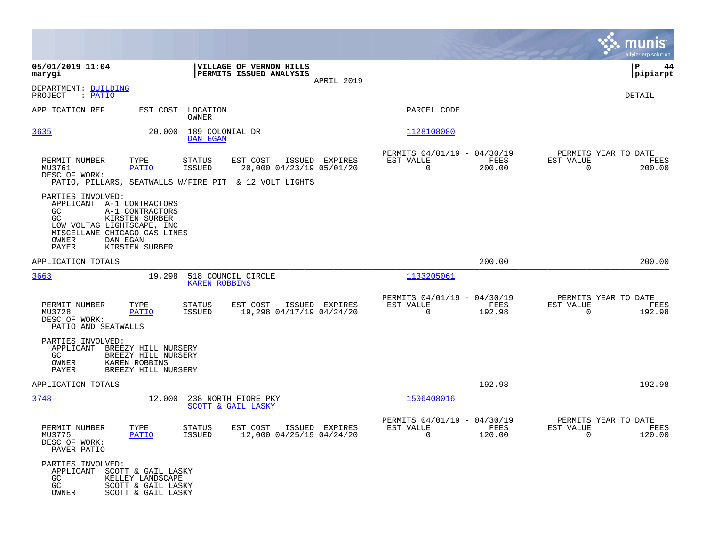|                                                                                                                                             |                                                                                    |                             |                                                                                               |                |                                                         |                |                                                     | munis<br>a tyler erp solution |
|---------------------------------------------------------------------------------------------------------------------------------------------|------------------------------------------------------------------------------------|-----------------------------|-----------------------------------------------------------------------------------------------|----------------|---------------------------------------------------------|----------------|-----------------------------------------------------|-------------------------------|
| 05/01/2019 11:04<br>marygi                                                                                                                  |                                                                                    |                             | VILLAGE OF VERNON HILLS<br>PERMITS ISSUED ANALYSIS                                            |                |                                                         |                |                                                     | 44<br>l P<br> pipiarpt        |
| DEPARTMENT: BUILDING<br>: PATIO<br>PROJECT                                                                                                  |                                                                                    |                             |                                                                                               | APRIL 2019     |                                                         |                |                                                     | DETAIL                        |
| APPLICATION REF                                                                                                                             | EST COST                                                                           | LOCATION<br>OWNER           |                                                                                               |                | PARCEL CODE                                             |                |                                                     |                               |
| 3635                                                                                                                                        | 20,000                                                                             | 189 COLONIAL DR<br>DAN EGAN |                                                                                               |                | 1128108080                                              |                |                                                     |                               |
| PERMIT NUMBER<br>MU3761<br>DESC OF WORK:                                                                                                    | TYPE<br>PATIO                                                                      | STATUS<br>ISSUED            | EST COST<br>20,000 04/23/19 05/01/20<br>PATIO, PILLARS, SEATWALLS W/FIRE PIT & 12 VOLT LIGHTS | ISSUED EXPIRES | PERMITS 04/01/19 - 04/30/19<br>EST VALUE<br>$\Omega$    | FEES<br>200.00 | PERMITS YEAR TO DATE<br>EST VALUE<br>$\Omega$       | FEES<br>200.00                |
| PARTIES INVOLVED:<br>APPLICANT A-1 CONTRACTORS<br>GC.<br>GC<br>LOW VOLTAG LIGHTSCAPE, INC<br>MISCELLANE CHICAGO GAS LINES<br>OWNER<br>PAYER | A-1 CONTRACTORS<br>KIRSTEN SURBER<br>DAN EGAN<br>KIRSTEN SURBER                    |                             |                                                                                               |                |                                                         |                |                                                     |                               |
| APPLICATION TOTALS                                                                                                                          |                                                                                    |                             |                                                                                               |                |                                                         | 200.00         |                                                     | 200.00                        |
| 3663                                                                                                                                        | 19,298                                                                             | <b>KAREN ROBBINS</b>        | 518 COUNCIL CIRCLE                                                                            |                | 1133205061                                              |                |                                                     |                               |
| PERMIT NUMBER<br>MU3728<br>DESC OF WORK:<br>PATIO AND SEATWALLS                                                                             | TYPE<br><b>PATIO</b>                                                               | STATUS<br><b>ISSUED</b>     | EST COST<br>19,298 04/17/19 04/24/20                                                          | ISSUED EXPIRES | PERMITS 04/01/19 - 04/30/19<br>EST VALUE<br>$\mathbf 0$ | FEES<br>192.98 | PERMITS YEAR TO DATE<br>EST VALUE<br>$\Omega$       | FEES<br>192.98                |
| PARTIES INVOLVED:<br>APPLICANT<br>GC.<br>OWNER<br>PAYER                                                                                     | BREEZY HILL NURSERY<br>BREEZY HILL NURSERY<br>KAREN ROBBINS<br>BREEZY HILL NURSERY |                             |                                                                                               |                |                                                         |                |                                                     |                               |
| APPLICATION TOTALS                                                                                                                          |                                                                                    |                             |                                                                                               |                |                                                         | 192.98         |                                                     | 192.98                        |
| 3748                                                                                                                                        | 12,000                                                                             |                             | 238 NORTH FIORE PKY<br>SCOTT & GAIL LASKY                                                     |                | 1506408016                                              |                |                                                     |                               |
| PERMIT NUMBER<br>MU3775<br>DESC OF WORK:<br>PAVER PATIO                                                                                     | TYPE<br>PATIO                                                                      | STATUS<br>ISSUED            | EST COST<br>12,000 04/25/19 04/24/20                                                          | ISSUED EXPIRES | PERMITS 04/01/19 - 04/30/19<br>EST VALUE<br>$\sim$ 0    | FEES<br>120.00 | PERMITS YEAR TO DATE<br>EST VALUE<br>$\overline{0}$ | FEES<br>120.00                |
| PARTIES INVOLVED:<br>APPLICANT SCOTT & GAIL LASKY<br>GC<br>GC.<br>OWNER                                                                     | KELLEY LANDSCAPE<br>SCOTT & GAIL LASKY<br>SCOTT & GAIL LASKY                       |                             |                                                                                               |                |                                                         |                |                                                     |                               |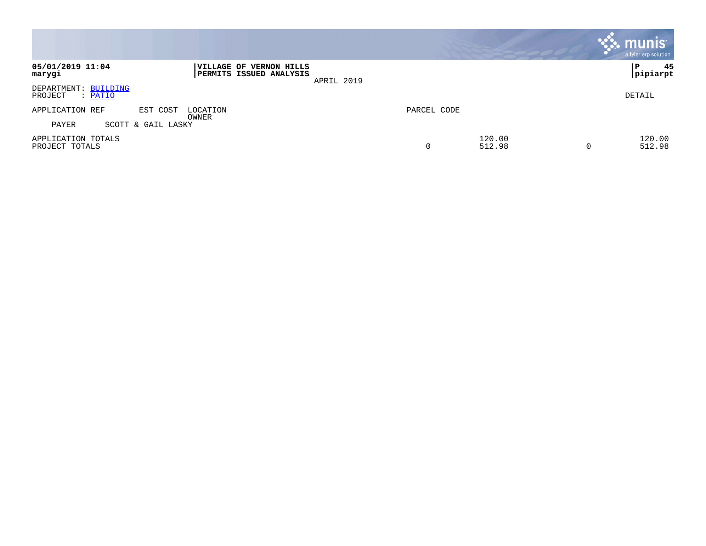|                                              |                                                                   |                       | <b>munis</b><br>a tyler erp solution |
|----------------------------------------------|-------------------------------------------------------------------|-----------------------|--------------------------------------|
| 05/01/2019 11:04<br>marygi                   | <b> VILLAGE OF VERNON HILLS</b><br><b>PERMITS ISSUED ANALYSIS</b> | APRIL 2019            | 45<br>Р<br> pipiarpt                 |
| DEPARTMENT: BUILDING<br>PROJECT<br>$:$ PATIO |                                                                   |                       | DETAIL                               |
| APPLICATION REF                              | EST COST<br>LOCATION                                              | PARCEL CODE           |                                      |
| PAYER                                        | OWNER<br>SCOTT & GAIL LASKY                                       |                       |                                      |
| APPLICATION TOTALS<br>PROJECT TOTALS         |                                                                   | 120.00<br>0<br>512.98 | 120.00<br>512.98                     |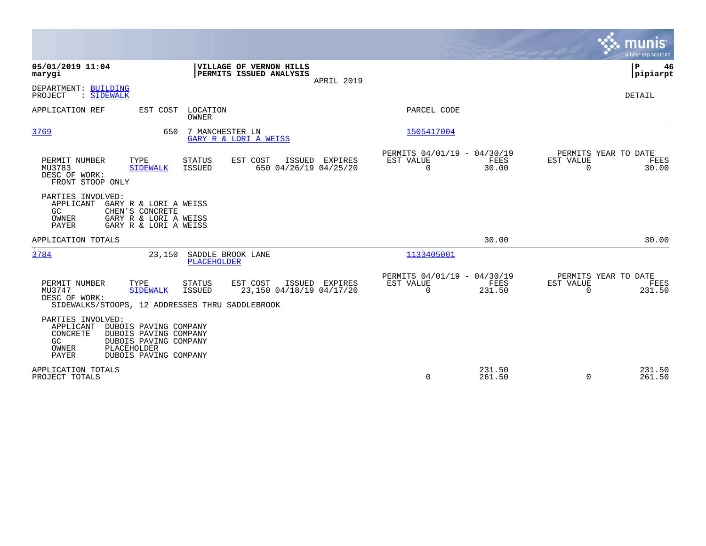|                                                                                                                                                                                                                    |                                                                               | munis<br>a tyler erp solution                                   |
|--------------------------------------------------------------------------------------------------------------------------------------------------------------------------------------------------------------------|-------------------------------------------------------------------------------|-----------------------------------------------------------------|
| 05/01/2019 11:04<br>VILLAGE OF VERNON HILLS<br>marygi<br>PERMITS ISSUED ANALYSIS<br>APRIL 2019                                                                                                                     |                                                                               | P<br>46<br> pipiarpt                                            |
| DEPARTMENT: BUILDING<br>PROJECT<br>: SIDEWALK                                                                                                                                                                      |                                                                               | DETAIL                                                          |
| APPLICATION REF<br>EST COST<br>LOCATION<br>OWNER                                                                                                                                                                   | PARCEL CODE                                                                   |                                                                 |
| 7 MANCHESTER LN<br>3769<br>650<br>GARY R & LORI A WEISS                                                                                                                                                            | 1505417004                                                                    |                                                                 |
| EST COST<br>PERMIT NUMBER<br>TYPE<br><b>STATUS</b><br>ISSUED<br>EXPIRES<br>MU3783<br>650 04/26/19 04/25/20<br><b>SIDEWALK</b><br>ISSUED<br>DESC OF WORK:<br>FRONT STOOP ONLY                                       | PERMITS 04/01/19 - 04/30/19<br>EST VALUE<br>FEES<br>$\Omega$<br>30.00         | PERMITS YEAR TO DATE<br>EST VALUE<br>FEES<br>$\Omega$<br>30.00  |
| PARTIES INVOLVED:<br>APPLICANT<br>GARY R & LORI A WEISS<br>GC.<br>CHEN'S CONCRETE<br>OWNER<br>GARY R & LORI A WEISS<br>PAYER<br>GARY R & LORI A WEISS                                                              |                                                                               |                                                                 |
| APPLICATION TOTALS                                                                                                                                                                                                 | 30.00                                                                         | 30.00                                                           |
| 3784<br>SADDLE BROOK LANE<br>23,150<br><b>PLACEHOLDER</b>                                                                                                                                                          | 1133405001                                                                    |                                                                 |
| TYPE<br>EST COST<br>PERMIT NUMBER<br><b>STATUS</b><br>ISSUED EXPIRES<br>23,150 04/18/19 04/17/20<br>MU3747<br><b>ISSUED</b><br><b>SIDEWALK</b><br>DESC OF WORK:<br>SIDEWALKS/STOOPS, 12 ADDRESSES THRU SADDLEBROOK | PERMITS 04/01/19 - 04/30/19<br><b>EST VALUE</b><br>FEES<br>231.50<br>$\Omega$ | PERMITS YEAR TO DATE<br>EST VALUE<br>FEES<br>$\Omega$<br>231.50 |
| PARTIES INVOLVED:<br>APPLICANT<br>DUBOIS PAVING COMPANY<br>CONCRETE<br>DUBOIS PAVING COMPANY<br>GC.<br>DUBOIS PAVING COMPANY<br>OWNER<br>PLACEHOLDER<br>PAYER<br>DUBOIS PAVING COMPANY                             |                                                                               |                                                                 |
| APPLICATION TOTALS<br>PROJECT TOTALS                                                                                                                                                                               | 231.50<br>0<br>261.50                                                         | 231.50<br>261.50<br>$\Omega$                                    |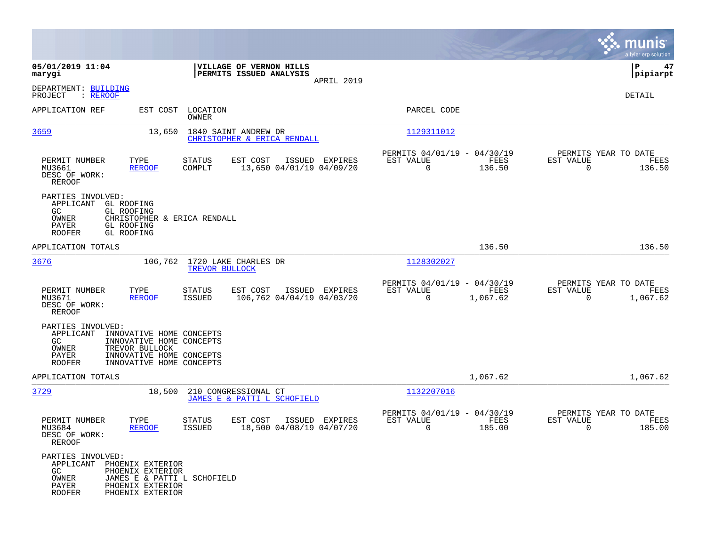|                                                                          |                                                                                                                                |                            |                                                     |                |                                                            |                  |                                                  | munis<br>a tyler erp solution |
|--------------------------------------------------------------------------|--------------------------------------------------------------------------------------------------------------------------------|----------------------------|-----------------------------------------------------|----------------|------------------------------------------------------------|------------------|--------------------------------------------------|-------------------------------|
| 05/01/2019 11:04<br>marygi                                               |                                                                                                                                |                            | VILLAGE OF VERNON HILLS<br>PERMITS ISSUED ANALYSIS  | APRIL 2019     |                                                            |                  |                                                  | ΙP<br>47<br> pipiarpt         |
| DEPARTMENT: BUILDING<br>: REROOF<br>PROJECT                              |                                                                                                                                |                            |                                                     |                |                                                            |                  |                                                  | DETAIL                        |
| APPLICATION REF                                                          |                                                                                                                                | EST COST LOCATION<br>OWNER |                                                     |                | PARCEL CODE                                                |                  |                                                  |                               |
| 3659                                                                     | 13,650                                                                                                                         |                            | 1840 SAINT ANDREW DR<br>CHRISTOPHER & ERICA RENDALL |                | 1129311012                                                 |                  |                                                  |                               |
| PERMIT NUMBER<br>MU3661<br>DESC OF WORK:<br>REROOF                       | TYPE<br><b>REROOF</b>                                                                                                          | <b>STATUS</b><br>COMPLT    | EST COST<br>13,650 04/01/19 04/09/20                | ISSUED EXPIRES | PERMITS 04/01/19 - 04/30/19<br>EST VALUE<br>$\overline{0}$ | FEES<br>136.50   | PERMITS YEAR TO DATE<br>EST VALUE<br>$\Omega$    | FEES<br>136.50                |
| PARTIES INVOLVED:<br>APPLICANT<br>GC.<br>OWNER<br>PAYER<br><b>ROOFER</b> | GL ROOFING<br>GL ROOFING<br>CHRISTOPHER & ERICA RENDALL<br>GL ROOFING<br>GL ROOFING                                            |                            |                                                     |                |                                                            |                  |                                                  |                               |
| APPLICATION TOTALS                                                       |                                                                                                                                |                            |                                                     |                |                                                            | 136.50           |                                                  | 136.50                        |
| 3676                                                                     | 106,762                                                                                                                        | TREVOR BULLOCK             | 1720 LAKE CHARLES DR                                |                | 1128302027                                                 |                  |                                                  |                               |
| PERMIT NUMBER<br>MU3671<br>DESC OF WORK:<br><b>REROOF</b>                | TYPE<br><b>REROOF</b>                                                                                                          | <b>STATUS</b><br>ISSUED    | EST COST<br>106,762 04/04/19 04/03/20               | ISSUED EXPIRES | PERMITS 04/01/19 - 04/30/19<br>EST VALUE<br>$\mathbf 0$    | FEES<br>1,067.62 | PERMITS YEAR TO DATE<br>EST VALUE<br>$\mathbf 0$ | FEES<br>1,067.62              |
| PARTIES INVOLVED:<br>APPLICANT<br>GC.<br>OWNER<br>PAYER<br><b>ROOFER</b> | INNOVATIVE HOME CONCEPTS<br>INNOVATIVE HOME CONCEPTS<br>TREVOR BULLOCK<br>INNOVATIVE HOME CONCEPTS<br>INNOVATIVE HOME CONCEPTS |                            |                                                     |                |                                                            |                  |                                                  |                               |
| APPLICATION TOTALS                                                       |                                                                                                                                |                            |                                                     |                |                                                            | 1,067.62         |                                                  | 1,067.62                      |
| 3729                                                                     | 18,500                                                                                                                         |                            | 210 CONGRESSIONAL CT<br>JAMES E & PATTI L SCHOFIELD |                | 1132207016                                                 |                  |                                                  |                               |
| PERMIT NUMBER<br>MU3684<br>DESC OF WORK:<br>REROOF                       | TYPE<br><b>REROOF</b>                                                                                                          | STATUS<br><b>ISSUED</b>    | EST COST<br>18,500 04/08/19 04/07/20                | ISSUED EXPIRES | PERMITS 04/01/19 - 04/30/19<br>EST VALUE<br>0              | FEES<br>185.00   | PERMITS YEAR TO DATE<br>EST VALUE<br>0           | FEES<br>185.00                |
| PARTIES INVOLVED:<br>GC<br>OWNER<br>PAYER<br><b>ROOFER</b>               | APPLICANT PHOENIX EXTERIOR<br>PHOENIX EXTERIOR<br>JAMES E & PATTI L SCHOFIELD<br>PHOENIX EXTERIOR<br>PHOENIX EXTERIOR          |                            |                                                     |                |                                                            |                  |                                                  |                               |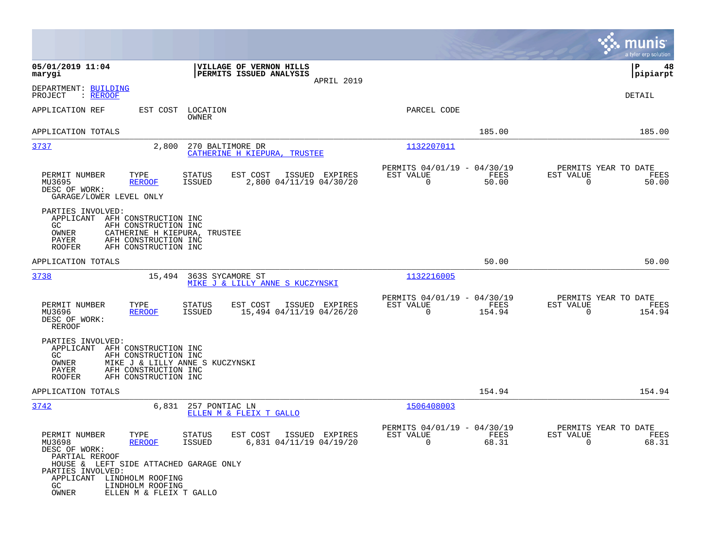|                                                                                                                                                                                                          |                                                                                         |                                                                              | munis<br>a tyler erp solution                                     |
|----------------------------------------------------------------------------------------------------------------------------------------------------------------------------------------------------------|-----------------------------------------------------------------------------------------|------------------------------------------------------------------------------|-------------------------------------------------------------------|
| 05/01/2019 11:04<br>marygi                                                                                                                                                                               | VILLAGE OF VERNON HILLS<br>PERMITS ISSUED ANALYSIS<br>APRIL 2019                        |                                                                              | P<br>48<br> pipiarpt                                              |
| DEPARTMENT: BUILDING<br>PROJECT<br>: <u>REROOF</u>                                                                                                                                                       |                                                                                         |                                                                              | DETAIL                                                            |
| APPLICATION REF<br>EST COST                                                                                                                                                                              | LOCATION<br>OWNER                                                                       | PARCEL CODE                                                                  |                                                                   |
| APPLICATION TOTALS                                                                                                                                                                                       |                                                                                         | 185.00                                                                       | 185.00                                                            |
| 3737<br>2,800                                                                                                                                                                                            | 270 BALTIMORE DR<br>CATHERINE H KIEPURA, TRUSTEE                                        | 1132207011                                                                   |                                                                   |
| PERMIT NUMBER<br>TYPE<br>MU3695<br><b>REROOF</b><br>DESC OF WORK:<br>GARAGE/LOWER LEVEL ONLY                                                                                                             | <b>STATUS</b><br>EST COST<br>ISSUED EXPIRES<br><b>ISSUED</b><br>2,800 04/11/19 04/30/20 | PERMITS 04/01/19 - 04/30/19<br>EST VALUE<br>FEES<br>$\mathbf 0$<br>50.00     | PERMITS YEAR TO DATE<br>EST VALUE<br>FEES<br>$\mathbf 0$<br>50.00 |
| PARTIES INVOLVED:<br>APPLICANT<br>AFH CONSTRUCTION INC<br>GC.<br>AFH CONSTRUCTION INC<br>OWNER<br>CATHERINE H KIEPURA, TRUSTEE<br>PAYER<br>AFH CONSTRUCTION INC<br>AFH CONSTRUCTION INC<br><b>ROOFER</b> |                                                                                         |                                                                              |                                                                   |
| APPLICATION TOTALS                                                                                                                                                                                       |                                                                                         | 50.00                                                                        | 50.00                                                             |
| 3738<br>15,494                                                                                                                                                                                           | 363S SYCAMORE ST<br>MIKE J & LILLY ANNE S KUCZYNSKI                                     | 1132216005                                                                   |                                                                   |
| PERMIT NUMBER<br>TYPE<br>MU3696<br><b>REROOF</b><br>DESC OF WORK:<br><b>REROOF</b>                                                                                                                       | <b>STATUS</b><br>EST COST<br>ISSUED EXPIRES<br>ISSUED<br>15,494 04/11/19 04/26/20       | PERMITS 04/01/19 -<br>04/30/19<br>FEES<br>EST VALUE<br>$\mathbf 0$<br>154.94 | PERMITS YEAR TO DATE<br>EST VALUE<br>FEES<br>0<br>154.94          |
| PARTIES INVOLVED:<br>APPLICANT<br>AFH CONSTRUCTION INC<br>GC.<br>AFH CONSTRUCTION INC<br>OWNER<br>AFH CONSTRUCTION INC<br>PAYER<br>AFH CONSTRUCTION INC<br><b>ROOFER</b>                                 | MIKE J & LILLY ANNE S KUCZYNSKI                                                         |                                                                              |                                                                   |
| APPLICATION TOTALS                                                                                                                                                                                       |                                                                                         | 154.94                                                                       | 154.94                                                            |
| 3742<br>6,831                                                                                                                                                                                            | 257 PONTIAC LN<br>ELLEN M & FLEIX T GALLO                                               | 1506408003                                                                   |                                                                   |
| PERMIT NUMBER<br>TYPE<br>MU3698<br><b>REROOF</b><br>DESC OF WORK:<br>PARTIAL REROOF<br>HOUSE & LEFT SIDE ATTACHED GARAGE ONLY<br>PARTIES INVOLVED:<br>APPLICANT LINDHOLM ROOFING                         | STATUS<br>EST COST ISSUED EXPIRES<br><b>ISSUED</b><br>6,831 04/11/19 04/19/20           | PERMITS 04/01/19 - 04/30/19<br>EST VALUE<br>FEES<br>$\Omega$<br>68.31        | PERMITS YEAR TO DATE<br>EST VALUE<br>FEES<br>$\Omega$<br>68.31    |
| GC<br>LINDHOLM ROOFING<br>OWNER<br>ELLEN M & FLEIX T GALLO                                                                                                                                               |                                                                                         |                                                                              |                                                                   |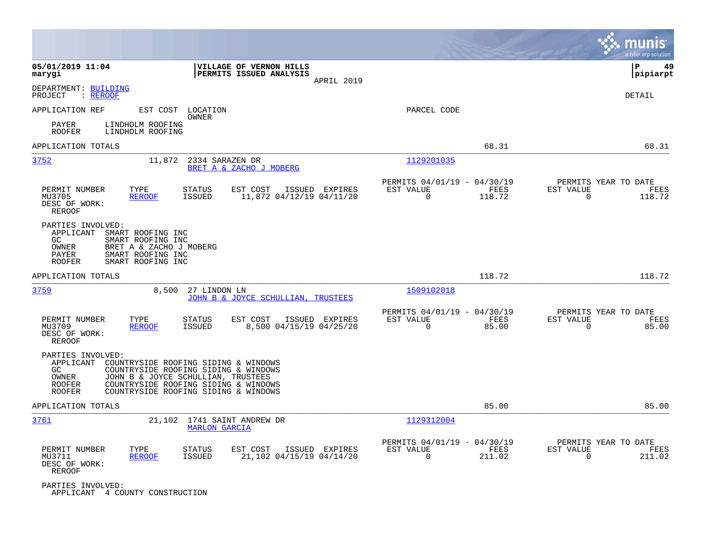|                                                                                                                                                                                         |                                                                                                                                                                                                    |                                                                           | munis<br>a tyler erp solution                                      |
|-----------------------------------------------------------------------------------------------------------------------------------------------------------------------------------------|----------------------------------------------------------------------------------------------------------------------------------------------------------------------------------------------------|---------------------------------------------------------------------------|--------------------------------------------------------------------|
| 05/01/2019 11:04<br>marygi                                                                                                                                                              | VILLAGE OF VERNON HILLS<br>PERMITS ISSUED ANALYSIS<br>APRIL 2019                                                                                                                                   |                                                                           | P<br>49<br> pipiarpt                                               |
| DEPARTMENT: BUILDING<br>: REROOF<br>PROJECT                                                                                                                                             |                                                                                                                                                                                                    |                                                                           | DETAIL                                                             |
| APPLICATION REF<br>EST COST                                                                                                                                                             | LOCATION<br>OWNER                                                                                                                                                                                  | PARCEL CODE                                                               |                                                                    |
| LINDHOLM ROOFING<br>PAYER<br><b>ROOFER</b><br>LINDHOLM ROOFING                                                                                                                          |                                                                                                                                                                                                    |                                                                           |                                                                    |
| APPLICATION TOTALS                                                                                                                                                                      |                                                                                                                                                                                                    | 68.31                                                                     | 68.31                                                              |
| 3752<br>11,872                                                                                                                                                                          | 2334 SARAZEN DR<br>BRET A & ZACHO J MOBERG                                                                                                                                                         | 1129201035                                                                |                                                                    |
| PERMIT NUMBER<br>TYPE<br>MU3705<br><b>REROOF</b><br>DESC OF WORK:<br>REROOF                                                                                                             | <b>STATUS</b><br>EST COST<br>ISSUED EXPIRES<br>11,872 04/12/19 04/11/20<br>ISSUED                                                                                                                  | PERMITS 04/01/19 - 04/30/19<br>EST VALUE<br>FEES<br>$\mathbf 0$<br>118.72 | PERMITS YEAR TO DATE<br>EST VALUE<br>FEES<br>0<br>118.72           |
| PARTIES INVOLVED:<br>APPLICANT<br>SMART ROOFING INC<br>GC.<br>SMART ROOFING INC<br>OWNER<br>BRET A & ZACHO J MOBERG<br>PAYER<br>SMART ROOFING INC<br>SMART ROOFING INC<br><b>ROOFER</b> |                                                                                                                                                                                                    |                                                                           |                                                                    |
| APPLICATION TOTALS                                                                                                                                                                      |                                                                                                                                                                                                    | 118.72                                                                    | 118.72                                                             |
| 3759<br>8,500                                                                                                                                                                           | 27 LINDON LN<br>JOHN B & JOYCE SCHULLIAN, TRUSTEES                                                                                                                                                 | 1509102018                                                                |                                                                    |
| PERMIT NUMBER<br>TYPE<br>MU3709<br><b>REROOF</b><br>DESC OF WORK:<br>REROOF                                                                                                             | EST COST<br>ISSUED EXPIRES<br><b>STATUS</b><br>8,500 04/15/19 04/25/20<br>ISSUED                                                                                                                   | PERMITS 04/01/19 - 04/30/19<br>EST VALUE<br>FEES<br>0<br>85.00            | PERMITS YEAR TO DATE<br>EST VALUE<br>FEES<br>0<br>85.00            |
| PARTIES INVOLVED:<br>APPLICANT<br>GC.<br>OWNER<br><b>ROOFER</b><br><b>ROOFER</b>                                                                                                        | COUNTRYSIDE ROOFING SIDING & WINDOWS<br>COUNTRYSIDE ROOFING SIDING & WINDOWS<br>JOHN B & JOYCE SCHULLIAN, TRUSTEES<br>COUNTRYSIDE ROOFING SIDING & WINDOWS<br>COUNTRYSIDE ROOFING SIDING & WINDOWS |                                                                           |                                                                    |
| APPLICATION TOTALS                                                                                                                                                                      |                                                                                                                                                                                                    | 85.00                                                                     | 85.00                                                              |
| 3761<br>21,102                                                                                                                                                                          | 1741 SAINT ANDREW DR<br><b>MARLON GARCIA</b>                                                                                                                                                       | 1129312004                                                                |                                                                    |
| PERMIT NUMBER<br>TYPE<br>MU3711<br><b>REROOF</b><br>DESC OF WORK:<br>REROOF                                                                                                             | <b>STATUS</b><br>EST COST<br>ISSUED EXPIRES<br>21,102 04/15/19 04/14/20<br>ISSUED                                                                                                                  | PERMITS 04/01/19 - 04/30/19<br>FEES<br>EST VALUE<br>$\mathbf 0$<br>211.02 | PERMITS YEAR TO DATE<br>EST VALUE<br>FEES<br>$\mathbf 0$<br>211.02 |
| PARTIES INVOLVED:<br>APPLICANT 4 COUNTY CONSTRUCTION                                                                                                                                    |                                                                                                                                                                                                    |                                                                           |                                                                    |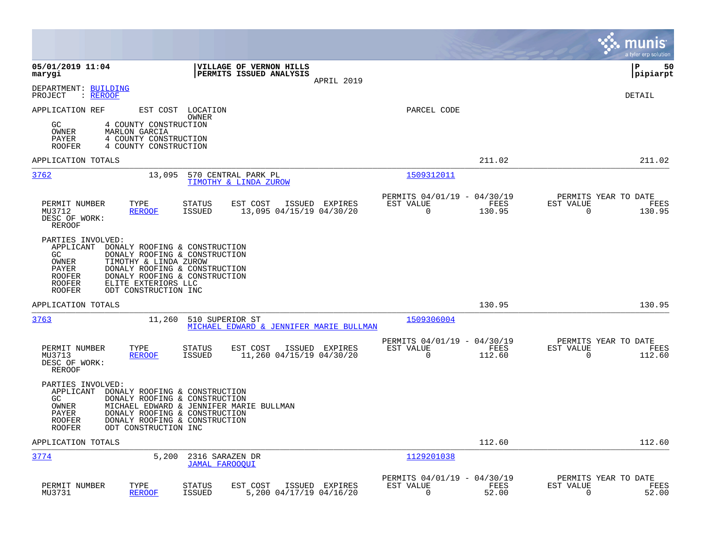|                                                                                                                                                                                                                                                                                                                       |                                                                           | munis<br>a tyler erp solution                                      |
|-----------------------------------------------------------------------------------------------------------------------------------------------------------------------------------------------------------------------------------------------------------------------------------------------------------------------|---------------------------------------------------------------------------|--------------------------------------------------------------------|
| 05/01/2019 11:04<br>VILLAGE OF VERNON HILLS<br>marygi<br>PERMITS ISSUED ANALYSIS<br>APRIL 2019                                                                                                                                                                                                                        |                                                                           | l P<br>50<br> pipiarpt                                             |
| DEPARTMENT: BUILDING<br>PROJECT<br>: REROOF                                                                                                                                                                                                                                                                           |                                                                           | DETAIL                                                             |
| APPLICATION REF<br>EST COST<br>LOCATION<br>OWNER<br>GC<br>4 COUNTY CONSTRUCTION<br>OWNER<br>MARLON GARCIA<br>PAYER<br>4 COUNTY CONSTRUCTION<br>4 COUNTY CONSTRUCTION<br><b>ROOFER</b>                                                                                                                                 | PARCEL CODE                                                               |                                                                    |
| APPLICATION TOTALS                                                                                                                                                                                                                                                                                                    | 211.02                                                                    | 211.02                                                             |
| 3762<br>13,095<br>570 CENTRAL PARK PL<br>TIMOTHY & LINDA ZUROW                                                                                                                                                                                                                                                        | 1509312011                                                                |                                                                    |
| ISSUED EXPIRES<br>PERMIT NUMBER<br>TYPE<br><b>STATUS</b><br>EST COST<br>MU3712<br><b>REROOF</b><br><b>ISSUED</b><br>13,095 04/15/19 04/30/20<br>DESC OF WORK:<br>REROOF                                                                                                                                               | PERMITS 04/01/19 - 04/30/19<br>FEES<br>EST VALUE<br>0<br>130.95           | PERMITS YEAR TO DATE<br>EST VALUE<br>FEES<br>0<br>130.95           |
| PARTIES INVOLVED:<br>APPLICANT<br>DONALY ROOFING & CONSTRUCTION<br>GC<br>DONALY ROOFING & CONSTRUCTION<br>OWNER<br>TIMOTHY & LINDA ZUROW<br>DONALY ROOFING & CONSTRUCTION<br>PAYER<br>DONALY ROOFING & CONSTRUCTION<br><b>ROOFER</b><br>ELITE EXTERIORS LLC<br><b>ROOFER</b><br><b>ROOFER</b><br>ODT CONSTRUCTION INC |                                                                           |                                                                    |
| APPLICATION TOTALS                                                                                                                                                                                                                                                                                                    | 130.95                                                                    | 130.95                                                             |
| 3763<br>11,260<br>510 SUPERIOR ST<br>MICHAEL EDWARD & JENNIFER MARIE BULLMAN                                                                                                                                                                                                                                          | 1509306004                                                                |                                                                    |
| PERMIT NUMBER<br>TYPE<br>STATUS<br>EST COST<br>ISSUED EXPIRES<br>11,260 04/15/19 04/30/20<br>MU3713<br><b>REROOF</b><br><b>ISSUED</b><br>DESC OF WORK:<br><b>REROOF</b>                                                                                                                                               | PERMITS 04/01/19 - 04/30/19<br>FEES<br>EST VALUE<br>$\mathbf 0$<br>112.60 | PERMITS YEAR TO DATE<br>EST VALUE<br>FEES<br>$\mathbf 0$<br>112.60 |
| PARTIES INVOLVED:<br>APPLICANT<br>DONALY ROOFING & CONSTRUCTION<br>DONALY ROOFING & CONSTRUCTION<br>GC.<br>OWNER<br>MICHAEL EDWARD & JENNIFER MARIE BULLMAN<br>DONALY ROOFING & CONSTRUCTION<br>PAYER<br>DONALY ROOFING & CONSTRUCTION<br><b>ROOFER</b><br><b>ROOFER</b><br>ODT CONSTRUCTION INC                      |                                                                           |                                                                    |
| APPLICATION TOTALS                                                                                                                                                                                                                                                                                                    | 112.60                                                                    | 112.60                                                             |
| 3774<br>5,200<br>2316 SARAZEN DR<br><b>JAMAL FAROOQUI</b>                                                                                                                                                                                                                                                             | 1129201038                                                                |                                                                    |
| PERMIT NUMBER<br>TYPE<br>EST COST<br>ISSUED EXPIRES<br><b>STATUS</b><br>5,200 04/17/19 04/16/20<br>MU3731<br><b>REROOF</b><br><b>ISSUED</b>                                                                                                                                                                           | PERMITS 04/01/19 - 04/30/19<br>EST VALUE<br>FEES<br>$\Omega$<br>52.00     | PERMITS YEAR TO DATE<br>EST VALUE<br>FEES<br>52.00<br>0            |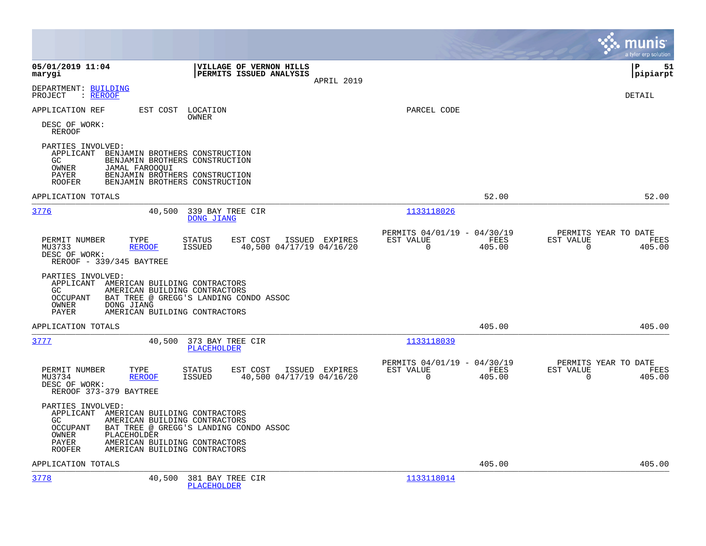|                                                                                                                                                                                                                                                                                       |                                                                  |                                                      | munis<br>a tyler erp solution                                                     |
|---------------------------------------------------------------------------------------------------------------------------------------------------------------------------------------------------------------------------------------------------------------------------------------|------------------------------------------------------------------|------------------------------------------------------|-----------------------------------------------------------------------------------|
| 05/01/2019 11:04<br>marygi                                                                                                                                                                                                                                                            | VILLAGE OF VERNON HILLS<br>PERMITS ISSUED ANALYSIS<br>APRIL 2019 |                                                      | l P<br>51<br> pipiarpt                                                            |
| DEPARTMENT: BUILDING<br>: REROOF<br>PROJECT                                                                                                                                                                                                                                           |                                                                  |                                                      | <b>DETAIL</b>                                                                     |
| APPLICATION REF<br>EST COST<br>LOCATION<br>OWNER<br>DESC OF WORK:<br><b>REROOF</b>                                                                                                                                                                                                    |                                                                  | PARCEL CODE                                          |                                                                                   |
| PARTIES INVOLVED:<br>APPLICANT BENJAMIN BROTHERS CONSTRUCTION<br>GC<br>BENJAMIN BROTHERS CONSTRUCTION<br>OWNER<br>JAMAL FAROOQUI<br>PAYER<br>BENJAMIN BROTHERS CONSTRUCTION<br>BENJAMIN BROTHERS CONSTRUCTION<br><b>ROOFER</b>                                                        |                                                                  |                                                      |                                                                                   |
| APPLICATION TOTALS                                                                                                                                                                                                                                                                    |                                                                  |                                                      | 52.00<br>52.00                                                                    |
| 3776<br>40,500<br>DONG JIANG                                                                                                                                                                                                                                                          | 339 BAY TREE CIR                                                 | 1133118026                                           |                                                                                   |
| PERMIT NUMBER<br>TYPE<br>STATUS<br>MU3733<br><b>REROOF</b><br><b>ISSUED</b><br>DESC OF WORK:<br>REROOF - 339/345 BAYTREE                                                                                                                                                              | EST COST<br>ISSUED EXPIRES<br>40,500 04/17/19 04/16/20           | PERMITS 04/01/19 - 04/30/19<br>EST VALUE<br>$\Omega$ | PERMITS YEAR TO DATE<br>FEES<br>EST VALUE<br>FEES<br>405.00<br>$\Omega$<br>405.00 |
| PARTIES INVOLVED:<br>APPLICANT AMERICAN BUILDING CONTRACTORS<br>GC.<br>AMERICAN BUILDING CONTRACTORS<br><b>OCCUPANT</b><br>BAT TREE @ GREGG'S LANDING CONDO ASSOC<br>OWNER<br>DONG JIANG<br><b>PAYER</b><br>AMERICAN BUILDING CONTRACTORS                                             |                                                                  |                                                      |                                                                                   |
| APPLICATION TOTALS                                                                                                                                                                                                                                                                    |                                                                  |                                                      | 405.00<br>405.00                                                                  |
| 3777<br>40,500<br>PLACEHOLDER                                                                                                                                                                                                                                                         | 373 BAY TREE CIR                                                 | 1133118039                                           |                                                                                   |
| PERMIT NUMBER<br>TYPE<br><b>STATUS</b><br>MU3734<br><b>REROOF</b><br><b>ISSUED</b><br>DESC OF WORK:<br>REROOF 373-379 BAYTREE                                                                                                                                                         | EST COST<br>ISSUED EXPIRES<br>40,500 04/17/19 04/16/20           | PERMITS 04/01/19 - 04/30/19<br>EST VALUE<br>$\Omega$ | PERMITS YEAR TO DATE<br>FEES<br>EST VALUE<br>FEES<br>405.00<br>$\Omega$<br>405.00 |
| PARTIES INVOLVED:<br>APPLICANT AMERICAN BUILDING CONTRACTORS<br>AMERICAN BUILDING CONTRACTORS<br>GC.<br>BAT TREE @ GREGG'S LANDING CONDO ASSOC<br><b>OCCUPANT</b><br>OWNER<br>PLACEHOLDER<br>AMERICAN BUILDING CONTRACTORS<br>PAYER<br>AMERICAN BUILDING CONTRACTORS<br><b>ROOFER</b> |                                                                  |                                                      |                                                                                   |
| APPLICATION TOTALS                                                                                                                                                                                                                                                                    |                                                                  |                                                      | 405.00<br>405.00                                                                  |
| 3778<br>40,500<br><b>PLACEHOLDER</b>                                                                                                                                                                                                                                                  | 381 BAY TREE CIR                                                 | 1133118014                                           |                                                                                   |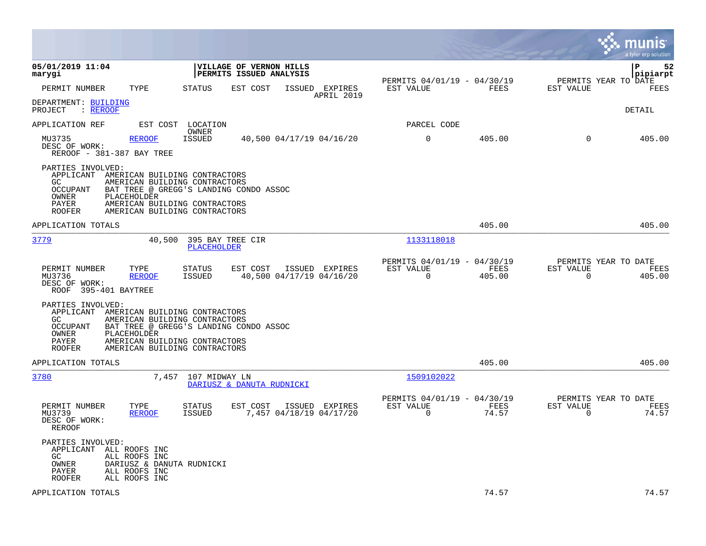|                                                                                                                                                                                                                                                                                                |                                                    |                                                      |                |                                               | munis<br>a tyler erp solution |
|------------------------------------------------------------------------------------------------------------------------------------------------------------------------------------------------------------------------------------------------------------------------------------------------|----------------------------------------------------|------------------------------------------------------|----------------|-----------------------------------------------|-------------------------------|
| 05/01/2019 11:04<br>marygi                                                                                                                                                                                                                                                                     | VILLAGE OF VERNON HILLS<br>PERMITS ISSUED ANALYSIS | PERMITS 04/01/19 - 04/30/19                          |                | PERMITS YEAR TO DATE                          | 52<br>∣P<br> pipiarpt         |
| TYPE<br>PERMIT NUMBER<br><b>STATUS</b><br>EST COST                                                                                                                                                                                                                                             | ISSUED EXPIRES<br>APRIL 2019                       | EST VALUE                                            | FEES           | EST VALUE                                     | FEES                          |
| DEPARTMENT: BUILDING<br>: REROOF<br>PROJECT                                                                                                                                                                                                                                                    |                                                    |                                                      |                |                                               | DETAIL                        |
| APPLICATION REF<br>EST COST LOCATION                                                                                                                                                                                                                                                           |                                                    | PARCEL CODE                                          |                |                                               |                               |
| OWNER<br>MU3735<br><b>REROOF</b><br>ISSUED<br>DESC OF WORK:<br>REROOF - 381-387 BAY TREE                                                                                                                                                                                                       | 40,500 04/17/19 04/16/20                           | $\mathbf 0$                                          | 405.00         | $\Omega$                                      | 405.00                        |
| PARTIES INVOLVED:<br>APPLICANT AMERICAN BUILDING CONTRACTORS<br>GC.<br>AMERICAN BUILDING CONTRACTORS<br><b>OCCUPANT</b><br>BAT TREE @ GREGG'S LANDING CONDO ASSOC<br>OWNER<br>PLACEHOLDER<br>PAYER<br>AMERICAN BUILDING CONTRACTORS<br>AMERICAN BUILDING CONTRACTORS<br><b>ROOFER</b>          |                                                    |                                                      |                |                                               |                               |
| APPLICATION TOTALS                                                                                                                                                                                                                                                                             |                                                    |                                                      | 405.00         |                                               | 405.00                        |
| 3779<br>40,500<br>395 BAY TREE CIR<br>PLACEHOLDER                                                                                                                                                                                                                                              |                                                    | 1133118018                                           |                |                                               |                               |
| TYPE<br>EST COST<br>PERMIT NUMBER<br>STATUS<br>MU3736<br><b>REROOF</b><br>ISSUED<br>DESC OF WORK:<br>ROOF 395-401 BAYTREE                                                                                                                                                                      | ISSUED EXPIRES<br>40,500 04/17/19 04/16/20         | PERMITS 04/01/19 - 04/30/19<br>EST VALUE<br>$\Omega$ | FEES<br>405.00 | PERMITS YEAR TO DATE<br>EST VALUE<br>$\Omega$ | FEES<br>405.00                |
| PARTIES INVOLVED:<br>APPLICANT<br>AMERICAN BUILDING CONTRACTORS<br>GC<br>AMERICAN BUILDING CONTRACTORS<br><b>OCCUPANT</b><br>BAT TREE @ GREGG'S LANDING CONDO ASSOC<br><b>PLACEHOLDER</b><br>OWNER<br>PAYER<br>AMERICAN BUILDING CONTRACTORS<br><b>ROOFER</b><br>AMERICAN BUILDING CONTRACTORS |                                                    |                                                      |                |                                               |                               |
| APPLICATION TOTALS                                                                                                                                                                                                                                                                             |                                                    |                                                      | 405.00         |                                               | 405.00                        |
| 3780<br>7,457 107 MIDWAY LN<br>DARIUSZ & DANUTA RUDNICKI                                                                                                                                                                                                                                       |                                                    | 1509102022                                           |                |                                               |                               |
| PERMIT NUMBER<br>TYPE<br>STATUS<br>EST COST<br>MU3739<br><b>REROOF</b><br><b>ISSUED</b><br>DESC OF WORK:<br>REROOF                                                                                                                                                                             | ISSUED EXPIRES<br>7,457 04/18/19 04/17/20          | PERMITS 04/01/19 - 04/30/19<br>EST VALUE<br>$\Omega$ | FEES<br>74.57  | PERMITS YEAR TO DATE<br>EST VALUE<br>$\Omega$ | FEES<br>74.57                 |
| PARTIES INVOLVED:<br>APPLICANT ALL ROOFS INC<br>GC.<br>ALL ROOFS INC<br>DARIUSZ & DANUTA RUDNICKI<br>OWNER<br>PAYER<br>ALL ROOFS INC<br><b>ROOFER</b><br>ALL ROOFS INC                                                                                                                         |                                                    |                                                      |                |                                               |                               |
| APPLICATION TOTALS                                                                                                                                                                                                                                                                             |                                                    |                                                      | 74.57          |                                               | 74.57                         |

**COL**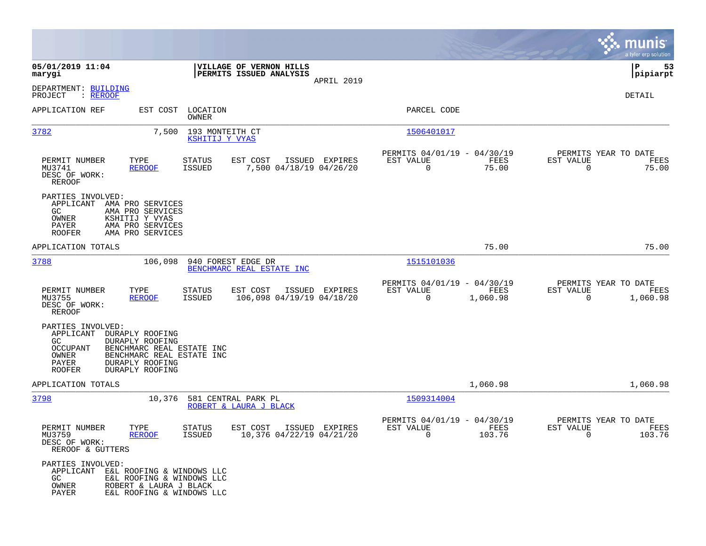|                                                                                           |                                                                                                                                    |                                   |                                                           |                |                                                            |                  |                                                               | munis<br>a tyler erp solution |
|-------------------------------------------------------------------------------------------|------------------------------------------------------------------------------------------------------------------------------------|-----------------------------------|-----------------------------------------------------------|----------------|------------------------------------------------------------|------------------|---------------------------------------------------------------|-------------------------------|
| 05/01/2019 11:04<br>marygi                                                                |                                                                                                                                    |                                   | VILLAGE OF VERNON HILLS<br><b>PERMITS ISSUED ANALYSIS</b> |                |                                                            |                  |                                                               | 53<br>IΡ<br> pipiarpt         |
| DEPARTMENT: BUILDING<br>PROJECT<br>: REROOF                                               |                                                                                                                                    |                                   |                                                           | APRIL 2019     |                                                            |                  |                                                               | DETAIL                        |
| APPLICATION REF                                                                           |                                                                                                                                    | EST COST LOCATION<br>OWNER        |                                                           |                | PARCEL CODE                                                |                  |                                                               |                               |
| 3782                                                                                      | 7,500                                                                                                                              | 193 MONTEITH CT<br>KSHITIJ Y VYAS |                                                           |                | 1506401017                                                 |                  |                                                               |                               |
| PERMIT NUMBER<br>MU3741<br>DESC OF WORK:<br><b>REROOF</b>                                 | TYPE<br><b>REROOF</b>                                                                                                              | <b>STATUS</b><br><b>ISSUED</b>    | EST COST<br>7,500 04/18/19 04/26/20                       | ISSUED EXPIRES | PERMITS 04/01/19 - 04/30/19<br>EST VALUE<br>$\overline{0}$ | FEES<br>75.00    | PERMITS YEAR TO DATE<br>EST VALUE<br>$\Omega$                 | FEES<br>75.00                 |
| PARTIES INVOLVED:<br>APPLICANT AMA PRO SERVICES<br>GC.<br>OWNER<br>PAYER<br><b>ROOFER</b> | AMA PRO SERVICES<br>KSHITIJ Y VYAS<br>AMA PRO SERVICES<br>AMA PRO SERVICES                                                         |                                   |                                                           |                |                                                            |                  |                                                               |                               |
| APPLICATION TOTALS                                                                        |                                                                                                                                    |                                   |                                                           |                |                                                            | 75.00            |                                                               | 75.00                         |
| 3788                                                                                      | 106,098                                                                                                                            |                                   | 940 FOREST EDGE DR<br>BENCHMARC REAL ESTATE INC           |                | 1515101036                                                 |                  |                                                               |                               |
| PERMIT NUMBER<br>MU3755<br>DESC OF WORK:<br><b>REROOF</b>                                 | TYPE<br><b>REROOF</b>                                                                                                              | <b>STATUS</b><br><b>ISSUED</b>    | EST COST<br>106,098 04/19/19 04/18/20                     | ISSUED EXPIRES | PERMITS 04/01/19 - 04/30/19<br>EST VALUE<br>$\Omega$       | FEES<br>1,060.98 | PERMITS YEAR TO DATE<br>EST VALUE<br>$\Omega$                 | FEES<br>1,060.98              |
| PARTIES INVOLVED:<br>APPLICANT<br>GC.<br>OCCUPANT<br>OWNER<br>PAYER<br><b>ROOFER</b>      | DURAPLY ROOFING<br>DURAPLY ROOFING<br>BENCHMARC REAL ESTATE INC<br>BENCHMARC REAL ESTATE INC<br>DURAPLY ROOFING<br>DURAPLY ROOFING |                                   |                                                           |                |                                                            |                  |                                                               |                               |
| APPLICATION TOTALS                                                                        |                                                                                                                                    |                                   |                                                           |                |                                                            | 1,060.98         |                                                               | 1,060.98                      |
| 3798                                                                                      | 10,376                                                                                                                             |                                   | 581 CENTRAL PARK PL<br>ROBERT & LAURA J BLACK             |                | 1509314004                                                 |                  |                                                               |                               |
| PERMIT NUMBER<br>MU3759<br>DESC OF WORK:<br>REROOF & GUTTERS                              | TYPE<br><b>REROOF</b>                                                                                                              | <b>STATUS</b><br>ISSUED           | EST COST<br>10,376 04/22/19 04/21/20                      | ISSUED EXPIRES | PERMITS 04/01/19 - 04/30/19<br>EST VALUE<br>$\overline{0}$ | FEES<br>103.76   | PERMITS YEAR TO DATE<br>EST VALUE<br>$\overline{\phantom{0}}$ | FEES<br>103.76                |
| PARTIES INVOLVED:<br>APPLICANT<br>GC<br>OWNER<br>PAYER                                    | E&L ROOFING & WINDOWS LLC<br>E&L ROOFING & WINDOWS LLC<br>ROBERT & LAURA J BLACK<br>E&L ROOFING & WINDOWS LLC                      |                                   |                                                           |                |                                                            |                  |                                                               |                               |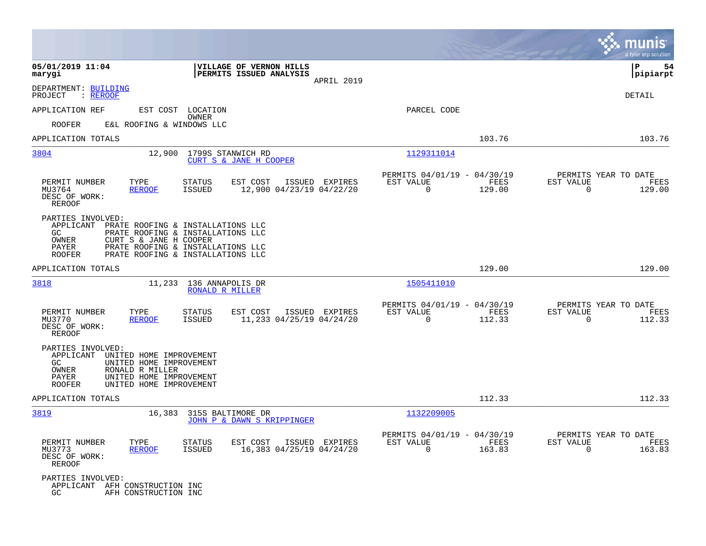|                                                                                                                                                                                                         |                                                                                                             |                                                                           | munis<br>a tyler erp solution                                      |
|---------------------------------------------------------------------------------------------------------------------------------------------------------------------------------------------------------|-------------------------------------------------------------------------------------------------------------|---------------------------------------------------------------------------|--------------------------------------------------------------------|
| 05/01/2019 11:04<br>marygi                                                                                                                                                                              | VILLAGE OF VERNON HILLS<br>PERMITS ISSUED ANALYSIS<br>APRIL 2019                                            |                                                                           | ΙP<br>54<br> pipiarpt                                              |
| DEPARTMENT: BUILDING<br>PROJECT<br>: <u>REROOF</u>                                                                                                                                                      |                                                                                                             |                                                                           | <b>DETAIL</b>                                                      |
| APPLICATION REF                                                                                                                                                                                         | EST COST LOCATION                                                                                           | PARCEL CODE                                                               |                                                                    |
| <b>ROOFER</b><br>E&L ROOFING & WINDOWS LLC                                                                                                                                                              | <b>OWNER</b>                                                                                                |                                                                           |                                                                    |
| APPLICATION TOTALS                                                                                                                                                                                      |                                                                                                             | 103.76                                                                    | 103.76                                                             |
| 3804<br>12,900                                                                                                                                                                                          | 1799S STANWICH RD<br>CURT S & JANE H COOPER                                                                 | 1129311014                                                                |                                                                    |
| PERMIT NUMBER<br>TYPE<br>MU3764<br>REROOF<br>DESC OF WORK:<br><b>REROOF</b>                                                                                                                             | <b>STATUS</b><br>EST COST<br>ISSUED EXPIRES<br><b>ISSUED</b><br>12,900 04/23/19 04/22/20                    | PERMITS 04/01/19 - 04/30/19<br>EST VALUE<br>FEES<br>$\Omega$<br>129.00    | PERMITS YEAR TO DATE<br>EST VALUE<br>FEES<br>$\Omega$<br>129.00    |
| PARTIES INVOLVED:<br>APPLICANT PRATE ROOFING & INSTALLATIONS LLC<br>GC.<br>OWNER<br>CURT S & JANE H COOPER<br>PAYER<br><b>ROOFER</b>                                                                    | PRATE ROOFING & INSTALLATIONS LLC<br>PRATE ROOFING & INSTALLATIONS LLC<br>PRATE ROOFING & INSTALLATIONS LLC |                                                                           |                                                                    |
| APPLICATION TOTALS                                                                                                                                                                                      |                                                                                                             | 129.00                                                                    | 129.00                                                             |
| 3818<br>11,233                                                                                                                                                                                          | 136 ANNAPOLIS DR<br><b>RONALD R MILLER</b>                                                                  | 1505411010                                                                |                                                                    |
| PERMIT NUMBER<br>TYPE<br><b>REROOF</b><br>MU3770<br>DESC OF WORK:<br><b>REROOF</b>                                                                                                                      | <b>STATUS</b><br>EST COST<br>ISSUED EXPIRES<br>11,233 04/25/19 04/24/20<br><b>ISSUED</b>                    | PERMITS 04/01/19 - 04/30/19<br>EST VALUE<br>FEES<br>$\mathbf 0$<br>112.33 | PERMITS YEAR TO DATE<br>EST VALUE<br>FEES<br>$\mathbf 0$<br>112.33 |
| PARTIES INVOLVED:<br>APPLICANT<br>UNITED HOME IMPROVEMENT<br>GC.<br>UNITED HOME IMPROVEMENT<br>OWNER<br>RONALD R MILLER<br>UNITED HOME IMPROVEMENT<br>PAYER<br>UNITED HOME IMPROVEMENT<br><b>ROOFER</b> |                                                                                                             |                                                                           |                                                                    |
| APPLICATION TOTALS                                                                                                                                                                                      |                                                                                                             | 112.33                                                                    | 112.33                                                             |
| 3819<br>16,383                                                                                                                                                                                          | 315S BALTIMORE DR<br>JOHN P & DAWN S KRIPPINGER                                                             | 1132209005                                                                |                                                                    |
| PERMIT NUMBER<br>TYPE<br>MU3773<br><b>REROOF</b><br>DESC OF WORK:<br>REROOF                                                                                                                             | EST COST<br><b>STATUS</b><br>ISSUED EXPIRES<br><b>ISSUED</b><br>16,383 04/25/19 04/24/20                    | PERMITS 04/01/19 - 04/30/19<br>EST VALUE<br>FEES<br>$\Omega$<br>163.83    | PERMITS YEAR TO DATE<br>EST VALUE<br>FEES<br>$\mathbf 0$<br>163.83 |
| PARTIES INVOLVED:<br>APPLICANT AFH CONSTRUCTION INC<br>GC.<br>AFH CONSTRUCTION INC                                                                                                                      |                                                                                                             |                                                                           |                                                                    |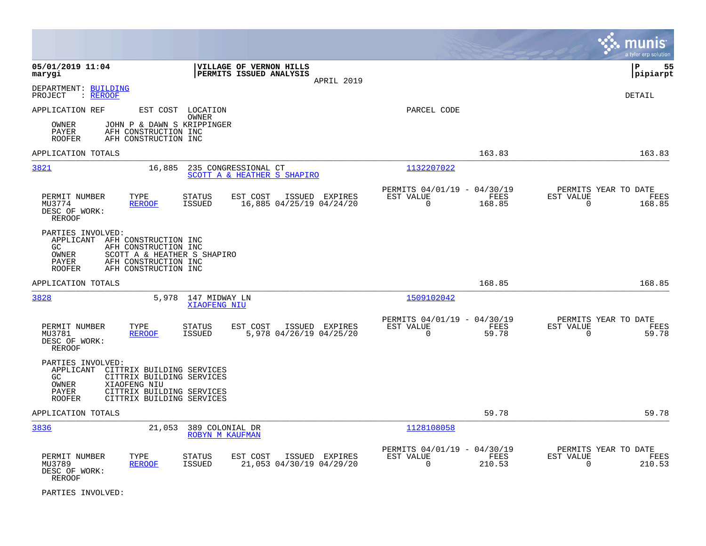|                                                                                                                                                                                                                     |                                                                                          |                                                                              | munis<br>a tyler erp solution                                        |
|---------------------------------------------------------------------------------------------------------------------------------------------------------------------------------------------------------------------|------------------------------------------------------------------------------------------|------------------------------------------------------------------------------|----------------------------------------------------------------------|
| 05/01/2019 11:04<br>marygi                                                                                                                                                                                          | VILLAGE OF VERNON HILLS<br>PERMITS ISSUED ANALYSIS<br>APRIL 2019                         |                                                                              | lР<br>55<br> pipiarpt                                                |
| DEPARTMENT: BUILDING<br>: REROOF<br>PROJECT                                                                                                                                                                         |                                                                                          |                                                                              | <b>DETAIL</b>                                                        |
| APPLICATION REF<br>JOHN P & DAWN S KRIPPINGER<br>OWNER<br>AFH CONSTRUCTION INC<br><b>PAYER</b><br><b>ROOFER</b><br>AFH CONSTRUCTION INC                                                                             | EST COST LOCATION<br>OWNER                                                               | PARCEL CODE                                                                  |                                                                      |
| APPLICATION TOTALS                                                                                                                                                                                                  |                                                                                          | 163.83                                                                       | 163.83                                                               |
| 3821<br>16,885                                                                                                                                                                                                      | 235 CONGRESSIONAL CT<br>SCOTT A & HEATHER S SHAPIRO                                      | 1132207022                                                                   |                                                                      |
| PERMIT NUMBER<br>TYPE<br>MU3774<br><b>REROOF</b><br>DESC OF WORK:<br><b>REROOF</b>                                                                                                                                  | <b>STATUS</b><br>EST COST<br>ISSUED EXPIRES<br>16,885 04/25/19 04/24/20<br><b>ISSUED</b> | PERMITS 04/01/19 - 04/30/19<br>EST VALUE<br>FEES<br>$\overline{0}$<br>168.85 | PERMITS YEAR TO DATE<br>EST VALUE<br>FEES<br>168.85<br>$\mathbf 0$   |
| PARTIES INVOLVED:<br>APPLICANT AFH CONSTRUCTION INC<br>GC.<br>AFH CONSTRUCTION INC<br>OWNER<br>SCOTT A & HEATHER S SHAPIRO<br>AFH CONSTRUCTION INC<br>PAYER<br>AFH CONSTRUCTION INC<br><b>ROOFER</b>                |                                                                                          |                                                                              |                                                                      |
| APPLICATION TOTALS                                                                                                                                                                                                  |                                                                                          | 168.85                                                                       | 168.85                                                               |
| 3828                                                                                                                                                                                                                | 5,978 147 MIDWAY LN<br>XIAOFENG NIU                                                      | 1509102042                                                                   |                                                                      |
| PERMIT NUMBER<br>TYPE<br>MU3781<br><b>REROOF</b><br>DESC OF WORK:<br><b>REROOF</b>                                                                                                                                  | <b>STATUS</b><br>EST COST<br>ISSUED EXPIRES<br>5,978 04/26/19 04/25/20<br><b>ISSUED</b>  | PERMITS 04/01/19 - 04/30/19<br>EST VALUE<br>FEES<br>$\Omega$<br>59.78        | PERMITS YEAR TO DATE<br>EST VALUE<br>FEES<br>$\overline{0}$<br>59.78 |
| PARTIES INVOLVED:<br>APPLICANT<br>CITTRIX BUILDING SERVICES<br>CITTRIX BUILDING SERVICES<br>GC.<br>OWNER<br>XIAOFENG NIU<br><b>PAYER</b><br>CITTRIX BUILDING SERVICES<br><b>ROOFER</b><br>CITTRIX BUILDING SERVICES |                                                                                          |                                                                              |                                                                      |
| APPLICATION TOTALS                                                                                                                                                                                                  |                                                                                          | 59.78                                                                        | 59.78                                                                |
| 3836<br>21,053                                                                                                                                                                                                      | 389 COLONIAL DR<br><b>ROBYN M KAUFMAN</b>                                                | 1128108058                                                                   |                                                                      |
| PERMIT NUMBER<br>TYPE<br>MU3789<br><b>REROOF</b><br>DESC OF WORK:<br>REROOF                                                                                                                                         | STATUS<br>EST COST<br>ISSUED EXPIRES<br>21,053 04/30/19 04/29/20<br>ISSUED               | PERMITS 04/01/19 - 04/30/19<br>EST VALUE<br>FEES<br>$\Omega$<br>210.53       | PERMITS YEAR TO DATE<br>EST VALUE<br>FEES<br>$\Omega$<br>210.53      |

PARTIES INVOLVED: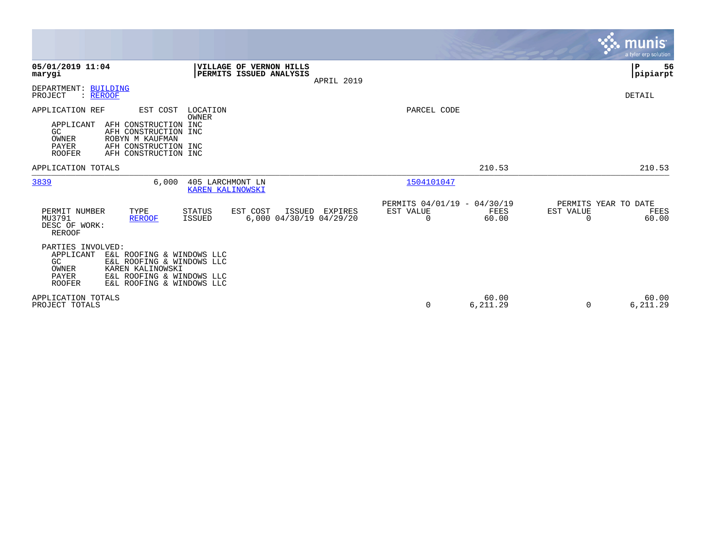|                                                                                                                                                                                                                 |                                                                                  |                                               |                   | <b>munis</b><br>a tyler erp solution                           |
|-----------------------------------------------------------------------------------------------------------------------------------------------------------------------------------------------------------------|----------------------------------------------------------------------------------|-----------------------------------------------|-------------------|----------------------------------------------------------------|
| 05/01/2019 11:04<br>marygi                                                                                                                                                                                      | VILLAGE OF VERNON HILLS<br>PERMITS ISSUED ANALYSIS<br>APRIL 2019                 |                                               |                   | P)<br>56<br> pipiarpt                                          |
| DEPARTMENT: BUILDING<br>: REROOF<br>PROJECT                                                                                                                                                                     |                                                                                  |                                               |                   | DETAIL                                                         |
| APPLICATION REF<br>EST COST<br>AFH CONSTRUCTION INC<br>APPLICANT<br>GC<br>AFH CONSTRUCTION INC<br><b>OWNER</b><br>ROBYN M KAUFMAN<br>PAYER<br>AFH CONSTRUCTION INC<br><b>ROOFER</b><br>AFH CONSTRUCTION INC     | LOCATION<br>OWNER                                                                | PARCEL CODE                                   |                   |                                                                |
| APPLICATION TOTALS                                                                                                                                                                                              |                                                                                  |                                               | 210.53            | 210.53                                                         |
| 3839<br>6,000                                                                                                                                                                                                   | 405 LARCHMONT LN<br>KAREN KALINOWSKI                                             | 1504101047                                    |                   |                                                                |
| PERMIT NUMBER<br>TYPE<br>MU3791<br><b>REROOF</b><br>DESC OF WORK:<br><b>REROOF</b>                                                                                                                              | STATUS<br>EST COST<br>ISSUED EXPIRES<br>6,000 04/30/19 04/29/20<br><b>ISSUED</b> | PERMITS 04/01/19 - 04/30/19<br>EST VALUE<br>0 | FEES<br>60.00     | PERMITS YEAR TO DATE<br>EST VALUE<br>FEES<br>$\Omega$<br>60.00 |
| PARTIES INVOLVED:<br>APPLICANT<br>E&L ROOFING & WINDOWS LLC<br>E&L ROOFING & WINDOWS LLC<br>GC<br>KAREN KALINOWSKI<br>OWNER<br>PAYER<br>E&L ROOFING & WINDOWS LLC<br><b>ROOFER</b><br>E&L ROOFING & WINDOWS LLC |                                                                                  |                                               |                   |                                                                |
| APPLICATION TOTALS<br>PROJECT TOTALS                                                                                                                                                                            |                                                                                  | 0                                             | 60.00<br>6,211.29 | 60.00<br>6,211.29<br>0                                         |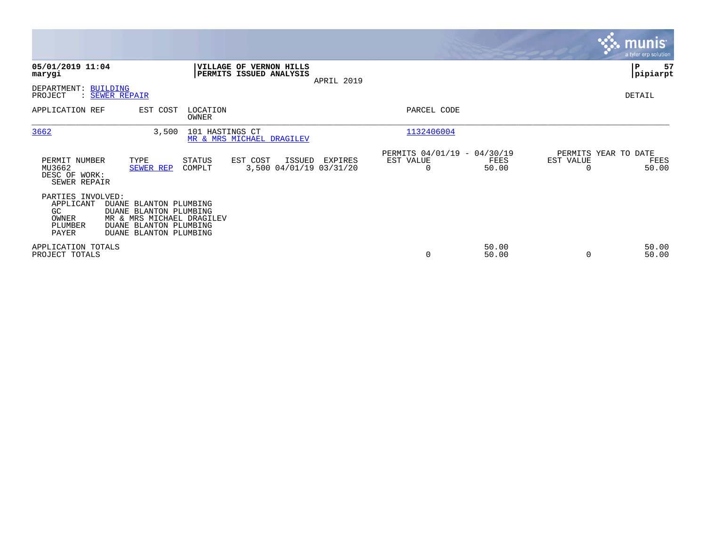|                                                                    |                                                                                                                                          |                   |                                                    |                |                                                      |                |                                               | <b>munis</b><br>a tyler erp solution. |
|--------------------------------------------------------------------|------------------------------------------------------------------------------------------------------------------------------------------|-------------------|----------------------------------------------------|----------------|------------------------------------------------------|----------------|-----------------------------------------------|---------------------------------------|
| 05/01/2019 11:04<br>marygi                                         |                                                                                                                                          |                   | VILLAGE OF VERNON HILLS<br>PERMITS ISSUED ANALYSIS | APRIL 2019     |                                                      |                |                                               | 57<br>P<br> pipiarpt                  |
| DEPARTMENT: BUILDING<br>PROJECT                                    | : SEWER REPAIR                                                                                                                           |                   |                                                    |                |                                                      |                |                                               | DETAIL                                |
| APPLICATION REF                                                    | EST COST                                                                                                                                 | LOCATION<br>OWNER |                                                    |                | PARCEL CODE                                          |                |                                               |                                       |
| 3662                                                               | 3,500                                                                                                                                    | 101 HASTINGS CT   | MR & MRS MICHAEL DRAGILEV                          |                | 1132406004                                           |                |                                               |                                       |
| PERMIT NUMBER<br>MU3662<br>DESC OF WORK:<br>SEWER REPAIR           | TYPE<br>SEWER REP                                                                                                                        | STATUS<br>COMPLT  | EST COST<br>ISSUED<br>3,500 04/01/19 03/31/20      | <b>EXPIRES</b> | PERMITS 04/01/19 - 04/30/19<br>EST VALUE<br>$\Omega$ | FEES<br>50.00  | PERMITS YEAR TO DATE<br>EST VALUE<br>$\Omega$ | FEES<br>50.00                         |
| PARTIES INVOLVED:<br>APPLICANT<br>GC.<br>OWNER<br>PLUMBER<br>PAYER | DUANE BLANTON PLUMBING<br>DUANE BLANTON PLUMBING<br>MR & MRS MICHAEL DRAGILEV<br><b>DUANE BLANTON PLUMBING</b><br>DUANE BLANTON PLUMBING |                   |                                                    |                |                                                      |                |                                               |                                       |
| APPLICATION TOTALS<br>PROJECT TOTALS                               |                                                                                                                                          |                   |                                                    |                | 0                                                    | 50.00<br>50.00 | 0                                             | 50.00<br>50.00                        |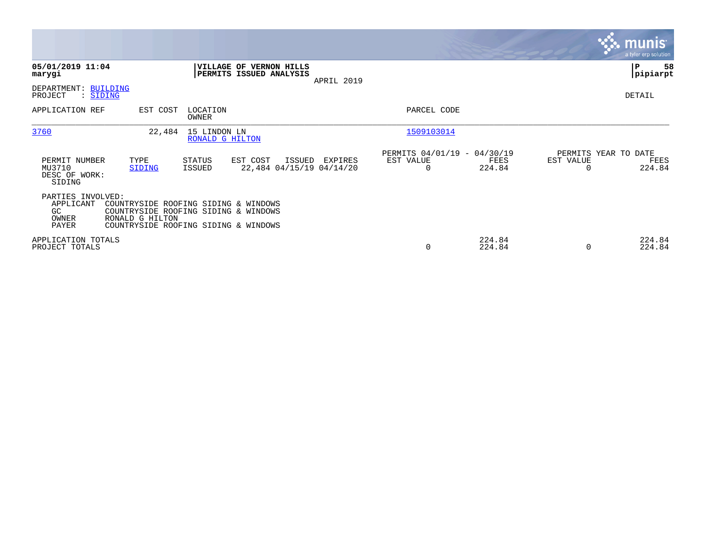|                                                        |                                                                                                                                         |                                 |                                                    |            |                                                      |                  |           | munis <sup>®</sup><br>a tyler erp solution |
|--------------------------------------------------------|-----------------------------------------------------------------------------------------------------------------------------------------|---------------------------------|----------------------------------------------------|------------|------------------------------------------------------|------------------|-----------|--------------------------------------------|
| 05/01/2019 11:04<br>marygi                             |                                                                                                                                         |                                 | VILLAGE OF VERNON HILLS<br>PERMITS ISSUED ANALYSIS | APRIL 2019 |                                                      |                  |           | l P<br>58<br> pipiarpt                     |
| DEPARTMENT: BUILDING<br>PROJECT<br>: SIDING            |                                                                                                                                         |                                 |                                                    |            |                                                      |                  |           | DETAIL                                     |
| APPLICATION REF                                        | EST COST                                                                                                                                | LOCATION<br>OWNER               |                                                    |            | PARCEL CODE                                          |                  |           |                                            |
| 3760                                                   | 22,484                                                                                                                                  | 15 LINDON LN<br>RONALD G HILTON |                                                    |            | 1509103014                                           |                  |           |                                            |
| PERMIT NUMBER<br>MU3710<br>DESC OF WORK:<br>SIDING     | TYPE<br>SIDING                                                                                                                          | STATUS<br>ISSUED                | EST COST<br>ISSUED<br>22,484 04/15/19 04/14/20     | EXPIRES    | PERMITS 04/01/19 - 04/30/19<br>EST VALUE<br>$\Omega$ | FEES<br>224.84   | EST VALUE | PERMITS YEAR TO DATE<br>FEES<br>224.84     |
| PARTIES INVOLVED:<br>APPLICANT<br>GC<br>OWNER<br>PAYER | COUNTRYSIDE ROOFING SIDING & WINDOWS<br>COUNTRYSIDE ROOFING SIDING & WINDOWS<br>RONALD G HILTON<br>COUNTRYSIDE ROOFING SIDING & WINDOWS |                                 |                                                    |            |                                                      |                  |           |                                            |
| APPLICATION TOTALS<br>PROJECT TOTALS                   |                                                                                                                                         |                                 |                                                    |            | 0                                                    | 224.84<br>224.84 |           | 224.84<br>224.84                           |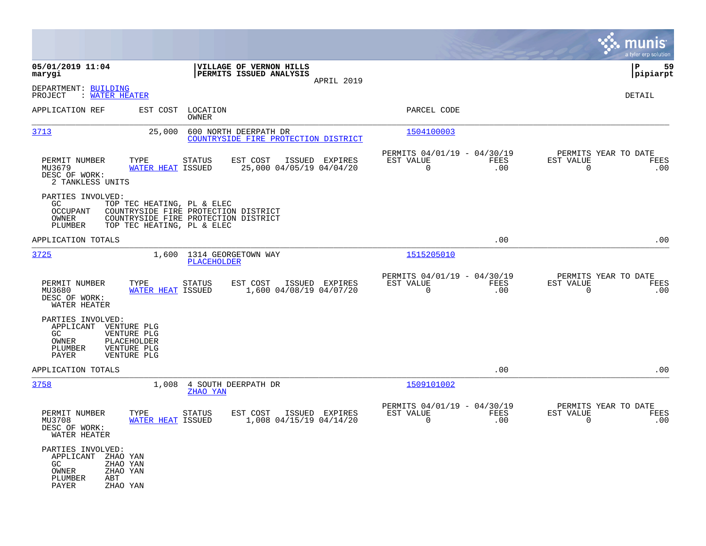|                                                                                                                                              |                                                                              |                                                                            | munis<br>a tyler erp solution                                   |
|----------------------------------------------------------------------------------------------------------------------------------------------|------------------------------------------------------------------------------|----------------------------------------------------------------------------|-----------------------------------------------------------------|
| 05/01/2019 11:04<br>marygi                                                                                                                   | VILLAGE OF VERNON HILLS<br>PERMITS ISSUED ANALYSIS<br>APRIL 2019             |                                                                            | 59<br>l P<br> pipiarpt                                          |
| DEPARTMENT: BUILDING<br>: WATER HEATER<br>PROJECT                                                                                            |                                                                              |                                                                            | DETAIL                                                          |
| APPLICATION REF<br>EST COST                                                                                                                  | LOCATION<br>OWNER                                                            | PARCEL CODE                                                                |                                                                 |
| 3713<br>25,000                                                                                                                               | 600 NORTH DEERPATH DR<br>COUNTRYSIDE FIRE PROTECTION DISTRICT                | 1504100003                                                                 |                                                                 |
| PERMIT NUMBER<br>TYPE<br>MU3679<br>WATER HEAT ISSUED<br>DESC OF WORK:<br>2 TANKLESS UNITS                                                    | EST COST<br><b>STATUS</b><br>ISSUED EXPIRES<br>25,000 04/05/19 04/04/20      | PERMITS 04/01/19 - 04/30/19<br>EST VALUE<br>FEES<br>$\Omega$<br>.00        | PERMITS YEAR TO DATE<br>EST VALUE<br>FEES<br>$\mathbf 0$<br>.00 |
| PARTIES INVOLVED:<br>TOP TEC HEATING, PL & ELEC<br>GC.<br><b>OCCUPANT</b><br>OWNER<br>PLUMBER<br>TOP TEC HEATING, PL & ELEC                  | COUNTRYSIDE FIRE PROTECTION DISTRICT<br>COUNTRYSIDE FIRE PROTECTION DISTRICT |                                                                            |                                                                 |
| APPLICATION TOTALS                                                                                                                           |                                                                              | .00                                                                        | .00                                                             |
| 3725                                                                                                                                         | 1,600 1314 GEORGETOWN WAY<br><b>PLACEHOLDER</b>                              | 1515205010                                                                 |                                                                 |
| PERMIT NUMBER<br>TYPE<br>MU3680<br><b>WATER HEAT ISSUED</b><br>DESC OF WORK:<br>WATER HEATER                                                 | EST COST<br>ISSUED EXPIRES<br>STATUS<br>1,600 04/08/19 04/07/20              | PERMITS 04/01/19 - 04/30/19<br>EST VALUE<br><b>FEES</b><br>$\Omega$<br>.00 | PERMITS YEAR TO DATE<br>EST VALUE<br>FEES<br>$\Omega$<br>.00    |
| PARTIES INVOLVED:<br>APPLICANT<br>VENTURE PLG<br>GC<br>VENTURE PLG<br>OWNER<br>PLACEHOLDER<br>PLUMBER<br>VENTURE PLG<br>VENTURE PLG<br>PAYER |                                                                              |                                                                            |                                                                 |
| APPLICATION TOTALS                                                                                                                           |                                                                              | .00                                                                        | .00                                                             |
| 3758<br>1,008                                                                                                                                | 4 SOUTH DEERPATH DR<br>ZHAO YAN                                              | 1509101002                                                                 |                                                                 |
| PERMIT NUMBER<br>TYPE<br>WATER HEAT ISSUED<br>MU3708<br>DESC OF WORK:<br>WATER HEATER                                                        | EST COST<br>ISSUED EXPIRES<br><b>STATUS</b><br>1,008 04/15/19 04/14/20       | PERMITS 04/01/19 - 04/30/19<br>EST VALUE<br>FEES<br>$\mathbf 0$<br>.00     | PERMITS YEAR TO DATE<br>EST VALUE<br>FEES<br>0<br>.00           |
| PARTIES INVOLVED:<br>APPLICANT<br>ZHAO YAN<br>GC<br>ZHAO YAN<br>OWNER<br>ZHAO YAN<br>PLUMBER<br>ABT<br>PAYER<br>ZHAO YAN                     |                                                                              |                                                                            |                                                                 |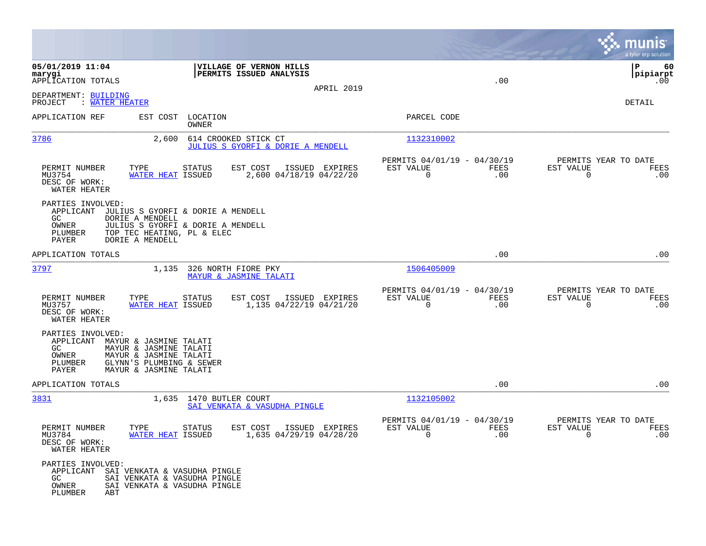|                                                                                          |                                                                                                                                            |                                               |                                                    |                |                                                            |             |                                                               | munis<br>a tyler erp solution     |
|------------------------------------------------------------------------------------------|--------------------------------------------------------------------------------------------------------------------------------------------|-----------------------------------------------|----------------------------------------------------|----------------|------------------------------------------------------------|-------------|---------------------------------------------------------------|-----------------------------------|
| 05/01/2019 11:04<br>marygi<br>APPLICATION TOTALS                                         |                                                                                                                                            |                                               | VILLAGE OF VERNON HILLS<br>PERMITS ISSUED ANALYSIS |                |                                                            | .00         |                                                               | ΙP<br>60<br> pipiarpt<br>$.00 \,$ |
| DEPARTMENT: BUILDING<br>PROJECT<br>: WATER HEATER                                        |                                                                                                                                            |                                               |                                                    | APRIL 2019     |                                                            |             |                                                               | DETAIL                            |
| APPLICATION REF                                                                          | EST COST                                                                                                                                   | LOCATION<br>OWNER                             |                                                    |                | PARCEL CODE                                                |             |                                                               |                                   |
| 3786                                                                                     | 2,600                                                                                                                                      | 614 CROOKED STICK CT                          | JULIUS S GYORFI & DORIE A MENDELL                  |                | 1132310002                                                 |             |                                                               |                                   |
| PERMIT NUMBER<br>MU3754<br>DESC OF WORK:<br>WATER HEATER                                 | TYPE<br>WATER HEAT ISSUED                                                                                                                  | STATUS                                        | EST COST<br>2,600 04/18/19 04/22/20                | ISSUED EXPIRES | PERMITS 04/01/19 - 04/30/19<br>EST VALUE<br>$\mathbf 0$    | FEES<br>.00 | PERMITS YEAR TO DATE<br>EST VALUE<br>0                        | FEES<br>.00                       |
| PARTIES INVOLVED:<br>APPLICANT<br>GC.<br>OWNER<br>PLUMBER<br>PAYER                       | JULIUS S GYORFI & DORIE A MENDELL<br>DORIE A MENDELL<br>JULIUS S GYORFI & DORIE A MENDELL<br>TOP TEC HEATING, PL & ELEC<br>DORIE A MENDELL |                                               |                                                    |                |                                                            |             |                                                               |                                   |
| APPLICATION TOTALS                                                                       |                                                                                                                                            |                                               |                                                    |                |                                                            | .00         |                                                               | .00                               |
| 3797                                                                                     | 1,135                                                                                                                                      | 326 NORTH FIORE PKY<br>MAYUR & JASMINE TALATI |                                                    |                | 1506405009                                                 |             |                                                               |                                   |
| PERMIT NUMBER<br>MU3757<br>DESC OF WORK:<br>WATER HEATER                                 | TYPE<br><b>WATER HEAT ISSUED</b>                                                                                                           | <b>STATUS</b>                                 | EST COST<br>1,135 04/22/19 04/21/20                | ISSUED EXPIRES | PERMITS 04/01/19 - 04/30/19<br>EST VALUE<br>0              | FEES<br>.00 | PERMITS YEAR TO DATE<br>EST VALUE<br>0                        | FEES<br>.00                       |
| PARTIES INVOLVED:<br>APPLICANT MAYUR & JASMINE TALATI<br>GC<br>OWNER<br>PLUMBER<br>PAYER | MAYUR & JASMINE TALATI<br>MAYUR & JASMINE TALATI<br>GLYNN'S PLUMBING & SEWER<br>MAYUR & JASMINE TALATI                                     |                                               |                                                    |                |                                                            |             |                                                               |                                   |
| APPLICATION TOTALS                                                                       |                                                                                                                                            |                                               |                                                    |                |                                                            | .00         |                                                               | .00                               |
| <u>3831</u>                                                                              |                                                                                                                                            | 1,635 1470 BUTLER COURT                       | <u>SAI VENKATA &amp; VASUDHA PINGLE</u>            |                | 1132105002                                                 |             |                                                               |                                   |
| PERMIT NUMBER<br>MU3784<br>DESC OF WORK:<br>WATER HEATER                                 | TYPE<br>WATER HEAT ISSUED                                                                                                                  | <b>STATUS</b>                                 | EST COST<br>1,635 04/29/19 04/28/20                | ISSUED EXPIRES | PERMITS 04/01/19 - 04/30/19<br>EST VALUE<br>$\overline{0}$ | FEES<br>.00 | PERMITS YEAR TO DATE<br>EST VALUE<br>$\overline{\phantom{0}}$ | FEES<br>.00                       |
| PARTIES INVOLVED:<br>APPLICANT<br>GC<br>OWNER<br>PLUMBER<br>ABT                          | SAI VENKATA & VASUDHA PINGLE<br>SAI VENKATA & VASUDHA PINGLE<br>SAI VENKATA & VASUDHA PINGLE                                               |                                               |                                                    |                |                                                            |             |                                                               |                                   |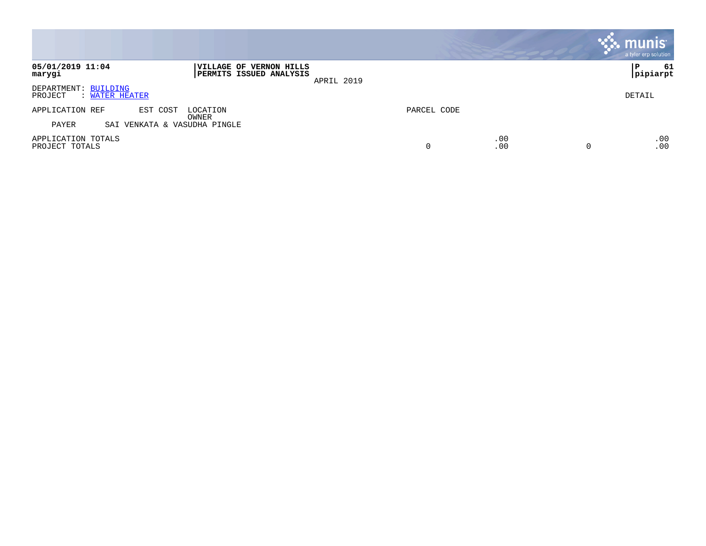|                                                   |                                                                  |             |            | mu<br>a tyler erp solution |
|---------------------------------------------------|------------------------------------------------------------------|-------------|------------|----------------------------|
| 05/01/2019 11:04<br>marygi                        | VILLAGE OF VERNON HILLS<br>PERMITS ISSUED ANALYSIS<br>APRIL 2019 |             |            | -61<br>P<br>pipiarpt       |
| DEPARTMENT: BUILDING<br>PROJECT<br>: WATER HEATER |                                                                  |             |            | DETAIL                     |
| APPLICATION REF<br>EST COST                       | LOCATION<br>OWNER                                                | PARCEL CODE |            |                            |
| PAYER<br>VENKATA & VASUDHA PINGLE<br>SAI          |                                                                  |             |            |                            |
| APPLICATION TOTALS<br>PROJECT TOTALS              |                                                                  | 0           | .00<br>.00 | .00<br>.00                 |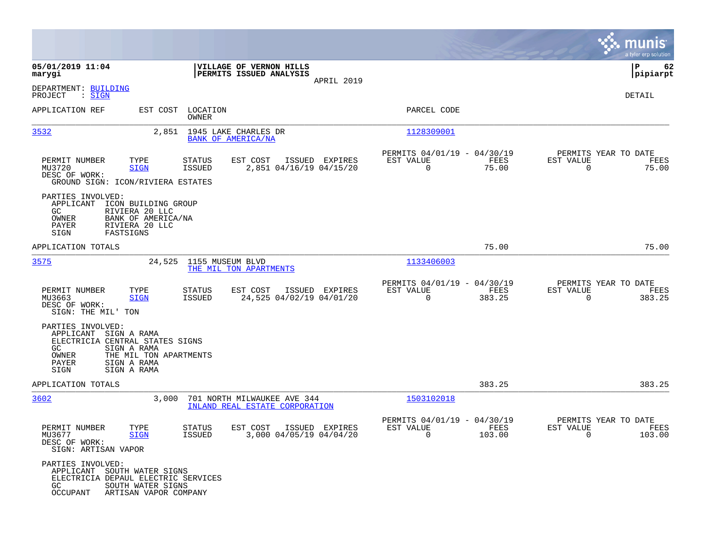|                                                                                                                       |                                                                                            |                            |                                                               |                |                                                            |                |                                                               | munis<br>a tyler erp solution |
|-----------------------------------------------------------------------------------------------------------------------|--------------------------------------------------------------------------------------------|----------------------------|---------------------------------------------------------------|----------------|------------------------------------------------------------|----------------|---------------------------------------------------------------|-------------------------------|
| 05/01/2019 11:04<br>marygi                                                                                            |                                                                                            |                            | VILLAGE OF VERNON HILLS<br>PERMITS ISSUED ANALYSIS            |                |                                                            |                |                                                               | l P<br>62<br> pipiarpt        |
| DEPARTMENT: BUILDING<br>: SIGN<br>PROJECT                                                                             |                                                                                            |                            |                                                               | APRIL 2019     |                                                            |                |                                                               | DETAIL                        |
| APPLICATION REF                                                                                                       |                                                                                            | EST COST LOCATION<br>OWNER |                                                               |                | PARCEL CODE                                                |                |                                                               |                               |
| 3532                                                                                                                  |                                                                                            |                            | 2,851 1945 LAKE CHARLES DR<br>BANK OF AMERICA/NA              |                | 1128309001                                                 |                |                                                               |                               |
| PERMIT NUMBER<br>MU3720<br>DESC OF WORK:<br>GROUND SIGN: ICON/RIVIERA ESTATES                                         | TYPE<br><b>SIGN</b>                                                                        | <b>STATUS</b><br>ISSUED    | EST COST<br>2,851 04/16/19 04/15/20                           | ISSUED EXPIRES | PERMITS 04/01/19 - 04/30/19<br>EST VALUE<br>$\overline{0}$ | FEES<br>75.00  | PERMITS YEAR TO DATE<br>EST VALUE<br>$\Omega$                 | FEES<br>75.00                 |
| PARTIES INVOLVED:<br>APPLICANT<br>GC.<br>OWNER<br>PAYER<br>SIGN                                                       | ICON BUILDING GROUP<br>RIVIERA 20 LLC<br>BANK OF AMERICA/NA<br>RIVIERA 20 LLC<br>FASTSIGNS |                            |                                                               |                |                                                            |                |                                                               |                               |
| APPLICATION TOTALS                                                                                                    |                                                                                            |                            |                                                               |                |                                                            | 75.00          |                                                               | 75.00                         |
| 3575                                                                                                                  | 24,525                                                                                     | 1155 MUSEUM BLVD           | THE MIL TON APARTMENTS                                        |                | 1133406003                                                 |                |                                                               |                               |
| PERMIT NUMBER<br>MU3663<br>DESC OF WORK:<br>SIGN: THE MIL' TON                                                        | TYPE<br><b>SIGN</b>                                                                        | STATUS<br>ISSUED           | EST COST<br>24,525 04/02/19 04/01/20                          | ISSUED EXPIRES | PERMITS 04/01/19 - 04/30/19<br>EST VALUE<br>$\mathbf 0$    | FEES<br>383.25 | PERMITS YEAR TO DATE<br>EST VALUE<br>$\Omega$                 | FEES<br>383.25                |
| PARTIES INVOLVED:<br>APPLICANT SIGN A RAMA<br>ELECTRICIA CENTRAL STATES SIGNS<br>GC.<br>OWNER<br><b>PAYER</b><br>SIGN | SIGN A RAMA<br>THE MIL TON APARTMENTS<br>SIGN A RAMA<br>SIGN A RAMA                        |                            |                                                               |                |                                                            |                |                                                               |                               |
| APPLICATION TOTALS                                                                                                    |                                                                                            |                            |                                                               |                |                                                            | 383.25         |                                                               | 383.25                        |
| 3602                                                                                                                  | 3,000                                                                                      |                            | 701 NORTH MILWAUKEE AVE 344<br>INLAND REAL ESTATE CORPORATION |                | 1503102018                                                 |                |                                                               |                               |
| PERMIT NUMBER<br>MU3677<br>DESC OF WORK:<br>SIGN: ARTISAN VAPOR                                                       | TYPE<br><b>SIGN</b>                                                                        | STATUS<br>ISSUED           | EST COST<br>3,000 04/05/19 04/04/20                           | ISSUED EXPIRES | PERMITS 04/01/19 - 04/30/19<br>EST VALUE<br>$\sim$ 0       | FEES<br>103.00 | PERMITS YEAR TO DATE<br>EST VALUE<br>$\overline{\phantom{0}}$ | FEES<br>103.00                |
| PARTIES INVOLVED:<br>APPLICANT SOUTH WATER SIGNS<br>ELECTRICIA DEPAUL ELECTRIC SERVICES<br>GC<br>OCCUPANT             | SOUTH WATER SIGNS<br>ARTISAN VAPOR COMPANY                                                 |                            |                                                               |                |                                                            |                |                                                               |                               |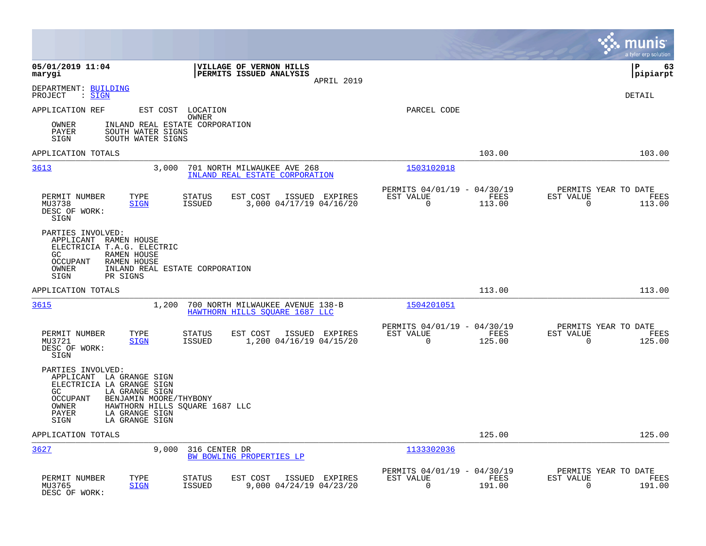|                                                                                                                                                                                                                                           |                                                                                         |                                                                           | munis<br>a tyler erp solution                                         |
|-------------------------------------------------------------------------------------------------------------------------------------------------------------------------------------------------------------------------------------------|-----------------------------------------------------------------------------------------|---------------------------------------------------------------------------|-----------------------------------------------------------------------|
| 05/01/2019 11:04<br>marygi                                                                                                                                                                                                                | VILLAGE OF VERNON HILLS<br>PERMITS ISSUED ANALYSIS<br>APRIL 2019                        |                                                                           | l P<br>63<br> pipiarpt                                                |
| DEPARTMENT: BUILDING<br>PROJECT<br>$:$ SIGN                                                                                                                                                                                               |                                                                                         |                                                                           | <b>DETAIL</b>                                                         |
| APPLICATION REF<br>EST COST LOCATION                                                                                                                                                                                                      | OWNER                                                                                   | PARCEL CODE                                                               |                                                                       |
| INLAND REAL ESTATE CORPORATION<br>OWNER<br>SOUTH WATER SIGNS<br>PAYER<br>SIGN<br>SOUTH WATER SIGNS                                                                                                                                        |                                                                                         |                                                                           |                                                                       |
| APPLICATION TOTALS                                                                                                                                                                                                                        |                                                                                         | 103.00                                                                    | 103.00                                                                |
| 3613<br>3,000                                                                                                                                                                                                                             | 701 NORTH MILWAUKEE AVE 268<br>INLAND REAL ESTATE CORPORATION                           | 1503102018                                                                |                                                                       |
| PERMIT NUMBER<br>TYPE<br>MU3738<br>SIGN<br>DESC OF WORK:<br>SIGN                                                                                                                                                                          | <b>STATUS</b><br>EST COST<br>ISSUED EXPIRES<br>3,000 04/17/19 04/16/20<br><b>ISSUED</b> | PERMITS 04/01/19 - 04/30/19<br>EST VALUE<br>FEES<br>$\mathbf 0$<br>113.00 | PERMITS YEAR TO DATE<br>EST VALUE<br>FEES<br>$\overline{0}$<br>113.00 |
| PARTIES INVOLVED:<br>APPLICANT RAMEN HOUSE<br>ELECTRICIA T.A.G. ELECTRIC<br>RAMEN HOUSE<br>GC<br>RAMEN HOUSE<br><b>OCCUPANT</b><br>OWNER<br>INLAND REAL ESTATE CORPORATION<br>SIGN<br>PR SIGNS                                            |                                                                                         |                                                                           |                                                                       |
| APPLICATION TOTALS                                                                                                                                                                                                                        |                                                                                         | 113.00                                                                    | 113.00                                                                |
| 3615<br>1,200                                                                                                                                                                                                                             | 700 NORTH MILWAUKEE AVENUE 138-B<br>HAWTHORN HILLS SOUARE 1687 LLC                      | 1504201051                                                                |                                                                       |
| PERMIT NUMBER<br>TYPE<br>MU3721<br><b>SIGN</b><br>DESC OF WORK:<br>SIGN                                                                                                                                                                   | EST COST<br>ISSUED EXPIRES<br><b>STATUS</b><br><b>ISSUED</b><br>1,200 04/16/19 04/15/20 | PERMITS 04/01/19 - 04/30/19<br>EST VALUE<br>FEES<br>$\mathbf 0$<br>125.00 | PERMITS YEAR TO DATE<br>EST VALUE<br>FEES<br>125.00<br>0              |
| PARTIES INVOLVED:<br>APPLICANT LA GRANGE SIGN<br>ELECTRICIA LA GRANGE SIGN<br>LA GRANGE SIGN<br>GC.<br>OCCUPANT<br>BENJAMIN MOORE/THYBONY<br>OWNER<br>HAWTHORN HILLS SQUARE 1687 LLC<br>LA GRANGE SIGN<br>PAYER<br>LA GRANGE SIGN<br>SIGN |                                                                                         |                                                                           |                                                                       |
| APPLICATION TOTALS                                                                                                                                                                                                                        |                                                                                         | 125.00                                                                    | 125.00                                                                |
| 3627<br>9,000                                                                                                                                                                                                                             | 316 CENTER DR<br>BW BOWLING PROPERTIES LP                                               | 1133302036                                                                |                                                                       |
| PERMIT NUMBER<br>TYPE<br>MU3765<br><b>SIGN</b><br>DESC OF WORK:                                                                                                                                                                           | STATUS<br>EST COST<br>ISSUED EXPIRES<br>9,000 04/24/19 04/23/20<br><b>ISSUED</b>        | PERMITS 04/01/19 - 04/30/19<br>EST VALUE<br><b>FEES</b><br>0<br>191.00    | PERMITS YEAR TO DATE<br>EST VALUE<br>FEES<br>0<br>191.00              |